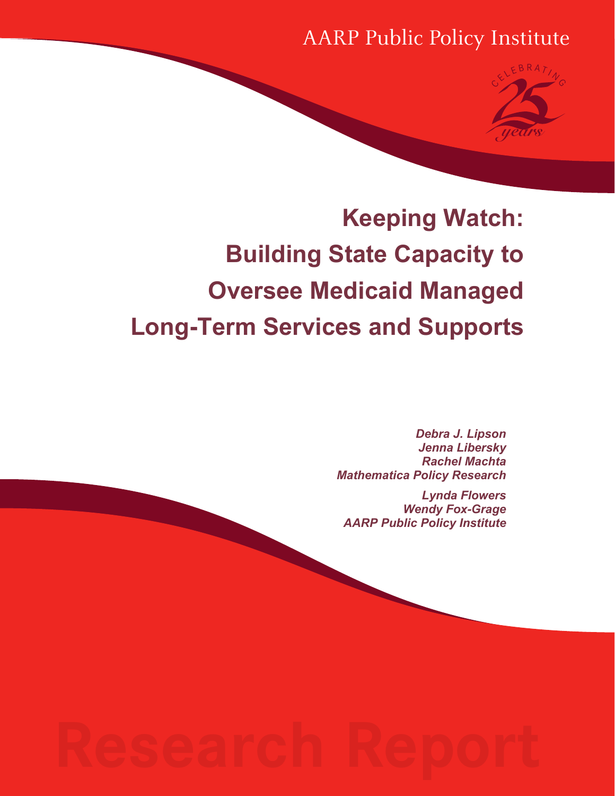AARP Public Policy Institute



## **Keeping Watch: Building State Capacity to Oversee Medicaid Managed Long-Term Services and Supports**

*Debra J. Lipson Jenna Libersky Rachel Machta Mathematica Policy Research*

*Lynda Flowers Wendy Fox-Grage AARP Public Policy Institute*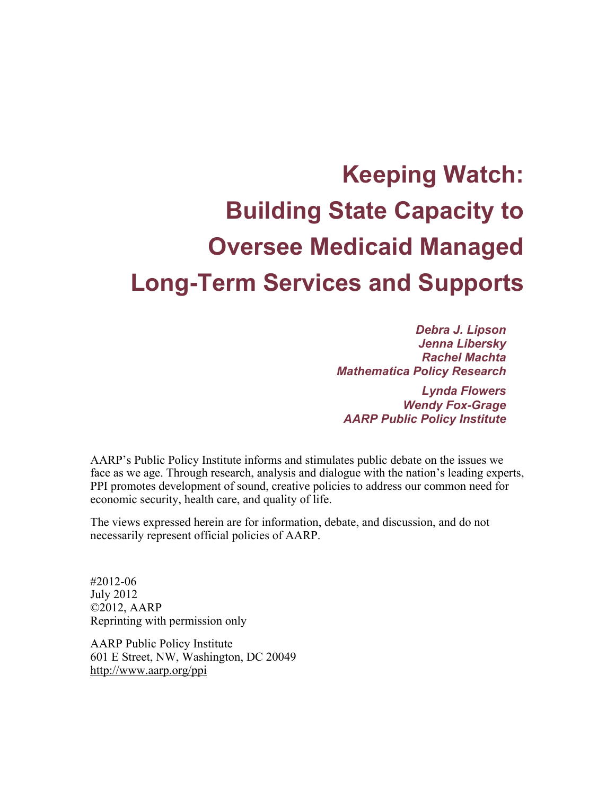# **Keeping Watch: Building State Capacity to Oversee Medicaid Managed Long-Term Services and Supports**

*Debra J. Lipson Jenna Libersky Rachel Machta Mathematica Policy Research*

*Lynda Flowers Wendy Fox-Grage AARP Public Policy Institute*

AARP's Public Policy Institute informs and stimulates public debate on the issues we face as we age. Through research, analysis and dialogue with the nation's leading experts, PPI promotes development of sound, creative policies to address our common need for economic security, health care, and quality of life.

The views expressed herein are for information, debate, and discussion, and do not necessarily represent official policies of AARP.

#2012-06 July 2012 ©2012, AARP Reprinting with permission only

AARP Public Policy Institute 601 E Street, NW, Washington, DC 20049 <http://www.aarp.org/ppi>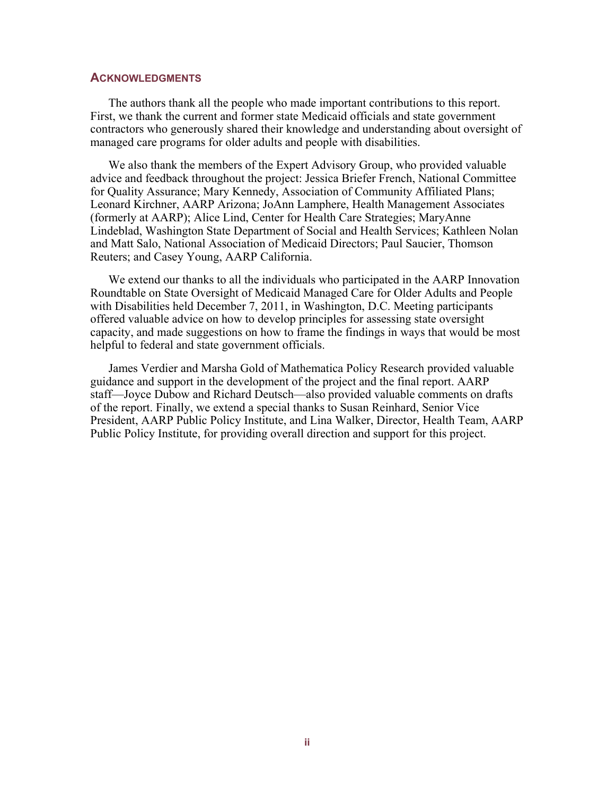#### <span id="page-2-0"></span>**ACKNOWLEDGMENTS**

The authors thank all the people who made important contributions to this report. First, we thank the current and former state Medicaid officials and state government contractors who generously shared their knowledge and understanding about oversight of managed care programs for older adults and people with disabilities.

We also thank the members of the Expert Advisory Group, who provided valuable advice and feedback throughout the project: Jessica Briefer French, National Committee for Quality Assurance; Mary Kennedy, Association of Community Affiliated Plans; Leonard Kirchner, AARP Arizona; JoAnn Lamphere, Health Management Associates (formerly at AARP); Alice Lind, Center for Health Care Strategies; MaryAnne Lindeblad, Washington State Department of Social and Health Services; Kathleen Nolan and Matt Salo, National Association of Medicaid Directors; Paul Saucier, Thomson Reuters; and Casey Young, AARP California.

We extend our thanks to all the individuals who participated in the AARP Innovation Roundtable on State Oversight of Medicaid Managed Care for Older Adults and People with Disabilities held December 7, 2011, in Washington, D.C. Meeting participants offered valuable advice on how to develop principles for assessing state oversight capacity, and made suggestions on how to frame the findings in ways that would be most helpful to federal and state government officials.

James Verdier and Marsha Gold of Mathematica Policy Research provided valuable guidance and support in the development of the project and the final report. AARP staff—Joyce Dubow and Richard Deutsch—also provided valuable comments on drafts of the report. Finally, we extend a special thanks to Susan Reinhard, Senior Vice President, AARP Public Policy Institute, and Lina Walker, Director, Health Team, AARP Public Policy Institute, for providing overall direction and support for this project.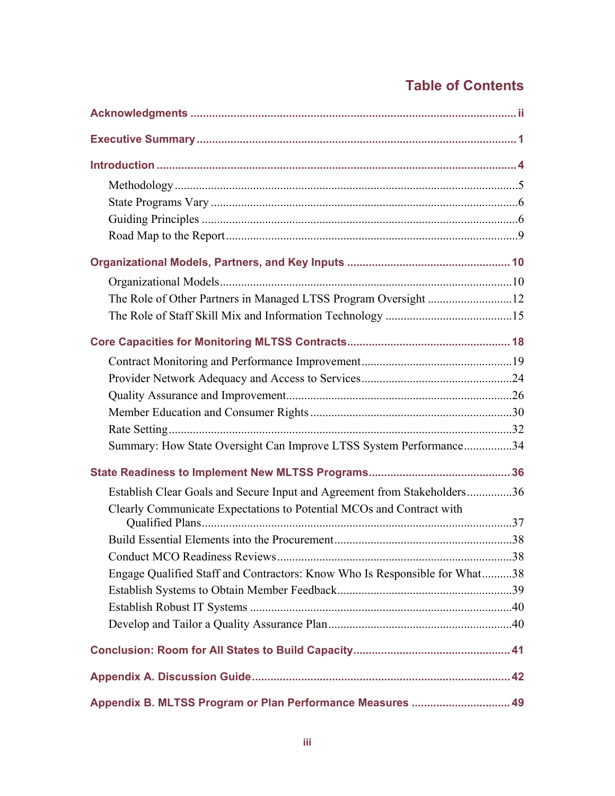## **Table of Contents**

| The Role of Other Partners in Managed LTSS Program Oversight 12            |  |
|----------------------------------------------------------------------------|--|
|                                                                            |  |
|                                                                            |  |
|                                                                            |  |
|                                                                            |  |
|                                                                            |  |
|                                                                            |  |
|                                                                            |  |
| Summary: How State Oversight Can Improve LTSS System Performance34         |  |
|                                                                            |  |
| Establish Clear Goals and Secure Input and Agreement from Stakeholders36   |  |
| Clearly Communicate Expectations to Potential MCOs and Contract with       |  |
|                                                                            |  |
|                                                                            |  |
|                                                                            |  |
| Engage Qualified Staff and Contractors: Know Who Is Responsible for What38 |  |
|                                                                            |  |
|                                                                            |  |
|                                                                            |  |
|                                                                            |  |
|                                                                            |  |
| Appendix B. MLTSS Program or Plan Performance Measures  49                 |  |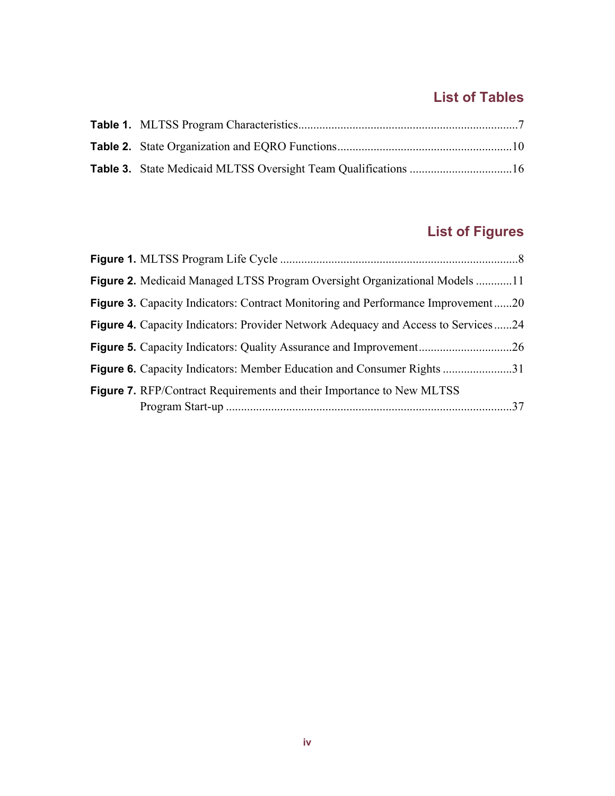## **List of Tables**

## **List of Figures**

| Figure 2. Medicaid Managed LTSS Program Oversight Organizational Models 11               |  |
|------------------------------------------------------------------------------------------|--|
| Figure 3. Capacity Indicators: Contract Monitoring and Performance Improvement20         |  |
| <b>Figure 4.</b> Capacity Indicators: Provider Network Adequacy and Access to Services24 |  |
|                                                                                          |  |
| <b>Figure 6.</b> Capacity Indicators: Member Education and Consumer Rights 31            |  |
| <b>Figure 7.</b> RFP/Contract Requirements and their Importance to New MLTSS             |  |
|                                                                                          |  |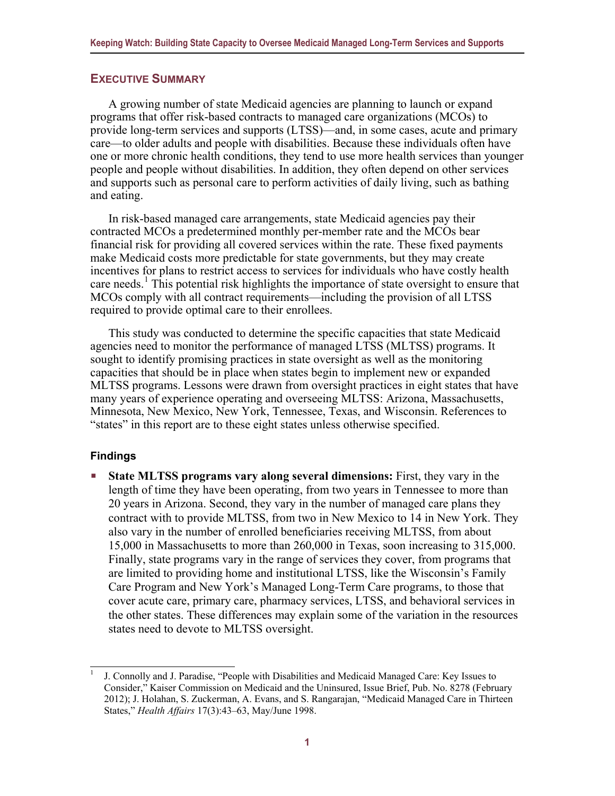#### <span id="page-5-0"></span>**EXECUTIVE SUMMARY**

A growing number of state Medicaid agencies are planning to launch or expand programs that offer risk-based contracts to managed care organizations (MCOs) to provide long-term services and supports (LTSS)—and, in some cases, acute and primary care—to older adults and people with disabilities. Because these individuals often have one or more chronic health conditions, they tend to use more health services than younger people and people without disabilities. In addition, they often depend on other services and supports such as personal care to perform activities of daily living, such as bathing and eating.

In risk-based managed care arrangements, state Medicaid agencies pay their contracted MCOs a predetermined monthly per-member rate and the MCOs bear financial risk for providing all covered services within the rate. These fixed payments make Medicaid costs more predictable for state governments, but they may create incentives for plans to restrict access to services for individuals who have costly health care needs.<sup>[1](#page-5-1)</sup> This potential risk highlights the importance of state oversight to ensure that MCOs comply with all contract requirements—including the provision of all LTSS required to provide optimal care to their enrollees.

This study was conducted to determine the specific capacities that state Medicaid agencies need to monitor the performance of managed LTSS (MLTSS) programs. It sought to identify promising practices in state oversight as well as the monitoring capacities that should be in place when states begin to implement new or expanded MLTSS programs. Lessons were drawn from oversight practices in eight states that have many years of experience operating and overseeing MLTSS: Arizona, Massachusetts, Minnesota, New Mexico, New York, Tennessee, Texas, and Wisconsin. References to "states" in this report are to these eight states unless otherwise specified.

#### **Findings**

 **State MLTSS programs vary along several dimensions:** First, they vary in the length of time they have been operating, from two years in Tennessee to more than 20 years in Arizona. Second, they vary in the number of managed care plans they contract with to provide MLTSS, from two in New Mexico to 14 in New York. They also vary in the number of enrolled beneficiaries receiving MLTSS, from about 15,000 in Massachusetts to more than 260,000 in Texas, soon increasing to 315,000. Finally, state programs vary in the range of services they cover, from programs that are limited to providing home and institutional LTSS, like the Wisconsin's Family Care Program and New York's Managed Long-Term Care programs, to those that cover acute care, primary care, pharmacy services, LTSS, and behavioral services in the other states. These differences may explain some of the variation in the resources states need to devote to MLTSS oversight.

<span id="page-5-1"></span><sup>1</sup> J. Connolly and J. Paradise, "People with Disabilities and Medicaid Managed Care: Key Issues to Consider," Kaiser Commission on Medicaid and the Uninsured, Issue Brief, Pub. No. 8278 (February 2012); J. Holahan, S. Zuckerman, A. Evans, and S. Rangarajan, "Medicaid Managed Care in Thirteen States," *Health Affairs* 17(3):43–63, May/June 1998.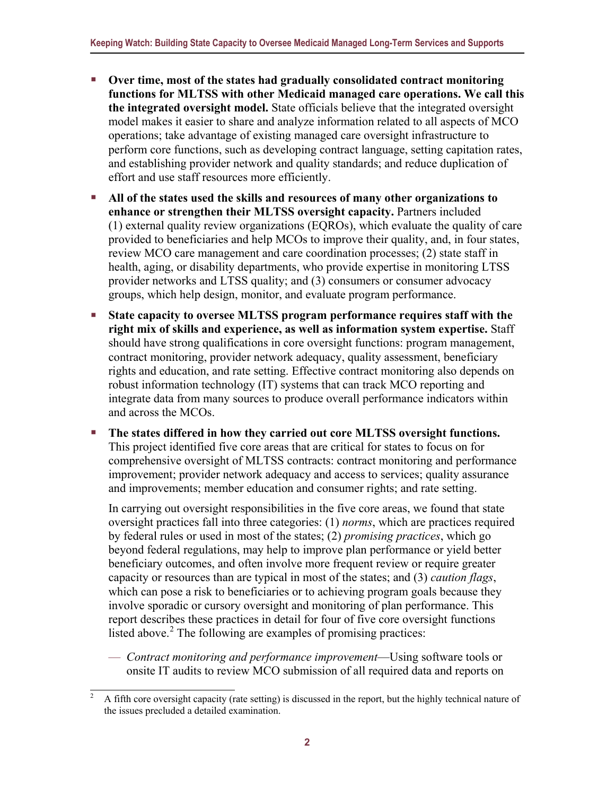- **Over time, most of the states had gradually consolidated contract monitoring functions for MLTSS with other Medicaid managed care operations. We call this the integrated oversight model.** State officials believe that the integrated oversight model makes it easier to share and analyze information related to all aspects of MCO operations; take advantage of existing managed care oversight infrastructure to perform core functions, such as developing contract language, setting capitation rates, and establishing provider network and quality standards; and reduce duplication of effort and use staff resources more efficiently.
- **All of the states used the skills and resources of many other organizations to enhance or strengthen their MLTSS oversight capacity.** Partners included (1) external quality review organizations (EQROs), which evaluate the quality of care provided to beneficiaries and help MCOs to improve their quality, and, in four states, review MCO care management and care coordination processes; (2) state staff in health, aging, or disability departments, who provide expertise in monitoring LTSS provider networks and LTSS quality; and (3) consumers or consumer advocacy groups, which help design, monitor, and evaluate program performance.
- **State capacity to oversee MLTSS program performance requires staff with the right mix of skills and experience, as well as information system expertise.** Staff should have strong qualifications in core oversight functions: program management, contract monitoring, provider network adequacy, quality assessment, beneficiary rights and education, and rate setting. Effective contract monitoring also depends on robust information technology (IT) systems that can track MCO reporting and integrate data from many sources to produce overall performance indicators within and across the MCOs.
- **The states differed in how they carried out core MLTSS oversight functions.**  This project identified five core areas that are critical for states to focus on for comprehensive oversight of MLTSS contracts: contract monitoring and performance improvement; provider network adequacy and access to services; quality assurance and improvements; member education and consumer rights; and rate setting.

In carrying out oversight responsibilities in the five core areas, we found that state oversight practices fall into three categories: (1) *norms*, which are practices required by federal rules or used in most of the states; (2) *promising practices*, which go beyond federal regulations, may help to improve plan performance or yield better beneficiary outcomes, and often involve more frequent review or require greater capacity or resources than are typical in most of the states; and (3) *caution flags*, which can pose a risk to beneficiaries or to achieving program goals because they involve sporadic or cursory oversight and monitoring of plan performance. This report describes these practices in detail for four of five core oversight functions listed above. $2$  The following are examples of promising practices:

— *Contract monitoring and performance improvement*—Using software tools or onsite IT audits to review MCO submission of all required data and reports on

<span id="page-6-0"></span><sup>2</sup> A fifth core oversight capacity (rate setting) is discussed in the report, but the highly technical nature of the issues precluded a detailed examination.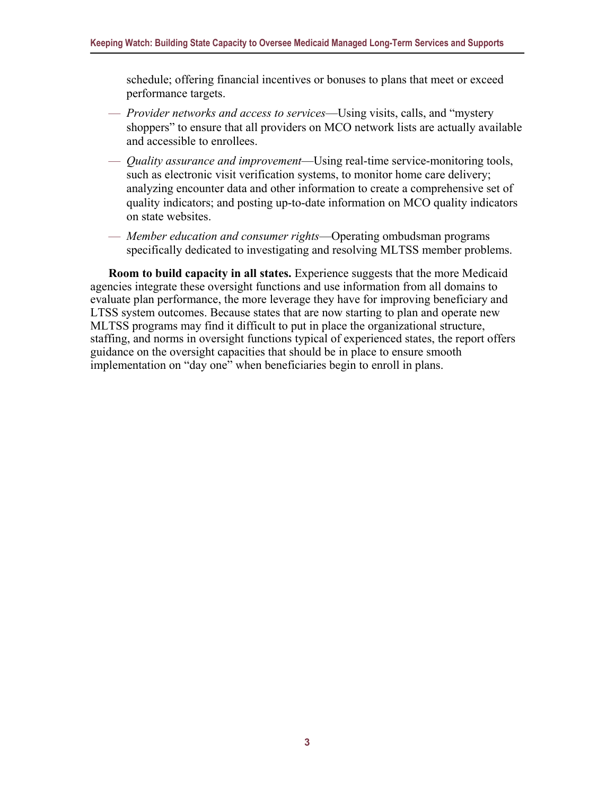schedule; offering financial incentives or bonuses to plans that meet or exceed performance targets.

- *Provider networks and access to services*—Using visits, calls, and "mystery shoppers" to ensure that all providers on MCO network lists are actually available and accessible to enrollees.
- *Quality assurance and improvement*—Using real-time service-monitoring tools, such as electronic visit verification systems, to monitor home care delivery; analyzing encounter data and other information to create a comprehensive set of quality indicators; and posting up-to-date information on MCO quality indicators on state websites.
- *Member education and consumer rights*—Operating ombudsman programs specifically dedicated to investigating and resolving MLTSS member problems.

**Room to build capacity in all states.** Experience suggests that the more Medicaid agencies integrate these oversight functions and use information from all domains to evaluate plan performance, the more leverage they have for improving beneficiary and LTSS system outcomes. Because states that are now starting to plan and operate new MLTSS programs may find it difficult to put in place the organizational structure, staffing, and norms in oversight functions typical of experienced states, the report offers guidance on the oversight capacities that should be in place to ensure smooth implementation on "day one" when beneficiaries begin to enroll in plans.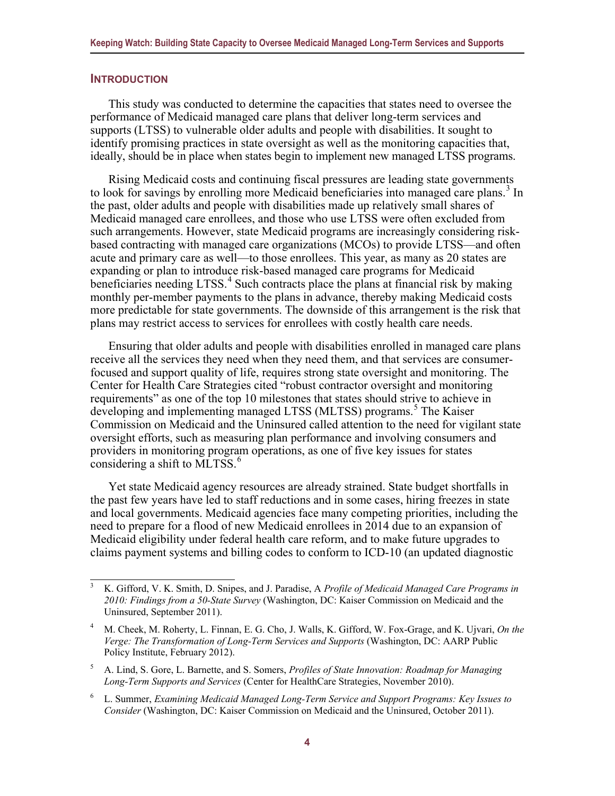#### <span id="page-8-0"></span>**INTRODUCTION**

This study was conducted to determine the capacities that states need to oversee the performance of Medicaid managed care plans that deliver long-term services and supports (LTSS) to vulnerable older adults and people with disabilities. It sought to identify promising practices in state oversight as well as the monitoring capacities that, ideally, should be in place when states begin to implement new managed LTSS programs.

Rising Medicaid costs and continuing fiscal pressures are leading state governments to look for savings by enrolling more Medicaid beneficiaries into managed care plans.<sup>[3](#page-8-1)</sup> In the past, older adults and people with disabilities made up relatively small shares of Medicaid managed care enrollees, and those who use LTSS were often excluded from such arrangements. However, state Medicaid programs are increasingly considering riskbased contracting with managed care organizations (MCOs) to provide LTSS—and often acute and primary care as well—to those enrollees. This year, as many as 20 states are expanding or plan to introduce risk-based managed care programs for Medicaid beneficiaries needing LTSS.<sup>[4](#page-8-2)</sup> Such contracts place the plans at financial risk by making monthly per-member payments to the plans in advance, thereby making Medicaid costs more predictable for state governments. The downside of this arrangement is the risk that plans may restrict access to services for enrollees with costly health care needs.

Ensuring that older adults and people with disabilities enrolled in managed care plans receive all the services they need when they need them, and that services are consumerfocused and support quality of life, requires strong state oversight and monitoring. The Center for Health Care Strategies cited "robust contractor oversight and monitoring requirements" as one of the top 10 milestones that states should strive to achieve in developing and implementing managed LTSS (MLTSS) programs.<sup>[5](#page-8-3)</sup> The Kaiser Commission on Medicaid and the Uninsured called attention to the need for vigilant state oversight efforts, such as measuring plan performance and involving consumers and providers in monitoring program operations, as one of five key issues for states considering a shift to MLTSS. $<sup>6</sup>$  $<sup>6</sup>$  $<sup>6</sup>$ </sup>

Yet state Medicaid agency resources are already strained. State budget shortfalls in the past few years have led to staff reductions and in some cases, hiring freezes in state and local governments. Medicaid agencies face many competing priorities, including the need to prepare for a flood of new Medicaid enrollees in 2014 due to an expansion of Medicaid eligibility under federal health care reform, and to make future upgrades to claims payment systems and billing codes to conform to ICD-10 (an updated diagnostic

<span id="page-8-1"></span><sup>3</sup> K. Gifford, V. K. Smith, D. Snipes, and J. Paradise, A *Profile of Medicaid Managed Care Programs in 2010: Findings from a 50-State Survey* (Washington, DC: Kaiser Commission on Medicaid and the Uninsured, September 2011).

<span id="page-8-2"></span><sup>4</sup> M. Cheek, M. Roherty, L. Finnan, E. G. Cho, J. Walls, K. Gifford, W. Fox-Grage, and K. Ujvari, *On the Verge: The Transformation of Long-Term Services and Supports* (Washington, DC: AARP Public Policy Institute, February 2012).

<span id="page-8-3"></span><sup>5</sup> A. Lind, S. Gore, L. Barnette, and S. Somers, *Profiles of State Innovation: Roadmap for Managing Long-Term Supports and Services* (Center for HealthCare Strategies, November 2010).

<span id="page-8-4"></span><sup>6</sup> L. Summer, *Examining Medicaid Managed Long-Term Service and Support Programs: Key Issues to Consider* (Washington, DC: Kaiser Commission on Medicaid and the Uninsured, October 2011).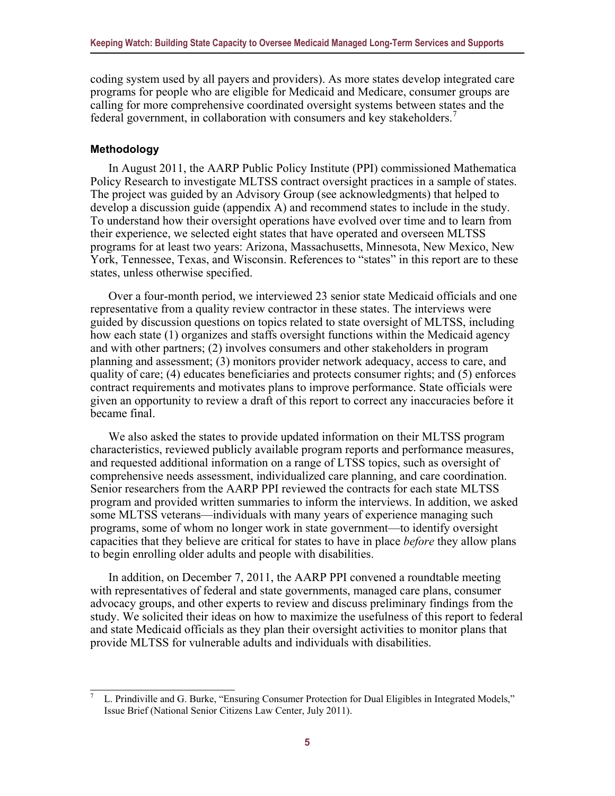coding system used by all payers and providers). As more states develop integrated care programs for people who are eligible for Medicaid and Medicare, consumer groups are calling for more comprehensive coordinated oversight systems between states and the federal government, in collaboration with consumers and key stakeholders.<sup>[7](#page-9-1)</sup>

#### <span id="page-9-0"></span>**Methodology**

In August 2011, the AARP Public Policy Institute (PPI) commissioned Mathematica Policy Research to investigate MLTSS contract oversight practices in a sample of states. The project was guided by an Advisory Group (see acknowledgments) that helped to develop a discussion guide (appendix A) and recommend states to include in the study. To understand how their oversight operations have evolved over time and to learn from their experience, we selected eight states that have operated and overseen MLTSS programs for at least two years: Arizona, Massachusetts, Minnesota, New Mexico, New York, Tennessee, Texas, and Wisconsin. References to "states" in this report are to these states, unless otherwise specified.

Over a four-month period, we interviewed 23 senior state Medicaid officials and one representative from a quality review contractor in these states. The interviews were guided by discussion questions on topics related to state oversight of MLTSS, including how each state (1) organizes and staffs oversight functions within the Medicaid agency and with other partners; (2) involves consumers and other stakeholders in program planning and assessment; (3) monitors provider network adequacy, access to care, and quality of care; (4) educates beneficiaries and protects consumer rights; and (5) enforces contract requirements and motivates plans to improve performance. State officials were given an opportunity to review a draft of this report to correct any inaccuracies before it became final.

We also asked the states to provide updated information on their MLTSS program characteristics, reviewed publicly available program reports and performance measures, and requested additional information on a range of LTSS topics, such as oversight of comprehensive needs assessment, individualized care planning, and care coordination. Senior researchers from the AARP PPI reviewed the contracts for each state MLTSS program and provided written summaries to inform the interviews. In addition, we asked some MLTSS veterans—individuals with many years of experience managing such programs, some of whom no longer work in state government—to identify oversight capacities that they believe are critical for states to have in place *before* they allow plans to begin enrolling older adults and people with disabilities.

In addition, on December 7, 2011, the AARP PPI convened a roundtable meeting with representatives of federal and state governments, managed care plans, consumer advocacy groups, and other experts to review and discuss preliminary findings from the study. We solicited their ideas on how to maximize the usefulness of this report to federal and state Medicaid officials as they plan their oversight activities to monitor plans that provide MLTSS for vulnerable adults and individuals with disabilities.

<span id="page-9-1"></span><sup>7</sup> L. Prindiville and G. Burke, "Ensuring Consumer Protection for Dual Eligibles in Integrated Models," Issue Brief (National Senior Citizens Law Center, July 2011).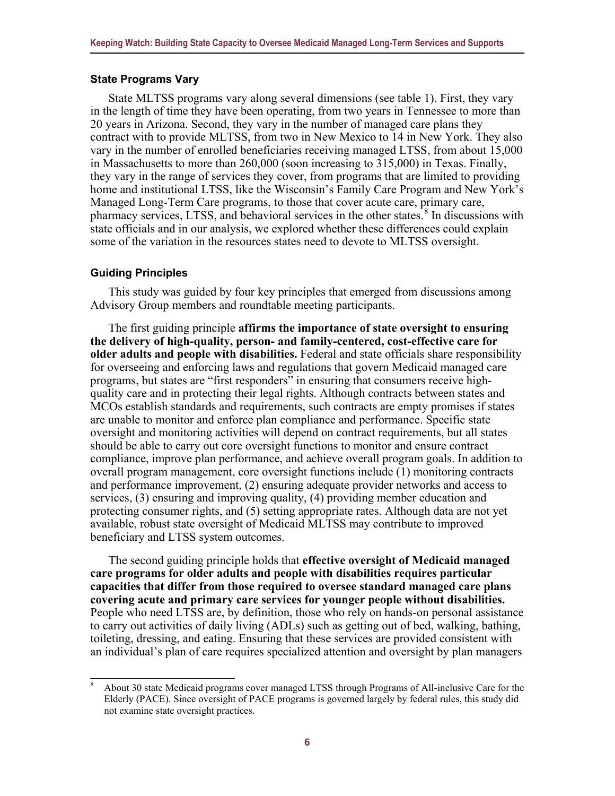#### <span id="page-10-0"></span>**State Programs Vary**

State MLTSS programs vary along several dimensions (see table 1). First, they vary in the length of time they have been operating, from two years in Tennessee to more than 20 years in Arizona. Second, they vary in the number of managed care plans they contract with to provide MLTSS, from two in New Mexico to 14 in New York. They also vary in the number of enrolled beneficiaries receiving managed LTSS, from about 15,000 in Massachusetts to more than 260,000 (soon increasing to 315,000) in Texas. Finally, they vary in the range of services they cover, from programs that are limited to providing home and institutional LTSS, like the Wisconsin's Family Care Program and New York's Managed Long-Term Care programs, to those that cover acute care, primary care, pharmacy services, LTSS, and behavioral services in the other states.<sup>[8](#page-10-2)</sup> In discussions with state officials and in our analysis, we explored whether these differences could explain some of the variation in the resources states need to devote to MLTSS oversight.

#### <span id="page-10-1"></span>**Guiding Principles**

This study was guided by four key principles that emerged from discussions among Advisory Group members and roundtable meeting participants.

The first guiding principle **affirms the importance of state oversight to ensuring the delivery of high-quality, person- and family-centered, cost-effective care for older adults and people with disabilities.** Federal and state officials share responsibility for overseeing and enforcing laws and regulations that govern Medicaid managed care programs, but states are "first responders" in ensuring that consumers receive highquality care and in protecting their legal rights. Although contracts between states and MCOs establish standards and requirements, such contracts are empty promises if states are unable to monitor and enforce plan compliance and performance. Specific state oversight and monitoring activities will depend on contract requirements, but all states should be able to carry out core oversight functions to monitor and ensure contract compliance, improve plan performance, and achieve overall program goals. In addition to overall program management, core oversight functions include (1) monitoring contracts and performance improvement, (2) ensuring adequate provider networks and access to services, (3) ensuring and improving quality, (4) providing member education and protecting consumer rights, and (5) setting appropriate rates. Although data are not yet available, robust state oversight of Medicaid MLTSS may contribute to improved beneficiary and LTSS system outcomes.

The second guiding principle holds that **effective oversight of Medicaid managed care programs for older adults and people with disabilities requires particular capacities that differ from those required to oversee standard managed care plans covering acute and primary care services for younger people without disabilities.** People who need LTSS are, by definition, those who rely on hands-on personal assistance to carry out activities of daily living (ADLs) such as getting out of bed, walking, bathing, toileting, dressing, and eating. Ensuring that these services are provided consistent with an individual's plan of care requires specialized attention and oversight by plan managers

<span id="page-10-2"></span><sup>8</sup> About 30 state Medicaid programs cover managed LTSS through Programs of All-inclusive Care for the Elderly (PACE). Since oversight of PACE programs is governed largely by federal rules, this study did not examine state oversight practices.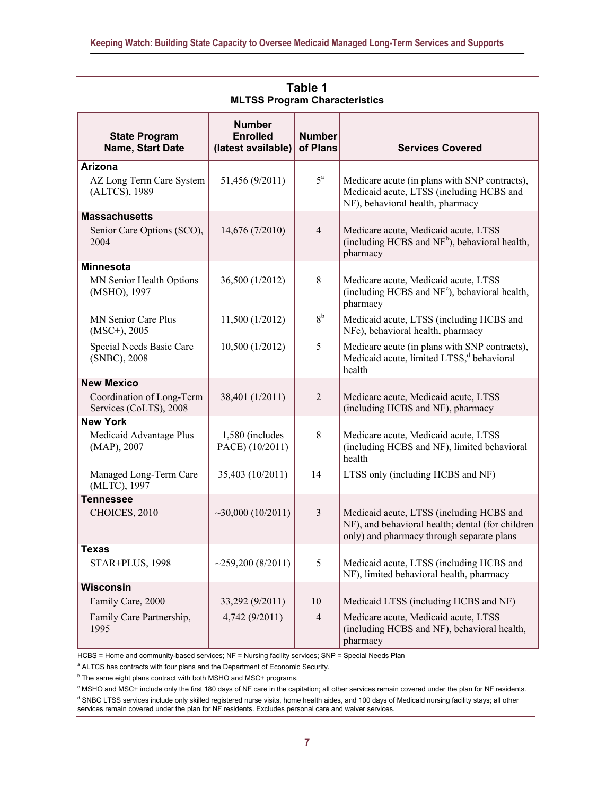| <b>State Program</b><br>Name, Start Date            | <b>Number</b><br><b>Enrolled</b><br>(latest available) | <b>Number</b><br>of Plans | <b>Services Covered</b>                                                                                                                   |  |  |  |
|-----------------------------------------------------|--------------------------------------------------------|---------------------------|-------------------------------------------------------------------------------------------------------------------------------------------|--|--|--|
| Arizona                                             |                                                        |                           |                                                                                                                                           |  |  |  |
| AZ Long Term Care System<br>(ALTCS), 1989           | 51,456 (9/2011)                                        | $5^{\mathrm{a}}$          | Medicare acute (in plans with SNP contracts),<br>Medicaid acute, LTSS (including HCBS and<br>NF), behavioral health, pharmacy             |  |  |  |
| <b>Massachusetts</b>                                |                                                        |                           |                                                                                                                                           |  |  |  |
| Senior Care Options (SCO),<br>2004                  | 14,676 (7/2010)                                        | $\overline{4}$            | Medicare acute, Medicaid acute, LTSS<br>(including HCBS and NF <sup>b</sup> ), behavioral health,<br>pharmacy                             |  |  |  |
| <b>Minnesota</b>                                    |                                                        |                           |                                                                                                                                           |  |  |  |
| MN Senior Health Options<br>(MSHO), 1997            | 36,500 (1/2012)                                        | 8                         | Medicare acute, Medicaid acute, LTSS<br>(including HCBS and NF <sup>c</sup> ), behavioral health,<br>pharmacy                             |  |  |  |
| MN Senior Care Plus<br>$(MSC+)$ , 2005              | 11,500 (1/2012)                                        | 8 <sup>b</sup>            | Medicaid acute, LTSS (including HCBS and<br>NFc), behavioral health, pharmacy                                                             |  |  |  |
| Special Needs Basic Care<br>(SNBC), 2008            | 10,500 (1/2012)                                        | 5                         | Medicare acute (in plans with SNP contracts),<br>Medicaid acute, limited LTSS, <sup>d</sup> behavioral<br>health                          |  |  |  |
| <b>New Mexico</b>                                   |                                                        |                           |                                                                                                                                           |  |  |  |
| Coordination of Long-Term<br>Services (CoLTS), 2008 | 38,401 (1/2011)                                        | $\overline{2}$            | Medicare acute, Medicaid acute, LTSS<br>(including HCBS and NF), pharmacy                                                                 |  |  |  |
| <b>New York</b>                                     |                                                        |                           |                                                                                                                                           |  |  |  |
| Medicaid Advantage Plus<br>(MAP), 2007              | 1,580 (includes<br>PACE) (10/2011)                     | 8                         | Medicare acute, Medicaid acute, LTSS<br>(including HCBS and NF), limited behavioral<br>health                                             |  |  |  |
| Managed Long-Term Care<br>(MLTC), 1997              | 35,403 (10/2011)                                       | 14                        | LTSS only (including HCBS and NF)                                                                                                         |  |  |  |
| <b>Tennessee</b>                                    |                                                        |                           |                                                                                                                                           |  |  |  |
| $\sim$ 30,000 (10/2011)<br>CHOICES, 2010            |                                                        | 3                         | Medicaid acute, LTSS (including HCBS and<br>NF), and behavioral health; dental (for children<br>only) and pharmacy through separate plans |  |  |  |
| <b>Texas</b>                                        |                                                        |                           |                                                                                                                                           |  |  |  |
| STAR+PLUS, 1998                                     | $\sim$ 259,200 (8/2011)                                | 5                         | Medicaid acute, LTSS (including HCBS and<br>NF), limited behavioral health, pharmacy                                                      |  |  |  |
| <b>Wisconsin</b>                                    |                                                        |                           |                                                                                                                                           |  |  |  |
| Family Care, 2000                                   | 33,292 (9/2011)                                        | 10                        | Medicaid LTSS (including HCBS and NF)                                                                                                     |  |  |  |
| Family Care Partnership,<br>1995                    | 4,742 (9/2011)                                         | $\overline{4}$            | Medicare acute, Medicaid acute, LTSS<br>(including HCBS and NF), behavioral health,<br>pharmacy                                           |  |  |  |

**Table 1 MLTSS Program Characteristics**

HCBS = Home and community-based services; NF = Nursing facility services; SNP = Special Needs Plan

<sup>a</sup> ALTCS has contracts with four plans and the Department of Economic Security.

 $<sup>b</sup>$  The same eight plans contract with both MSHO and MSC+ programs.</sup>

 $\degree$  MSHO and MSC+ include only the first 180 days of NF care in the capitation; all other services remain covered under the plan for NF residents. <sup>d</sup> SNBC LTSS services include only skilled registered nurse visits, home health aides, and 100 days of Medicaid nursing facility stays; all other services remain covered under the plan for NF residents. Excludes personal care and waiver services.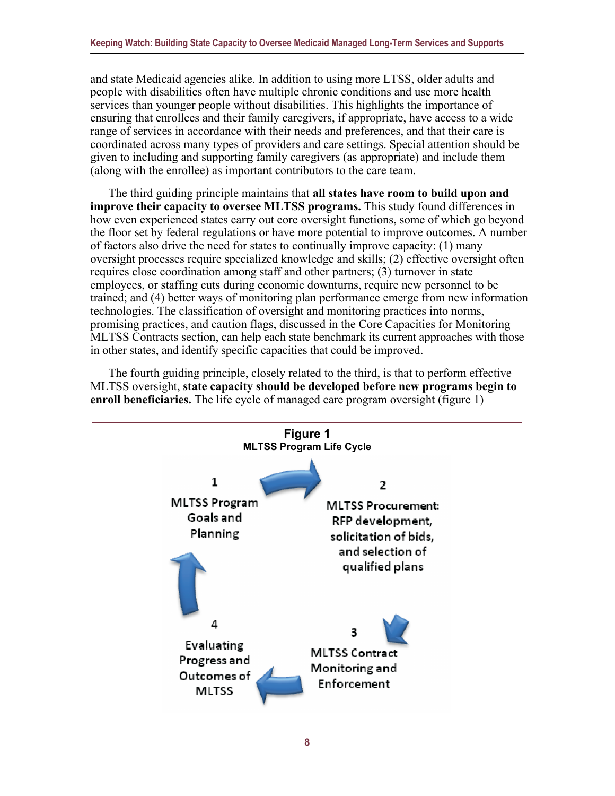and state Medicaid agencies alike. In addition to using more LTSS, older adults and people with disabilities often have multiple chronic conditions and use more health services than younger people without disabilities. This highlights the importance of ensuring that enrollees and their family caregivers, if appropriate, have access to a wide range of services in accordance with their needs and preferences, and that their care is coordinated across many types of providers and care settings. Special attention should be given to including and supporting family caregivers (as appropriate) and include them (along with the enrollee) as important contributors to the care team.

The third guiding principle maintains that **all states have room to build upon and improve their capacity to oversee MLTSS programs.** This study found differences in how even experienced states carry out core oversight functions, some of which go beyond the floor set by federal regulations or have more potential to improve outcomes. A number of factors also drive the need for states to continually improve capacity: (1) many oversight processes require specialized knowledge and skills; (2) effective oversight often requires close coordination among staff and other partners; (3) turnover in state employees, or staffing cuts during economic downturns, require new personnel to be trained; and (4) better ways of monitoring plan performance emerge from new information technologies. The classification of oversight and monitoring practices into norms, promising practices, and caution flags, discussed in the Core Capacities for Monitoring MLTSS Contracts section, can help each state benchmark its current approaches with those in other states, and identify specific capacities that could be improved.

The fourth guiding principle, closely related to the third, is that to perform effective MLTSS oversight, **state capacity should be developed before new programs begin to enroll beneficiaries.** The life cycle of managed care program oversight (figure 1)

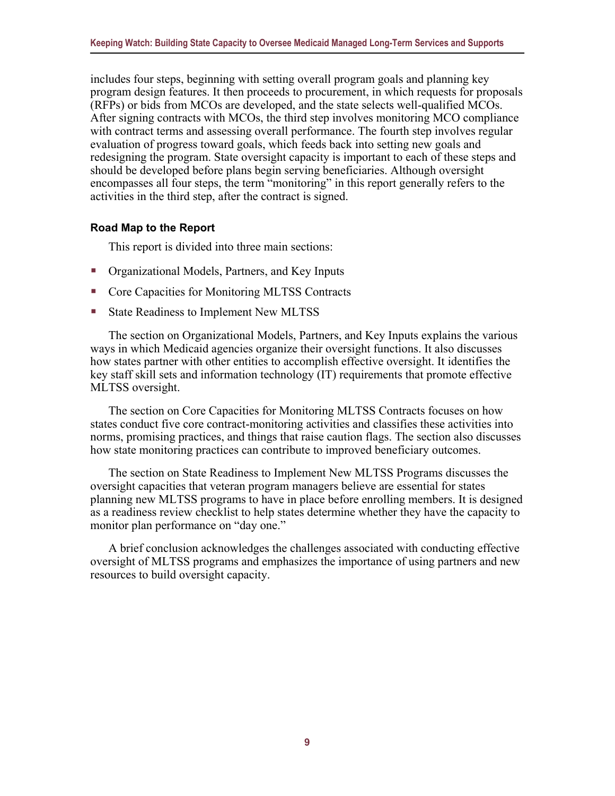includes four steps, beginning with setting overall program goals and planning key program design features. It then proceeds to procurement, in which requests for proposals (RFPs) or bids from MCOs are developed, and the state selects well-qualified MCOs. After signing contracts with MCOs, the third step involves monitoring MCO compliance with contract terms and assessing overall performance. The fourth step involves regular evaluation of progress toward goals, which feeds back into setting new goals and redesigning the program. State oversight capacity is important to each of these steps and should be developed before plans begin serving beneficiaries. Although oversight encompasses all four steps, the term "monitoring" in this report generally refers to the activities in the third step, after the contract is signed.

#### <span id="page-13-0"></span>**Road Map to the Report**

This report is divided into three main sections:

- Organizational Models, Partners, and Key Inputs
- Core Capacities for Monitoring MLTSS Contracts
- State Readiness to Implement New MLTSS

The section on Organizational Models, Partners, and Key Inputs explains the various ways in which Medicaid agencies organize their oversight functions. It also discusses how states partner with other entities to accomplish effective oversight. It identifies the key staff skill sets and information technology (IT) requirements that promote effective MLTSS oversight.

The section on Core Capacities for Monitoring MLTSS Contracts focuses on how states conduct five core contract-monitoring activities and classifies these activities into norms, promising practices, and things that raise caution flags. The section also discusses how state monitoring practices can contribute to improved beneficiary outcomes.

The section on State Readiness to Implement New MLTSS Programs discusses the oversight capacities that veteran program managers believe are essential for states planning new MLTSS programs to have in place before enrolling members. It is designed as a readiness review checklist to help states determine whether they have the capacity to monitor plan performance on "day one."

A brief conclusion acknowledges the challenges associated with conducting effective oversight of MLTSS programs and emphasizes the importance of using partners and new resources to build oversight capacity.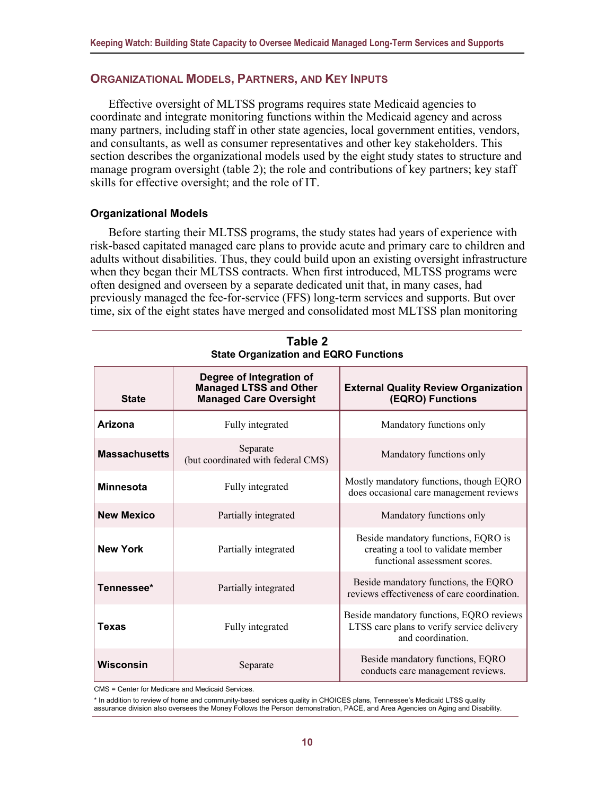#### <span id="page-14-0"></span>**ORGANIZATIONAL MODELS, PARTNERS, AND KEY INPUTS**

Effective oversight of MLTSS programs requires state Medicaid agencies to coordinate and integrate monitoring functions within the Medicaid agency and across many partners, including staff in other state agencies, local government entities, vendors, and consultants, as well as consumer representatives and other key stakeholders. This section describes the organizational models used by the eight study states to structure and manage program oversight (table 2); the role and contributions of key partners; key staff skills for effective oversight; and the role of IT.

#### <span id="page-14-1"></span>**Organizational Models**

Before starting their MLTSS programs, the study states had years of experience with risk-based capitated managed care plans to provide acute and primary care to children and adults without disabilities. Thus, they could build upon an existing oversight infrastructure when they began their MLTSS contracts. When first introduced, MLTSS programs were often designed and overseen by a separate dedicated unit that, in many cases, had previously managed the fee-for-service (FFS) long-term services and supports. But over time, six of the eight states have merged and consolidated most MLTSS plan monitoring

| <b>State</b>         | Degree of Integration of<br><b>Managed LTSS and Other</b><br><b>Managed Care Oversight</b> | <b>External Quality Review Organization</b><br>(EQRO) Functions                                            |  |
|----------------------|--------------------------------------------------------------------------------------------|------------------------------------------------------------------------------------------------------------|--|
| Arizona              | Fully integrated                                                                           | Mandatory functions only                                                                                   |  |
| <b>Massachusetts</b> | Separate<br>(but coordinated with federal CMS)                                             | Mandatory functions only                                                                                   |  |
| <b>Minnesota</b>     | Fully integrated                                                                           | Mostly mandatory functions, though EQRO<br>does occasional care management reviews                         |  |
| <b>New Mexico</b>    | Partially integrated                                                                       | Mandatory functions only                                                                                   |  |
| <b>New York</b>      | Partially integrated                                                                       | Beside mandatory functions, EQRO is<br>creating a tool to validate member<br>functional assessment scores. |  |
| Tennessee*           | Partially integrated                                                                       | Beside mandatory functions, the EQRO<br>reviews effectiveness of care coordination.                        |  |
| Texas                | Fully integrated                                                                           | Beside mandatory functions, EQRO reviews<br>LTSS care plans to verify service delivery<br>and coordination |  |
| Wisconsin            | Separate                                                                                   | Beside mandatory functions, EQRO<br>conducts care management reviews.                                      |  |

**Table 2 State Organization and EQRO Functions**

CMS = Center for Medicare and Medicaid Services.

\* In addition to review of home and community-based services quality in CHOICES plans, Tennessee's Medicaid LTSS quality assurance division also oversees the Money Follows the Person demonstration, PACE, and Area Agencies on Aging and Disability.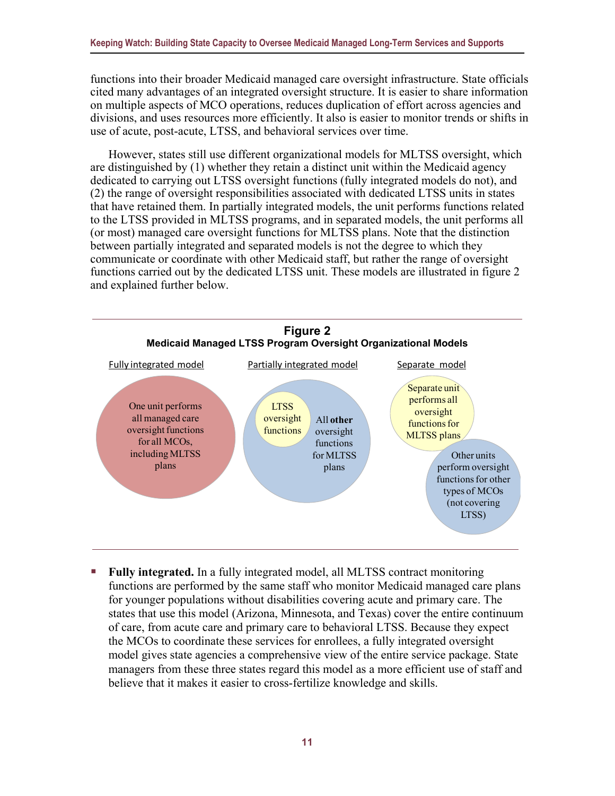functions into their broader Medicaid managed care oversight infrastructure. State officials cited many advantages of an integrated oversight structure. It is easier to share information on multiple aspects of MCO operations, reduces duplication of effort across agencies and divisions, and uses resources more efficiently. It also is easier to monitor trends or shifts in use of acute, post-acute, LTSS, and behavioral services over time.

However, states still use different organizational models for MLTSS oversight, which are distinguished by (1) whether they retain a distinct unit within the Medicaid agency dedicated to carrying out LTSS oversight functions (fully integrated models do not), and (2) the range of oversight responsibilities associated with dedicated LTSS units in states that have retained them. In partially integrated models, the unit performs functions related to the LTSS provided in MLTSS programs, and in separated models, the unit performs all (or most) managed care oversight functions for MLTSS plans. Note that the distinction between partially integrated and separated models is not the degree to which they communicate or coordinate with other Medicaid staff, but rather the range of oversight functions carried out by the dedicated LTSS unit. These models are illustrated in figure 2 and explained further below.



 **Fully integrated.** In a fully integrated model, all MLTSS contract monitoring functions are performed by the same staff who monitor Medicaid managed care plans for younger populations without disabilities covering acute and primary care. The states that use this model (Arizona, Minnesota, and Texas) cover the entire continuum of care, from acute care and primary care to behavioral LTSS. Because they expect the MCOs to coordinate these services for enrollees, a fully integrated oversight model gives state agencies a comprehensive view of the entire service package. State managers from these three states regard this model as a more efficient use of staff and believe that it makes it easier to cross-fertilize knowledge and skills.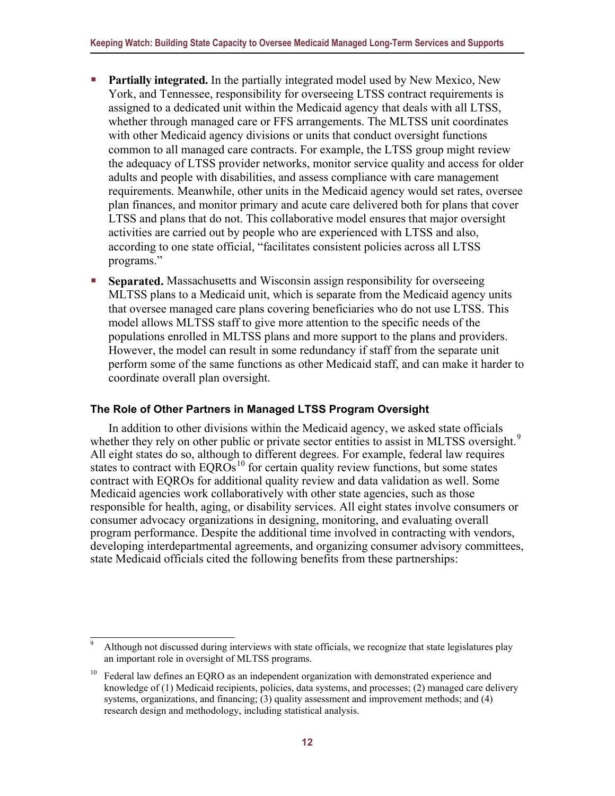- **Partially integrated.** In the partially integrated model used by New Mexico, New York, and Tennessee, responsibility for overseeing LTSS contract requirements is assigned to a dedicated unit within the Medicaid agency that deals with all LTSS, whether through managed care or FFS arrangements. The MLTSS unit coordinates with other Medicaid agency divisions or units that conduct oversight functions common to all managed care contracts. For example, the LTSS group might review the adequacy of LTSS provider networks, monitor service quality and access for older adults and people with disabilities, and assess compliance with care management requirements. Meanwhile, other units in the Medicaid agency would set rates, oversee plan finances, and monitor primary and acute care delivered both for plans that cover LTSS and plans that do not. This collaborative model ensures that major oversight activities are carried out by people who are experienced with LTSS and also, according to one state official, "facilitates consistent policies across all LTSS programs."
- **Separated.** Massachusetts and Wisconsin assign responsibility for overseeing MLTSS plans to a Medicaid unit, which is separate from the Medicaid agency units that oversee managed care plans covering beneficiaries who do not use LTSS. This model allows MLTSS staff to give more attention to the specific needs of the populations enrolled in MLTSS plans and more support to the plans and providers. However, the model can result in some redundancy if staff from the separate unit perform some of the same functions as other Medicaid staff, and can make it harder to coordinate overall plan oversight.

#### <span id="page-16-0"></span>**The Role of Other Partners in Managed LTSS Program Oversight**

In addition to other divisions within the Medicaid agency, we asked state officials whether they rely on other public or private sector entities to assist in MLTSS oversight.<sup>[9](#page-16-1)</sup> All eight states do so, although to different degrees. For example, federal law requires states to contract with  $EQROs<sup>10</sup>$  for certain quality review functions, but some states contract with EQROs for additional quality review and data validation as well. Some Medicaid agencies work collaboratively with other state agencies, such as those responsible for health, aging, or disability services. All eight states involve consumers or consumer advocacy organizations in designing, monitoring, and evaluating overall program performance. Despite the additional time involved in contracting with vendors, developing interdepartmental agreements, and organizing consumer advisory committees, state Medicaid officials cited the following benefits from these partnerships:

<span id="page-16-1"></span>Although not discussed during interviews with state officials, we recognize that state legislatures play an important role in oversight of MLTSS programs.

<span id="page-16-2"></span><sup>10</sup> Federal law defines an EQRO as an independent organization with demonstrated experience and knowledge of (1) Medicaid recipients, policies, data systems, and processes; (2) managed care delivery systems, organizations, and financing; (3) quality assessment and improvement methods; and (4) research design and methodology, including statistical analysis.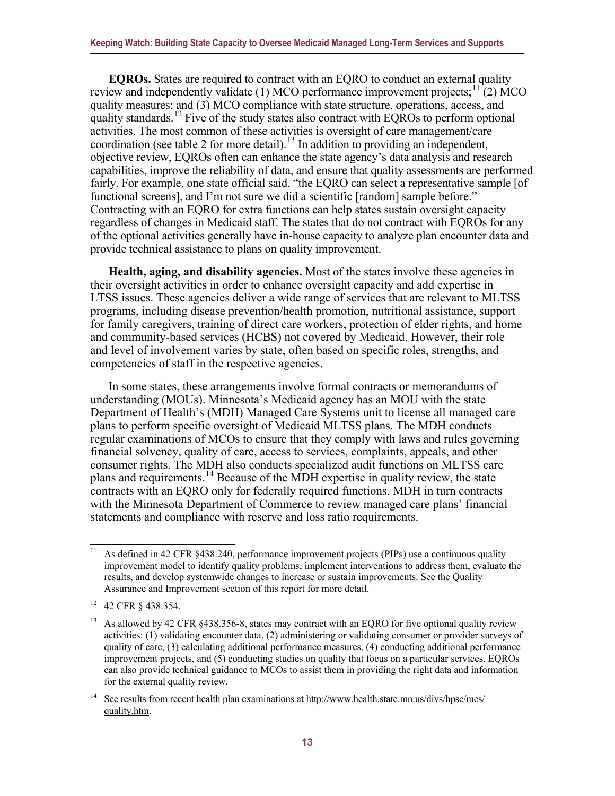**EQROs.** States are required to contract with an EQRO to conduct an external quality review and independently validate (1) MCO performance improvement projects;  $\frac{11}{2}$  $\frac{11}{2}$  $\frac{11}{2}$  MCO quality measures; and (3) MCO compliance with state structure, operations, access, and quality standards.<sup>[12](#page-17-1)</sup> Five of the study states also contract with EQROs to perform optional activities. The most common of these activities is oversight of care management/care coordination (see table 2 for more detail).<sup>[13](#page-17-2)</sup> In addition to providing an independent, objective review, EQROs often can enhance the state agency's data analysis and research capabilities, improve the reliability of data, and ensure that quality assessments are performed fairly. For example, one state official said, "the EORO can select a representative sample [of functional screens], and I'm not sure we did a scientific [random] sample before." Contracting with an EQRO for extra functions can help states sustain oversight capacity regardless of changes in Medicaid staff. The states that do not contract with EQROs for any of the optional activities generally have in-house capacity to analyze plan encounter data and provide technical assistance to plans on quality improvement.

**Health, aging, and disability agencies.** Most of the states involve these agencies in their oversight activities in order to enhance oversight capacity and add expertise in LTSS issues. These agencies deliver a wide range of services that are relevant to MLTSS programs, including disease prevention/health promotion, nutritional assistance, support for family caregivers, training of direct care workers, protection of elder rights, and home and community-based services (HCBS) not covered by Medicaid. However, their role and level of involvement varies by state, often based on specific roles, strengths, and competencies of staff in the respective agencies.

In some states, these arrangements involve formal contracts or memorandums of understanding (MOUs). Minnesota's Medicaid agency has an MOU with the state Department of Health's (MDH) Managed Care Systems unit to license all managed care plans to perform specific oversight of Medicaid MLTSS plans. The MDH conducts regular examinations of MCOs to ensure that they comply with laws and rules governing financial solvency, quality of care, access to services, complaints, appeals, and other consumer rights. The MDH also conducts specialized audit functions on MLTSS care plans and requirements.[14](#page-17-3) Because of the MDH expertise in quality review, the state contracts with an EQRO only for federally required functions. MDH in turn contracts with the Minnesota Department of Commerce to review managed care plans' financial statements and compliance with reserve and loss ratio requirements.

<span id="page-17-0"></span><sup>&</sup>lt;sup>11</sup> As defined in 42 CFR  $\&$  438.240, performance improvement projects (PIPs) use a continuous quality improvement model to identify quality problems, implement interventions to address them, evaluate the results, and develop systemwide changes to increase or sustain improvements. See the Quality Assurance and Improvement section of this report for more detail.

<span id="page-17-1"></span><sup>12</sup> 42 CFR § 438.354.

<span id="page-17-2"></span><sup>&</sup>lt;sup>13</sup> As allowed by 42 CFR  $\S 438.356-8$ , states may contract with an EQRO for five optional quality review activities: (1) validating encounter data, (2) administering or validating consumer or provider surveys of quality of care, (3) calculating additional performance measures, (4) conducting additional performance improvement projects, and (5) conducting studies on quality that focus on a particular services. EQROs can also provide technical guidance to MCOs to assist them in providing the right data and information for the external quality review.

<span id="page-17-3"></span><sup>&</sup>lt;sup>14</sup> See results from recent health plan examinations at [http://www.health.state.mn.us/divs/hpsc/mcs/](http://www.health.state.mn.us/divs/hpsc/mcs/quality.htm) [quality.htm.](http://www.health.state.mn.us/divs/hpsc/mcs/quality.htm)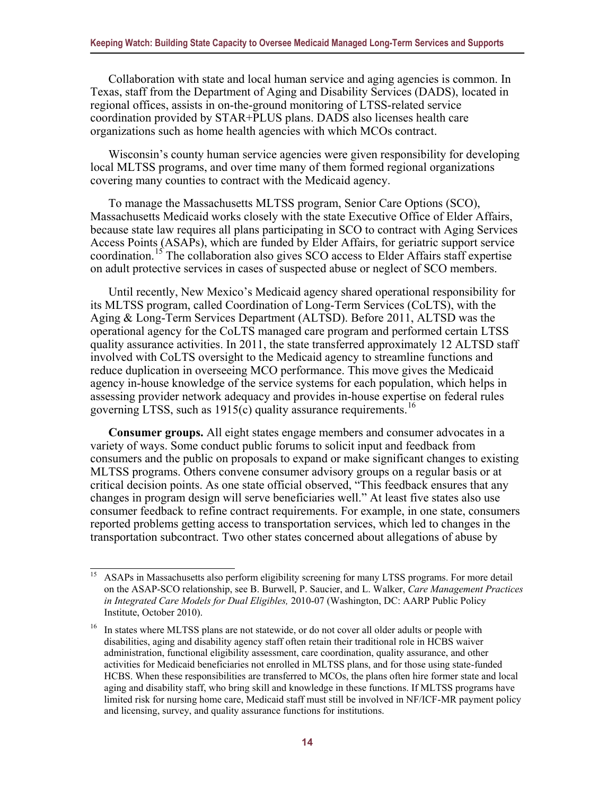Collaboration with state and local human service and aging agencies is common. In Texas, staff from the Department of Aging and Disability Services (DADS), located in regional offices, assists in on-the-ground monitoring of LTSS-related service coordination provided by STAR+PLUS plans. DADS also licenses health care organizations such as home health agencies with which MCOs contract.

Wisconsin's county human service agencies were given responsibility for developing local MLTSS programs, and over time many of them formed regional organizations covering many counties to contract with the Medicaid agency.

To manage the Massachusetts MLTSS program, Senior Care Options (SCO), Massachusetts Medicaid works closely with the state Executive Office of Elder Affairs, because state law requires all plans participating in SCO to contract with Aging Services Access Points (ASAPs), which are funded by Elder Affairs, for geriatric support service coordination.[15](#page-18-0) The collaboration also gives SCO access to Elder Affairs staff expertise on adult protective services in cases of suspected abuse or neglect of SCO members.

Until recently, New Mexico's Medicaid agency shared operational responsibility for its MLTSS program, called Coordination of Long-Term Services (CoLTS), with the Aging & Long-Term Services Department (ALTSD). Before 2011, ALTSD was the operational agency for the CoLTS managed care program and performed certain LTSS quality assurance activities. In 2011, the state transferred approximately 12 ALTSD staff involved with CoLTS oversight to the Medicaid agency to streamline functions and reduce duplication in overseeing MCO performance. This move gives the Medicaid agency in-house knowledge of the service systems for each population, which helps in assessing provider network adequacy and provides in-house expertise on federal rules governing LTSS, such as  $1915(c)$  quality assurance requirements.<sup>[16](#page-18-1)</sup>

**Consumer groups.** All eight states engage members and consumer advocates in a variety of ways. Some conduct public forums to solicit input and feedback from consumers and the public on proposals to expand or make significant changes to existing MLTSS programs. Others convene consumer advisory groups on a regular basis or at critical decision points. As one state official observed, "This feedback ensures that any changes in program design will serve beneficiaries well." At least five states also use consumer feedback to refine contract requirements. For example, in one state, consumers reported problems getting access to transportation services, which led to changes in the transportation subcontract. Two other states concerned about allegations of abuse by

<span id="page-18-0"></span><sup>&</sup>lt;sup>15</sup> ASAPs in Massachusetts also perform eligibility screening for many LTSS programs. For more detail on the ASAP-SCO relationship, see B. Burwell, P. Saucier, and L. Walker, *Care Management Practices in Integrated Care Models for Dual Eligibles,* 2010-07 (Washington, DC: AARP Public Policy Institute, October 2010).

<span id="page-18-1"></span><sup>&</sup>lt;sup>16</sup> In states where MLTSS plans are not statewide, or do not cover all older adults or people with disabilities, aging and disability agency staff often retain their traditional role in HCBS waiver administration, functional eligibility assessment, care coordination, quality assurance, and other activities for Medicaid beneficiaries not enrolled in MLTSS plans, and for those using state-funded HCBS. When these responsibilities are transferred to MCOs, the plans often hire former state and local aging and disability staff, who bring skill and knowledge in these functions. If MLTSS programs have limited risk for nursing home care, Medicaid staff must still be involved in NF/ICF-MR payment policy and licensing, survey, and quality assurance functions for institutions.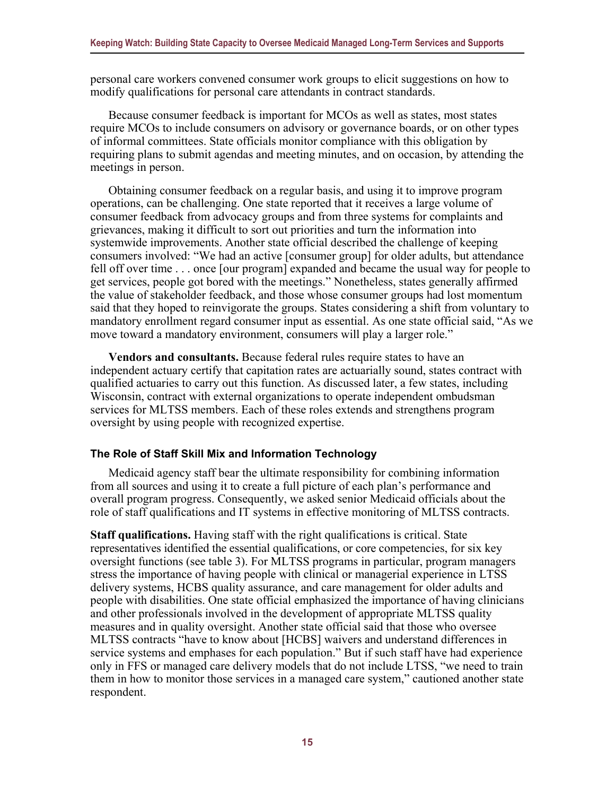personal care workers convened consumer work groups to elicit suggestions on how to modify qualifications for personal care attendants in contract standards.

Because consumer feedback is important for MCOs as well as states, most states require MCOs to include consumers on advisory or governance boards, or on other types of informal committees. State officials monitor compliance with this obligation by requiring plans to submit agendas and meeting minutes, and on occasion, by attending the meetings in person.

Obtaining consumer feedback on a regular basis, and using it to improve program operations, can be challenging. One state reported that it receives a large volume of consumer feedback from advocacy groups and from three systems for complaints and grievances, making it difficult to sort out priorities and turn the information into systemwide improvements. Another state official described the challenge of keeping consumers involved: "We had an active [consumer group] for older adults, but attendance fell off over time . . . once [our program] expanded and became the usual way for people to get services, people got bored with the meetings." Nonetheless, states generally affirmed the value of stakeholder feedback, and those whose consumer groups had lost momentum said that they hoped to reinvigorate the groups. States considering a shift from voluntary to mandatory enrollment regard consumer input as essential. As one state official said, "As we move toward a mandatory environment, consumers will play a larger role."

**Vendors and consultants.** Because federal rules require states to have an independent actuary certify that capitation rates are actuarially sound, states contract with qualified actuaries to carry out this function. As discussed later, a few states, including Wisconsin, contract with external organizations to operate independent ombudsman services for MLTSS members. Each of these roles extends and strengthens program oversight by using people with recognized expertise.

#### <span id="page-19-0"></span>**The Role of Staff Skill Mix and Information Technology**

Medicaid agency staff bear the ultimate responsibility for combining information from all sources and using it to create a full picture of each plan's performance and overall program progress. Consequently, we asked senior Medicaid officials about the role of staff qualifications and IT systems in effective monitoring of MLTSS contracts.

**Staff qualifications.** Having staff with the right qualifications is critical. State representatives identified the essential qualifications, or core competencies, for six key oversight functions (see table 3). For MLTSS programs in particular, program managers stress the importance of having people with clinical or managerial experience in LTSS delivery systems, HCBS quality assurance, and care management for older adults and people with disabilities. One state official emphasized the importance of having clinicians and other professionals involved in the development of appropriate MLTSS quality measures and in quality oversight. Another state official said that those who oversee MLTSS contracts "have to know about [HCBS] waivers and understand differences in service systems and emphases for each population." But if such staff have had experience only in FFS or managed care delivery models that do not include LTSS, "we need to train them in how to monitor those services in a managed care system," cautioned another state respondent.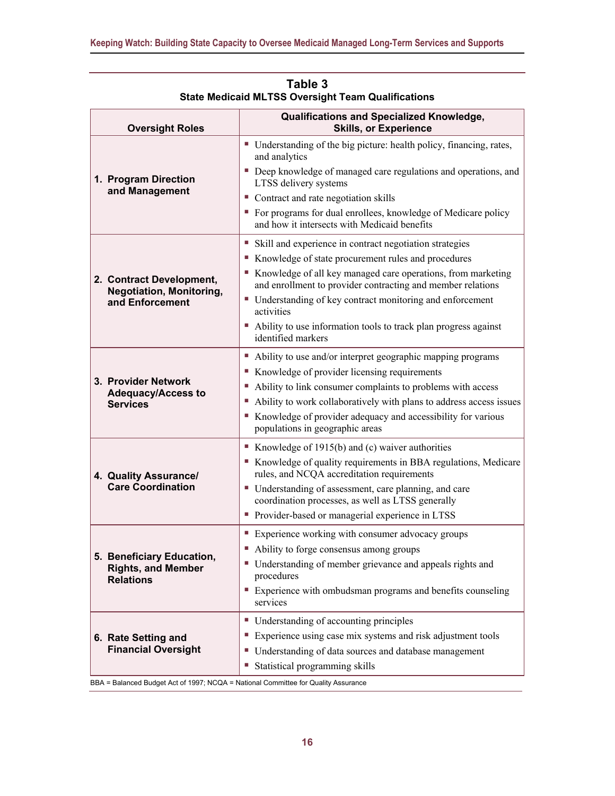<span id="page-20-0"></span>

| <b>Oversight Roles</b>                                                                        | Qualifications and Specialized Knowledge,<br><b>Skills, or Experience</b>                                                                                                                                                                                                                                                                                                                                                                                              |  |  |
|-----------------------------------------------------------------------------------------------|------------------------------------------------------------------------------------------------------------------------------------------------------------------------------------------------------------------------------------------------------------------------------------------------------------------------------------------------------------------------------------------------------------------------------------------------------------------------|--|--|
| 1. Program Direction<br>and Management                                                        | • Understanding of the big picture: health policy, financing, rates,<br>and analytics<br>• Deep knowledge of managed care regulations and operations, and<br>LTSS delivery systems<br>• Contract and rate negotiation skills<br>• For programs for dual enrollees, knowledge of Medicare policy                                                                                                                                                                        |  |  |
| 2. Contract Development,<br><b>Negotiation, Monitoring,</b><br>and Enforcement                | and how it intersects with Medicaid benefits<br>• Skill and experience in contract negotiation strategies<br>Knowledge of state procurement rules and procedures<br>Knowledge of all key managed care operations, from marketing<br>and enrollment to provider contracting and member relations<br>■ Understanding of key contract monitoring and enforcement<br>activities<br>• Ability to use information tools to track plan progress against<br>identified markers |  |  |
| 3. Provider Network<br><b>Adequacy/Access to</b><br><b>Services</b>                           | • Ability to use and/or interpret geographic mapping programs<br>■ Knowledge of provider licensing requirements<br>Ability to link consumer complaints to problems with access<br>Ability to work collaboratively with plans to address access issues<br>Knowledge of provider adequacy and accessibility for various<br>populations in geographic areas                                                                                                               |  |  |
| 4. Quality Assurance/<br><b>Care Coordination</b>                                             | Knowledge of 1915(b) and (c) waiver authorities<br>Knowledge of quality requirements in BBA regulations, Medicare<br>rules, and NCQA accreditation requirements<br>• Understanding of assessment, care planning, and care<br>coordination processes, as well as LTSS generally<br>• Provider-based or managerial experience in LTSS                                                                                                                                    |  |  |
| 5. Beneficiary Education,<br><b>Rights, and Member</b><br><b>Relations</b>                    | ■ Experience working with consumer advocacy groups<br>• Ability to forge consensus among groups<br>• Understanding of member grievance and appeals rights and<br>procedures<br>Experience with ombudsman programs and benefits counseling<br>services                                                                                                                                                                                                                  |  |  |
| 6. Rate Setting and<br><b>Financial Oversight</b><br>Act of 1007: $NCMA - National Committoo$ | ■ Understanding of accounting principles<br>Experience using case mix systems and risk adjustment tools<br>• Understanding of data sources and database management<br>Statistical programming skills<br>$\mathcal{L}_{\mathcal{A}}$                                                                                                                                                                                                                                    |  |  |

| Table 3                                                   |
|-----------------------------------------------------------|
| <b>State Medicaid MLTSS Oversight Team Qualifications</b> |

BBA = Balanced Budget Act of 1997; NCQA = National Committee for Quality Assurance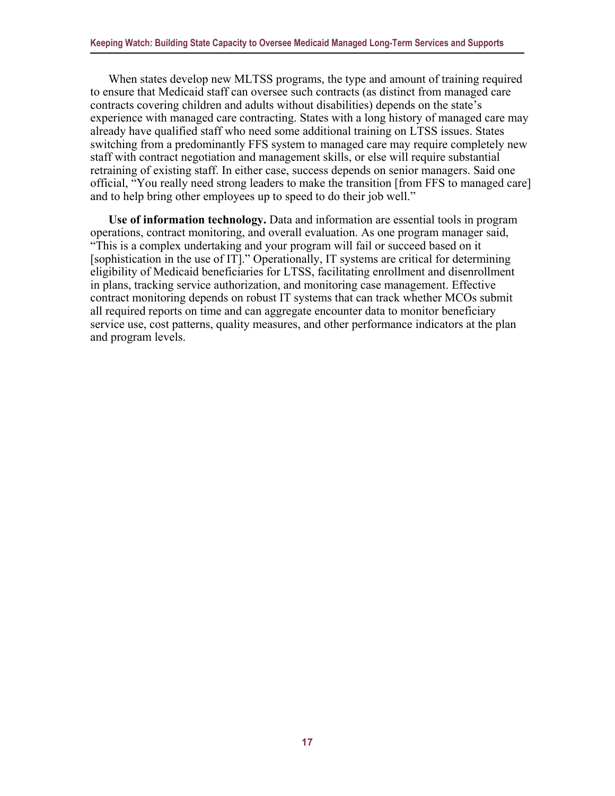When states develop new MLTSS programs, the type and amount of training required to ensure that Medicaid staff can oversee such contracts (as distinct from managed care contracts covering children and adults without disabilities) depends on the state's experience with managed care contracting. States with a long history of managed care may already have qualified staff who need some additional training on LTSS issues. States switching from a predominantly FFS system to managed care may require completely new staff with contract negotiation and management skills, or else will require substantial retraining of existing staff. In either case, success depends on senior managers. Said one official, "You really need strong leaders to make the transition [from FFS to managed care] and to help bring other employees up to speed to do their job well."

<span id="page-21-0"></span>**Use of information technology.** Data and information are essential tools in program operations, contract monitoring, and overall evaluation. As one program manager said, "This is a complex undertaking and your program will fail or succeed based on it [sophistication in the use of IT]." Operationally, IT systems are critical for determining eligibility of Medicaid beneficiaries for LTSS, facilitating enrollment and disenrollment in plans, tracking service authorization, and monitoring case management. Effective contract monitoring depends on robust IT systems that can track whether MCOs submit all required reports on time and can aggregate encounter data to monitor beneficiary service use, cost patterns, quality measures, and other performance indicators at the plan and program levels.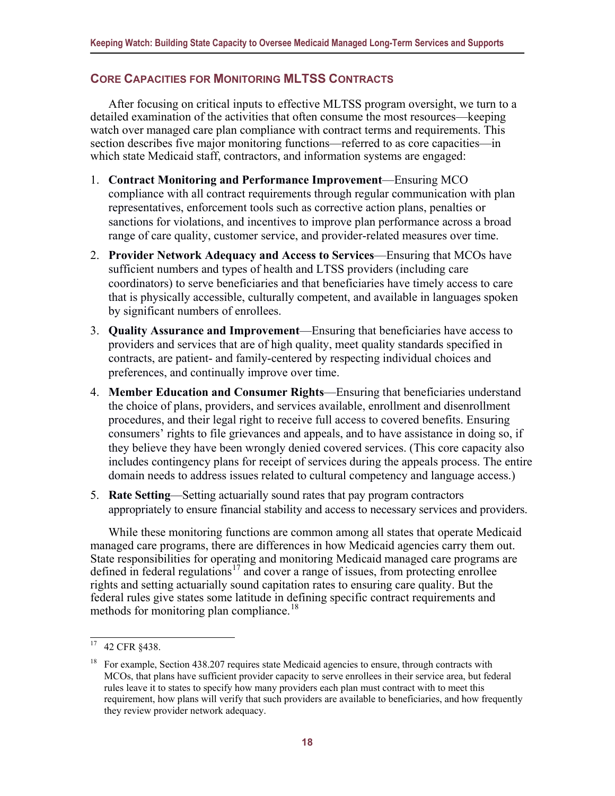#### **CORE CAPACITIES FOR MONITORING MLTSS CONTRACTS**

After focusing on critical inputs to effective MLTSS program oversight, we turn to a detailed examination of the activities that often consume the most resources—keeping watch over managed care plan compliance with contract terms and requirements. This section describes five major monitoring functions—referred to as core capacities—in which state Medicaid staff, contractors, and information systems are engaged:

- 1. **Contract Monitoring and Performance Improvement**—Ensuring MCO compliance with all contract requirements through regular communication with plan representatives, enforcement tools such as corrective action plans, penalties or sanctions for violations, and incentives to improve plan performance across a broad range of care quality, customer service, and provider-related measures over time.
- 2. **Provider Network Adequacy and Access to Services**—Ensuring that MCOs have sufficient numbers and types of health and LTSS providers (including care coordinators) to serve beneficiaries and that beneficiaries have timely access to care that is physically accessible, culturally competent, and available in languages spoken by significant numbers of enrollees.
- 3. **Quality Assurance and Improvement**—Ensuring that beneficiaries have access to providers and services that are of high quality, meet quality standards specified in contracts, are patient- and family-centered by respecting individual choices and preferences, and continually improve over time.
- 4. **Member Education and Consumer Rights**—Ensuring that beneficiaries understand the choice of plans, providers, and services available, enrollment and disenrollment procedures, and their legal right to receive full access to covered benefits. Ensuring consumers' rights to file grievances and appeals, and to have assistance in doing so, if they believe they have been wrongly denied covered services. (This core capacity also includes contingency plans for receipt of services during the appeals process. The entire domain needs to address issues related to cultural competency and language access.)
- 5. **Rate Setting**—Setting actuarially sound rates that pay program contractors appropriately to ensure financial stability and access to necessary services and providers.

While these monitoring functions are common among all states that operate Medicaid managed care programs, there are differences in how Medicaid agencies carry them out. State responsibilities for operating and monitoring Medicaid managed care programs are defined in federal regulations<sup>17</sup> and cover a range of issues, from protecting enrollee rights and setting actuarially sound capitation rates to ensuring care quality. But the federal rules give states some latitude in defining specific contract requirements and methods for monitoring plan compliance.<sup>[18](#page-22-1)</sup>

<span id="page-22-0"></span><sup>17</sup> 42 CFR §438.

<span id="page-22-1"></span><sup>18</sup> For example, Section 438.207 requires state Medicaid agencies to ensure, through contracts with MCOs, that plans have sufficient provider capacity to serve enrollees in their service area, but federal rules leave it to states to specify how many providers each plan must contract with to meet this requirement, how plans will verify that such providers are available to beneficiaries, and how frequently they review provider network adequacy.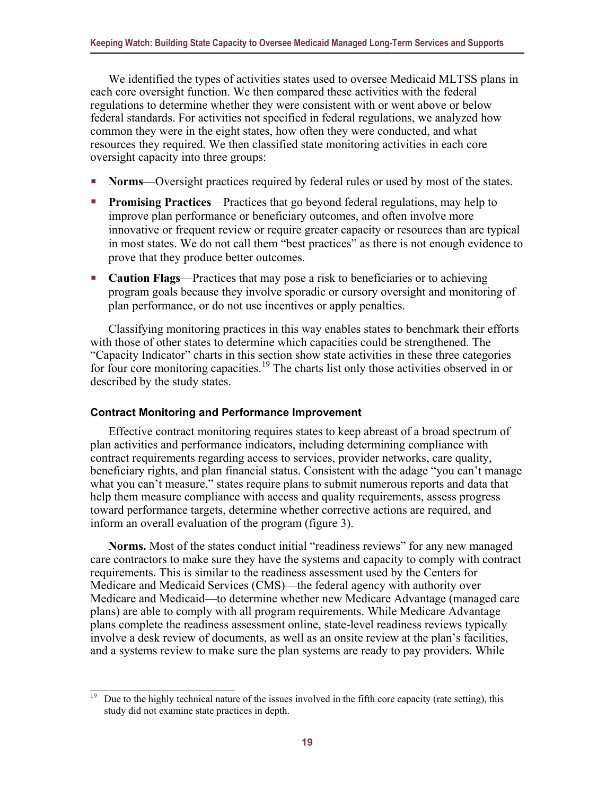We identified the types of activities states used to oversee Medicaid MLTSS plans in each core oversight function. We then compared these activities with the federal regulations to determine whether they were consistent with or went above or below federal standards. For activities not specified in federal regulations, we analyzed how common they were in the eight states, how often they were conducted, and what resources they required. We then classified state monitoring activities in each core oversight capacity into three groups:

- **Norms**—Oversight practices required by federal rules or used by most of the states.
- **Promising Practices—Practices that go beyond federal regulations, may help to** improve plan performance or beneficiary outcomes, and often involve more innovative or frequent review or require greater capacity or resources than are typical in most states. We do not call them "best practices" as there is not enough evidence to prove that they produce better outcomes.
- **Caution Flags**—Practices that may pose a risk to beneficiaries or to achieving program goals because they involve sporadic or cursory oversight and monitoring of plan performance, or do not use incentives or apply penalties.

Classifying monitoring practices in this way enables states to benchmark their efforts with those of other states to determine which capacities could be strengthened. The "Capacity Indicator" charts in this section show state activities in these three categories for four core monitoring capacities.<sup>[19](#page-23-1)</sup> The charts list only those activities observed in or described by the study states.

#### <span id="page-23-0"></span>**Contract Monitoring and Performance Improvement**

Effective contract monitoring requires states to keep abreast of a broad spectrum of plan activities and performance indicators, including determining compliance with contract requirements regarding access to services, provider networks, care quality, beneficiary rights, and plan financial status. Consistent with the adage "you can't manage what you can't measure," states require plans to submit numerous reports and data that help them measure compliance with access and quality requirements, assess progress toward performance targets, determine whether corrective actions are required, and inform an overall evaluation of the program (figure 3).

**Norms.** Most of the states conduct initial "readiness reviews" for any new managed care contractors to make sure they have the systems and capacity to comply with contract requirements. This is similar to the readiness assessment used by the Centers for Medicare and Medicaid Services (CMS)—the federal agency with authority over Medicare and Medicaid—to determine whether new Medicare Advantage (managed care plans) are able to comply with all program requirements. While Medicare Advantage plans complete the readiness assessment online, state-level readiness reviews typically involve a desk review of documents, as well as an onsite review at the plan's facilities, and a systems review to make sure the plan systems are ready to pay providers. While

<span id="page-23-1"></span><sup>19</sup> Due to the highly technical nature of the issues involved in the fifth core capacity (rate setting), this study did not examine state practices in depth.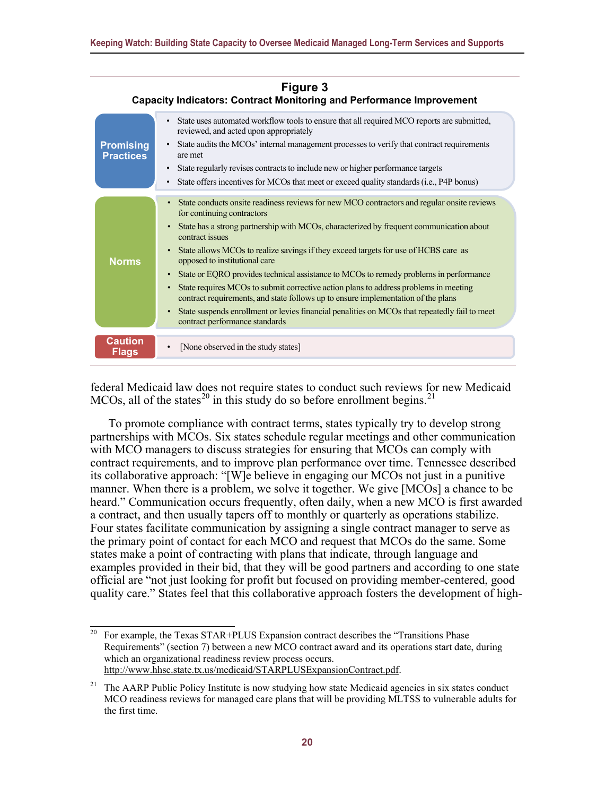| Figure 3<br><b>Capacity Indicators: Contract Monitoring and Performance Improvement</b> |                                                                                                                                                                                                                                                                                                                                                                                                                                                                                                                                                                                                                                                                                                                                                                                                                                                       |  |  |  |  |
|-----------------------------------------------------------------------------------------|-------------------------------------------------------------------------------------------------------------------------------------------------------------------------------------------------------------------------------------------------------------------------------------------------------------------------------------------------------------------------------------------------------------------------------------------------------------------------------------------------------------------------------------------------------------------------------------------------------------------------------------------------------------------------------------------------------------------------------------------------------------------------------------------------------------------------------------------------------|--|--|--|--|
| <b>Promising</b><br><b>Practices</b>                                                    | • State uses automated workflow tools to ensure that all required MCO reports are submitted,<br>reviewed, and acted upon appropriately<br>State audits the MCOs' internal management processes to verify that contract requirements<br>are met<br>State regularly revises contracts to include new or higher performance targets<br>$\bullet$<br>State offers incentives for MCOs that meet or exceed quality standards (i.e., P4P bonus)<br>$\bullet$                                                                                                                                                                                                                                                                                                                                                                                                |  |  |  |  |
| <b>Norms</b>                                                                            | State conducts onsite readiness reviews for new MCO contractors and regular onsite reviews<br>$\bullet$<br>for continuing contractors<br>State has a strong partnership with MCOs, characterized by frequent communication about<br>$\bullet$<br>contract issues<br>State allows MCOs to realize savings if they exceed targets for use of HCBS care as<br>$\bullet$<br>opposed to institutional care<br>State or EQRO provides technical assistance to MCOs to remedy problems in performance<br>$\bullet$<br>State requires MCOs to submit corrective action plans to address problems in meeting<br>$\bullet$<br>contract requirements, and state follows up to ensure implementation of the plans<br>State suspends enrollment or levies financial penalities on MCOs that repeatedly fail to meet<br>$\bullet$<br>contract performance standards |  |  |  |  |
| <b>Caution</b><br><b>Flags</b>                                                          | [None observed in the study states]<br>$\bullet$                                                                                                                                                                                                                                                                                                                                                                                                                                                                                                                                                                                                                                                                                                                                                                                                      |  |  |  |  |

federal Medicaid law does not require states to conduct such reviews for new Medicaid MCOs, all of the states<sup>20</sup> in this study do so before enrollment begins.<sup>[21](#page-24-1)</sup>

To promote compliance with contract terms, states typically try to develop strong partnerships with MCOs. Six states schedule regular meetings and other communication with MCO managers to discuss strategies for ensuring that MCOs can comply with contract requirements, and to improve plan performance over time. Tennessee described its collaborative approach: "[W]e believe in engaging our MCOs not just in a punitive manner. When there is a problem, we solve it together. We give [MCOs] a chance to be heard." Communication occurs frequently, often daily, when a new MCO is first awarded a contract, and then usually tapers off to monthly or quarterly as operations stabilize. Four states facilitate communication by assigning a single contract manager to serve as the primary point of contact for each MCO and request that MCOs do the same. Some states make a point of contracting with plans that indicate, through language and examples provided in their bid, that they will be good partners and according to one state official are "not just looking for profit but focused on providing member-centered, good quality care." States feel that this collaborative approach fosters the development of high-

<span id="page-24-0"></span>For example, the Texas STAR+PLUS Expansion contract describes the "Transitions Phase Requirements" (section 7) between a new MCO contract award and its operations start date, during which an organizational readiness review process occurs. [http://www.hhsc.state.tx.us/medicaid/STARPLUSExpansionContract.pdf.](http://www.hhsc.state.tx.us/medicaid/STARPLUSExpansionContract.pdf) 

<span id="page-24-1"></span><sup>&</sup>lt;sup>21</sup> The AARP Public Policy Institute is now studying how state Medicaid agencies in six states conduct MCO readiness reviews for managed care plans that will be providing MLTSS to vulnerable adults for the first time.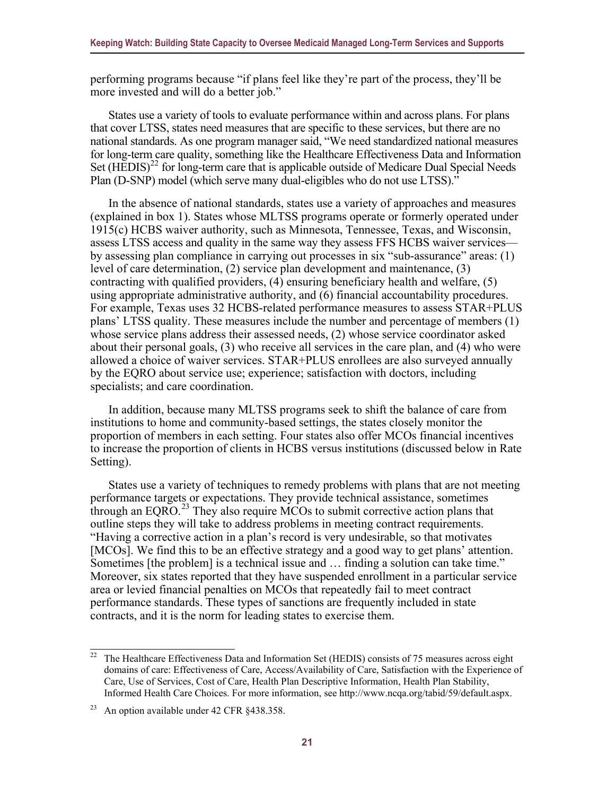performing programs because "if plans feel like they're part of the process, they'll be more invested and will do a better job."

States use a variety of tools to evaluate performance within and across plans. For plans that cover LTSS, states need measures that are specific to these services, but there are no national standards. As one program manager said, "We need standardized national measures for long-term care quality, something like the Healthcare Effectiveness Data and Information Set (HEDIS)<sup>[22](#page-25-0)</sup> for long-term care that is applicable outside of Medicare Dual Special Needs Plan (D-SNP) model (which serve many dual-eligibles who do not use LTSS)."

In the absence of national standards, states use a variety of approaches and measures (explained in box 1). States whose MLTSS programs operate or formerly operated under 1915(c) HCBS waiver authority, such as Minnesota, Tennessee, Texas, and Wisconsin, assess LTSS access and quality in the same way they assess FFS HCBS waiver services by assessing plan compliance in carrying out processes in six "sub-assurance" areas: (1) level of care determination, (2) service plan development and maintenance, (3) contracting with qualified providers, (4) ensuring beneficiary health and welfare, (5) using appropriate administrative authority, and (6) financial accountability procedures. For example, Texas uses 32 HCBS-related performance measures to assess STAR+PLUS plans' LTSS quality. These measures include the number and percentage of members (1) whose service plans address their assessed needs, (2) whose service coordinator asked about their personal goals, (3) who receive all services in the care plan, and (4) who were allowed a choice of waiver services. STAR+PLUS enrollees are also surveyed annually by the EQRO about service use; experience; satisfaction with doctors, including specialists; and care coordination.

In addition, because many MLTSS programs seek to shift the balance of care from institutions to home and community-based settings, the states closely monitor the proportion of members in each setting. Four states also offer MCOs financial incentives to increase the proportion of clients in HCBS versus institutions (discussed below in Rate Setting).

States use a variety of techniques to remedy problems with plans that are not meeting performance targets or expectations. They provide technical assistance, sometimes through an EQRO.<sup>[23](#page-25-1)</sup> They also require MCOs to submit corrective action plans that outline steps they will take to address problems in meeting contract requirements. "Having a corrective action in a plan's record is very undesirable, so that motivates [MCOs]. We find this to be an effective strategy and a good way to get plans' attention. Sometimes [the problem] is a technical issue and … finding a solution can take time." Moreover, six states reported that they have suspended enrollment in a particular service area or levied financial penalties on MCOs that repeatedly fail to meet contract performance standards. These types of sanctions are frequently included in state contracts, and it is the norm for leading states to exercise them.

<span id="page-25-0"></span> $22$  The Healthcare Effectiveness Data and Information Set (HEDIS) consists of 75 measures across eight domains of care: Effectiveness of Care, Access/Availability of Care, Satisfaction with the Experience of Care, Use of Services, Cost of Care, Health Plan Descriptive Information, Health Plan Stability, Informed Health Care Choices. For more information, see http://www.ncqa.org/tabid/59/default.aspx.

<span id="page-25-1"></span><sup>&</sup>lt;sup>23</sup> An option available under 42 CFR §438.358.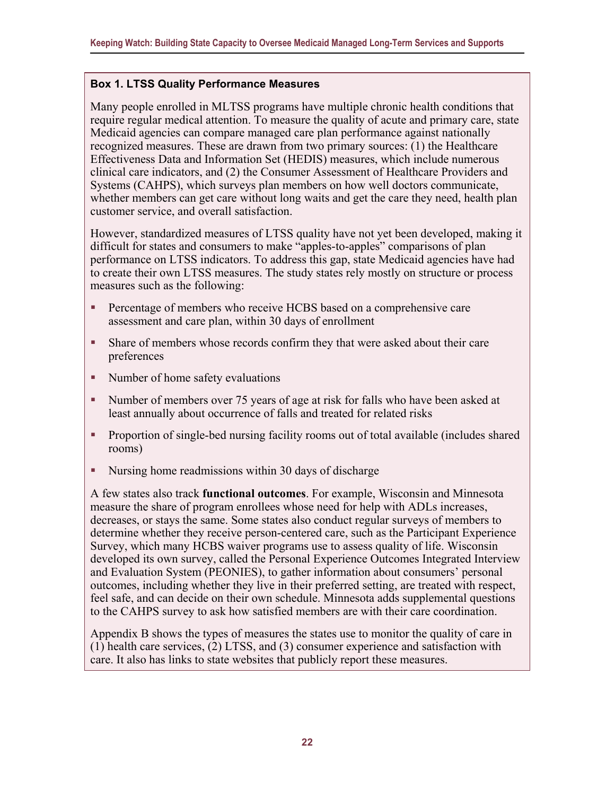#### **Box 1. LTSS Quality Performance Measures**

Many people enrolled in MLTSS programs have multiple chronic health conditions that require regular medical attention. To measure the quality of acute and primary care, state Medicaid agencies can compare managed care plan performance against nationally recognized measures. These are drawn from two primary sources: (1) the Healthcare Effectiveness Data and Information Set (HEDIS) measures, which include numerous clinical care indicators, and (2) the Consumer Assessment of Healthcare Providers and Systems (CAHPS), which surveys plan members on how well doctors communicate, whether members can get care without long waits and get the care they need, health plan customer service, and overall satisfaction.

However, standardized measures of LTSS quality have not yet been developed, making it difficult for states and consumers to make "apples-to-apples" comparisons of plan performance on LTSS indicators. To address this gap, state Medicaid agencies have had to create their own LTSS measures. The study states rely mostly on structure or process measures such as the following:

- Percentage of members who receive HCBS based on a comprehensive care assessment and care plan, within 30 days of enrollment
- Share of members whose records confirm they that were asked about their care preferences
- Number of home safety evaluations
- Number of members over 75 years of age at risk for falls who have been asked at least annually about occurrence of falls and treated for related risks
- Proportion of single-bed nursing facility rooms out of total available (includes shared rooms)
- Nursing home readmissions within 30 days of discharge

A few states also track **functional outcomes**. For example, Wisconsin and Minnesota measure the share of program enrollees whose need for help with ADLs increases, decreases, or stays the same. Some states also conduct regular surveys of members to determine whether they receive person-centered care, such as the Participant Experience Survey, which many HCBS waiver programs use to assess quality of life. Wisconsin developed its own survey, called the Personal Experience Outcomes Integrated Interview and Evaluation System (PEONIES), to gather information about consumers' personal outcomes, including whether they live in their preferred setting, are treated with respect, feel safe, and can decide on their own schedule. Minnesota adds supplemental questions to the CAHPS survey to ask how satisfied members are with their care coordination.

Appendix B shows the types of measures the states use to monitor the quality of care in (1) health care services, (2) LTSS, and (3) consumer experience and satisfaction with care. It also has links to state websites that publicly report these measures.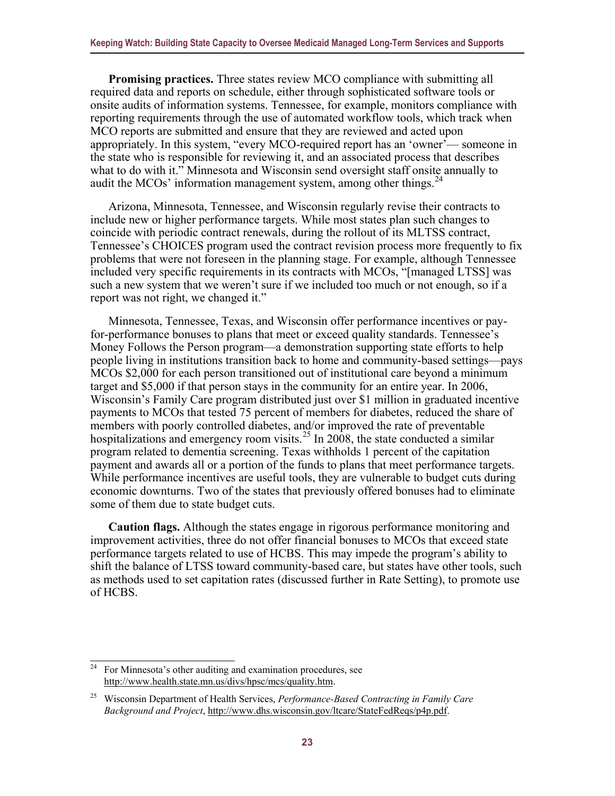**Promising practices.** Three states review MCO compliance with submitting all required data and reports on schedule, either through sophisticated software tools or onsite audits of information systems. Tennessee, for example, monitors compliance with reporting requirements through the use of automated workflow tools, which track when MCO reports are submitted and ensure that they are reviewed and acted upon appropriately. In this system, "every MCO-required report has an 'owner'— someone in the state who is responsible for reviewing it, and an associated process that describes what to do with it." Minnesota and Wisconsin send oversight staff onsite annually to audit the MCOs' information management system, among other things.  $^{24}$  $^{24}$  $^{24}$ 

Arizona, Minnesota, Tennessee, and Wisconsin regularly revise their contracts to include new or higher performance targets. While most states plan such changes to coincide with periodic contract renewals, during the rollout of its MLTSS contract, Tennessee's CHOICES program used the contract revision process more frequently to fix problems that were not foreseen in the planning stage. For example, although Tennessee included very specific requirements in its contracts with MCOs, "[managed LTSS] was such a new system that we weren't sure if we included too much or not enough, so if a report was not right, we changed it."

Minnesota, Tennessee, Texas, and Wisconsin offer performance incentives or payfor-performance bonuses to plans that meet or exceed quality standards. Tennessee's Money Follows the Person program—a demonstration supporting state efforts to help people living in institutions transition back to home and community-based settings—pays MCOs \$2,000 for each person transitioned out of institutional care beyond a minimum target and \$5,000 if that person stays in the community for an entire year. In 2006, Wisconsin's Family Care program distributed just over \$1 million in graduated incentive payments to MCOs that tested 75 percent of members for diabetes, reduced the share of members with poorly controlled diabetes, and/or improved the rate of preventable hospitalizations and emergency room visits.<sup>25</sup> In 2008, the state conducted a similar program related to dementia screening. Texas withholds 1 percent of the capitation payment and awards all or a portion of the funds to plans that meet performance targets. While performance incentives are useful tools, they are vulnerable to budget cuts during economic downturns. Two of the states that previously offered bonuses had to eliminate some of them due to state budget cuts.

**Caution flags.** Although the states engage in rigorous performance monitoring and improvement activities, three do not offer financial bonuses to MCOs that exceed state performance targets related to use of HCBS. This may impede the program's ability to shift the balance of LTSS toward community-based care, but states have other tools, such as methods used to set capitation rates (discussed further in Rate Setting), to promote use of HCBS.

<span id="page-27-1"></span><span id="page-27-0"></span> $24$  For Minnesota's other auditing and examination procedures, see [http://www.health.state.mn.us/divs/hpsc/mcs/quality.htm.](http://www.health.state.mn.us/divs/hpsc/mcs/quality.htm)

<span id="page-27-2"></span><sup>25</sup> Wisconsin Department of Health Services, *Performance-Based Contracting in Family Care Background and Project*, [http://www.dhs.wisconsin.gov/ltcare/StateFedReqs/p4p.pdf.](http://www.dhs.wisconsin.gov/ltcare/StateFedReqs/p4p.pdf)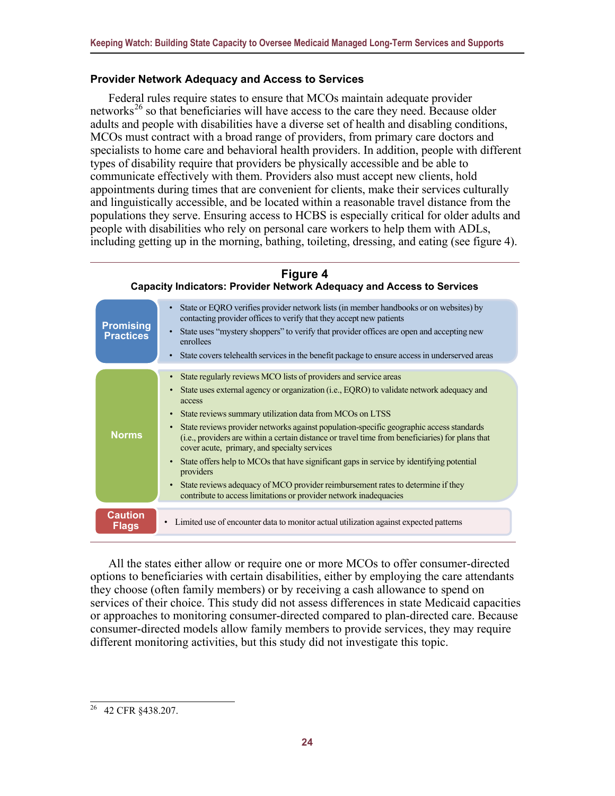#### **Provider Network Adequacy and Access to Services**

Federal rules require states to ensure that MCOs maintain adequate provider networks<sup>[26](#page-28-0)</sup> so that beneficiaries will have access to the care they need. Because older adults and people with disabilities have a diverse set of health and disabling conditions, MCOs must contract with a broad range of providers, from primary care doctors and specialists to home care and behavioral health providers. In addition, people with different types of disability require that providers be physically accessible and be able to communicate effectively with them. Providers also must accept new clients, hold appointments during times that are convenient for clients, make their services culturally and linguistically accessible, and be located within a reasonable travel distance from the populations they serve. Ensuring access to HCBS is especially critical for older adults and people with disabilities who rely on personal care workers to help them with ADLs, including getting up in the morning, bathing, toileting, dressing, and eating (see figure 4).

#### **Figure 4 Capacity Indicators: Provider Network Adequacy and Access to Services** • State or EQRO verifies provider network lists (in member handbooks or on websites) by contacting provider offices to verify that they accept new patients • State uses "mystery shoppers" to verify that provider offices are open and accepting new enrollees • State covers telehealth services in the benefit package to ensure access in underserved areas **Promising Practices** State regularly reviews MCO lists of providers and service areas • State uses external agency or organization (i.e., EQRO) to validate network adequacy and access • State reviews summary utilization data from MCOs on LTSS • State reviews provider networks against population-specific geographic access standards (i.e., providers are within a certain distance or travel time from beneficiaries) for plans that cover acute, primary, and specialty services • State offers help to MCOs that have significant gaps in service by identifying potential providers • State reviews adequacy of MCO provider reimbursement rates to determine if they contribute to access limitations or provider network inadequacies **Norms Caution**<br>• Limited use of encounter data to monitor actual utilization against expected patterns **Flags**

All the states either allow or require one or more MCOs to offer consumer-directed options to beneficiaries with certain disabilities, either by employing the care attendants they choose (often family members) or by receiving a cash allowance to spend on services of their choice. This study did not assess differences in state Medicaid capacities or approaches to monitoring consumer-directed compared to plan-directed care. Because consumer-directed models allow family members to provide services, they may require different monitoring activities, but this study did not investigate this topic.

<span id="page-28-0"></span><sup>26</sup> 42 CFR §438.207.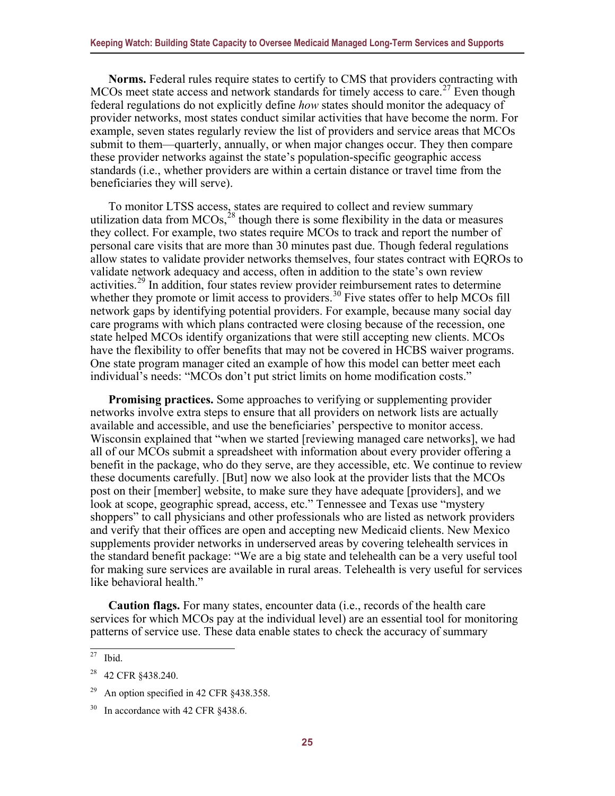**Norms.** Federal rules require states to certify to CMS that providers contracting with MCOs meet state access and network standards for timely access to care.<sup>[27](#page-29-0)</sup> Even though federal regulations do not explicitly define *how* states should monitor the adequacy of provider networks, most states conduct similar activities that have become the norm. For example, seven states regularly review the list of providers and service areas that MCOs submit to them—quarterly, annually, or when major changes occur. They then compare these provider networks against the state's population-specific geographic access standards (i.e., whether providers are within a certain distance or travel time from the beneficiaries they will serve).

To monitor LTSS access, states are required to collect and review summary utilization data from MCOs,<sup>28</sup> though there is some flexibility in the data or measures they collect. For example, two states require MCOs to track and report the number of personal care visits that are more than 30 minutes past due. Though federal regulations allow states to validate provider networks themselves, four states contract with EQROs to validate network adequacy and access, often in addition to the state's own review activities.<sup>29</sup> In addition, four states review provider reimbursement rates to determine whether they promote or limit access to providers.<sup>[30](#page-29-3)</sup> Five states offer to help MCOs fill network gaps by identifying potential providers. For example, because many social day care programs with which plans contracted were closing because of the recession, one state helped MCOs identify organizations that were still accepting new clients. MCOs have the flexibility to offer benefits that may not be covered in HCBS waiver programs. One state program manager cited an example of how this model can better meet each individual's needs: "MCOs don't put strict limits on home modification costs."

**Promising practices.** Some approaches to verifying or supplementing provider networks involve extra steps to ensure that all providers on network lists are actually available and accessible, and use the beneficiaries' perspective to monitor access. Wisconsin explained that "when we started [reviewing managed care networks], we had all of our MCOs submit a spreadsheet with information about every provider offering a benefit in the package, who do they serve, are they accessible, etc. We continue to review these documents carefully. [But] now we also look at the provider lists that the MCOs post on their [member] website, to make sure they have adequate [providers], and we look at scope, geographic spread, access, etc." Tennessee and Texas use "mystery shoppers" to call physicians and other professionals who are listed as network providers and verify that their offices are open and accepting new Medicaid clients. New Mexico supplements provider networks in underserved areas by covering telehealth services in the standard benefit package: "We are a big state and telehealth can be a very useful tool for making sure services are available in rural areas. Telehealth is very useful for services like behavioral health."

**Caution flags.** For many states, encounter data (i.e., records of the health care services for which MCOs pay at the individual level) are an essential tool for monitoring patterns of service use. These data enable states to check the accuracy of summary

<span id="page-29-0"></span> $27$  Ibid.

<span id="page-29-1"></span><sup>&</sup>lt;sup>28</sup> 42 CFR §438.240.

<span id="page-29-2"></span><sup>&</sup>lt;sup>29</sup> An option specified in 42 CFR  $§$ 438.358.

<span id="page-29-3"></span><sup>&</sup>lt;sup>30</sup> In accordance with 42 CFR §438.6.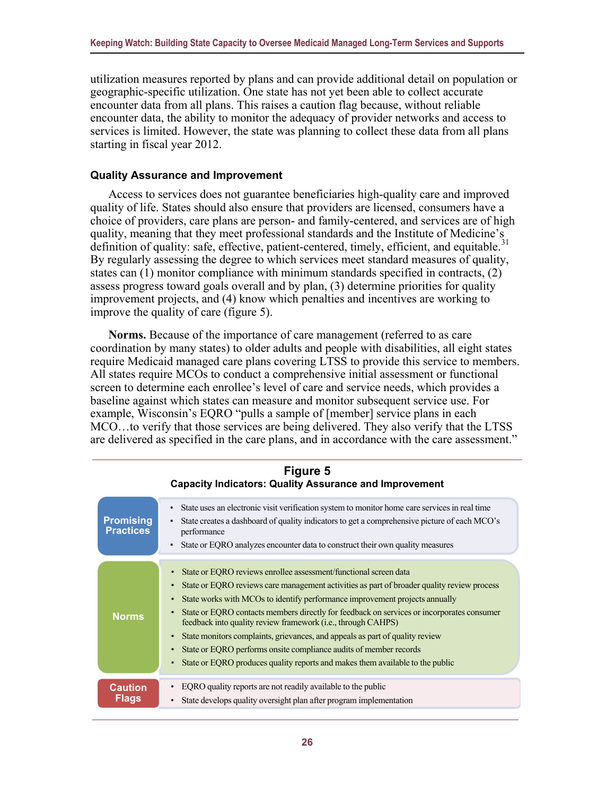utilization measures reported by plans and can provide additional detail on population or geographic-specific utilization. One state has not yet been able to collect accurate encounter data from all plans. This raises a caution flag because, without reliable encounter data, the ability to monitor the adequacy of provider networks and access to services is limited. However, the state was planning to collect these data from all plans starting in fiscal year 2012.

#### <span id="page-30-0"></span>**Quality Assurance and Improvement**

Access to services does not guarantee beneficiaries high-quality care and improved quality of life. States should also ensure that providers are licensed, consumers have a choice of providers, care plans are person- and family-centered, and services are of high quality, meaning that they meet professional standards and the Institute of Medicine's definition of quality: safe, effective, patient-centered, timely, efficient, and equitable.<sup>[31](#page-30-1)</sup> By regularly assessing the degree to which services meet standard measures of quality, states can (1) monitor compliance with minimum standards specified in contracts, (2) assess progress toward goals overall and by plan, (3) determine priorities for quality improvement projects, and (4) know which penalties and incentives are working to improve the quality of care (figure 5).

**Norms.** Because of the importance of care management (referred to as care coordination by many states) to older adults and people with disabilities, all eight states require Medicaid managed care plans covering LTSS to provide this service to members. All states require MCOs to conduct a comprehensive initial assessment or functional screen to determine each enrollee's level of care and service needs, which provides a baseline against which states can measure and monitor subsequent service use. For example, Wisconsin's EQRO "pulls a sample of [member] service plans in each MCO…to verify that those services are being delivered. They also verify that the LTSS are delivered as specified in the care plans, and in accordance with the care assessment."

<span id="page-30-1"></span>

|                                      | Figure 5<br><b>Capacity Indicators: Quality Assurance and Improvement</b>                                                                                                                                                                                                                                                                                                                                                                                                                                                                                                                                                                        |
|--------------------------------------|--------------------------------------------------------------------------------------------------------------------------------------------------------------------------------------------------------------------------------------------------------------------------------------------------------------------------------------------------------------------------------------------------------------------------------------------------------------------------------------------------------------------------------------------------------------------------------------------------------------------------------------------------|
| <b>Promising</b><br><b>Practices</b> | State uses an electronic visit verification system to monitor home care services in real time<br>State creates a dashboard of quality indicators to get a comprehensive picture of each MCO's<br>performance<br>State or EQRO analyzes encounter data to construct their own quality measures                                                                                                                                                                                                                                                                                                                                                    |
| <b>Norms</b>                         | State or EQRO reviews enrollee assessment/functional screen data<br>State or EQRO reviews care management activities as part of broader quality review process<br>State works with MCOs to identify performance improvement projects annually<br>State or EQRO contacts members directly for feedback on services or incorporates consumer<br>feedback into quality review framework (i.e., through CAHPS)<br>State monitors complaints, grievances, and appeals as part of quality review<br>State or EQRO performs onsite compliance audits of member records<br>State or EQRO produces quality reports and makes them available to the public |
| <b>Caution</b><br><b>Flags</b>       | EQRO quality reports are not readily available to the public<br>State develops quality oversight plan after program implementation                                                                                                                                                                                                                                                                                                                                                                                                                                                                                                               |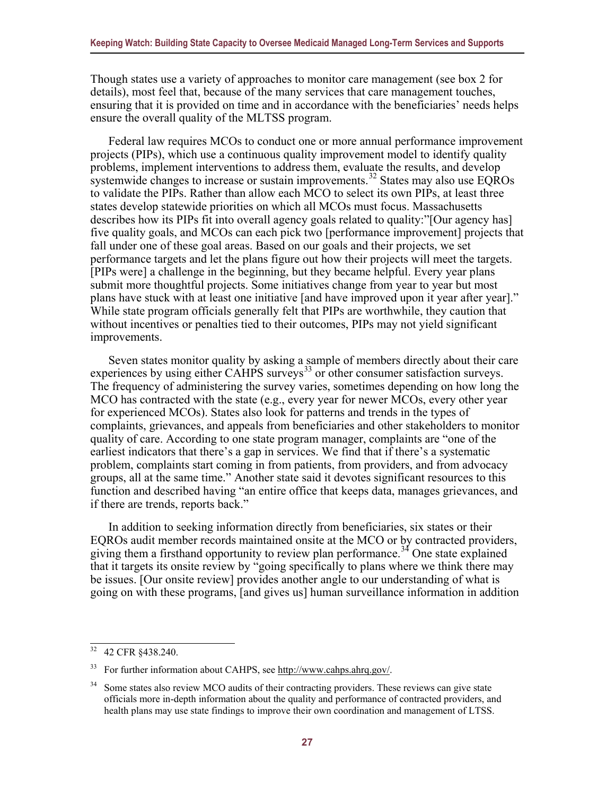Though states use a variety of approaches to monitor care management (see box 2 for details), most feel that, because of the many services that care management touches, ensuring that it is provided on time and in accordance with the beneficiaries' needs helps ensure the overall quality of the MLTSS program.

Federal law requires MCOs to conduct one or more annual performance improvement projects (PIPs), which use a continuous quality improvement model to identify quality problems, implement interventions to address them, evaluate the results, and develop systemwide changes to increase or sustain improvements.<sup>[32](#page-31-0)</sup> States may also use EQROs to validate the PIPs. Rather than allow each MCO to select its own PIPs, at least three states develop statewide priorities on which all MCOs must focus. Massachusetts describes how its PIPs fit into overall agency goals related to quality:"[Our agency has] five quality goals, and MCOs can each pick two [performance improvement] projects that fall under one of these goal areas. Based on our goals and their projects, we set performance targets and let the plans figure out how their projects will meet the targets. [PIPs were] a challenge in the beginning, but they became helpful. Every year plans submit more thoughtful projects. Some initiatives change from year to year but most plans have stuck with at least one initiative [and have improved upon it year after year]." While state program officials generally felt that PIPs are worthwhile, they caution that without incentives or penalties tied to their outcomes, PIPs may not yield significant improvements.

Seven states monitor quality by asking a sample of members directly about their care experiences by using either CAHPS surveys $^{33}$  $^{33}$  $^{33}$  or other consumer satisfaction surveys. The frequency of administering the survey varies, sometimes depending on how long the MCO has contracted with the state (e.g., every year for newer MCOs, every other year for experienced MCOs). States also look for patterns and trends in the types of complaints, grievances, and appeals from beneficiaries and other stakeholders to monitor quality of care. According to one state program manager, complaints are "one of the earliest indicators that there's a gap in services. We find that if there's a systematic problem, complaints start coming in from patients, from providers, and from advocacy groups, all at the same time." Another state said it devotes significant resources to this function and described having "an entire office that keeps data, manages grievances, and if there are trends, reports back."

In addition to seeking information directly from beneficiaries, six states or their EQROs audit member records maintained onsite at the MCO or by contracted providers, giving them a firsthand opportunity to review plan performance.<sup>[34](#page-31-2)</sup> One state explained that it targets its onsite review by "going specifically to plans where we think there may be issues. [Our onsite review] provides another angle to our understanding of what is going on with these programs, [and gives us] human surveillance information in addition

<span id="page-31-0"></span><sup>32</sup> 42 CFR §438.240.

<span id="page-31-1"></span><sup>33</sup> For further information about CAHPS, se[e http://www.cahps.ahrq.gov/.](http://www.cahps.ahrq.gov/)

<span id="page-31-2"></span><sup>&</sup>lt;sup>34</sup> Some states also review MCO audits of their contracting providers. These reviews can give state officials more in-depth information about the quality and performance of contracted providers, and health plans may use state findings to improve their own coordination and management of LTSS.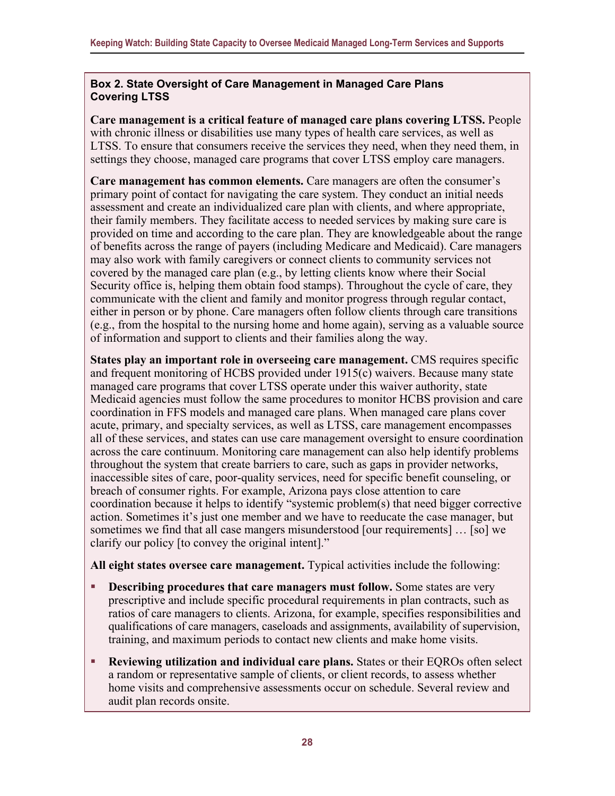#### **Box 2. State Oversight of Care Management in Managed Care Plans Covering LTSS**

**Care management is a critical feature of managed care plans covering LTSS.** People with chronic illness or disabilities use many types of health care services, as well as LTSS. To ensure that consumers receive the services they need, when they need them, in settings they choose, managed care programs that cover LTSS employ care managers.

**Care management has common elements.** Care managers are often the consumer's primary point of contact for navigating the care system. They conduct an initial needs assessment and create an individualized care plan with clients, and where appropriate, their family members. They facilitate access to needed services by making sure care is provided on time and according to the care plan. They are knowledgeable about the range of benefits across the range of payers (including Medicare and Medicaid). Care managers may also work with family caregivers or connect clients to community services not covered by the managed care plan (e.g., by letting clients know where their Social Security office is, helping them obtain food stamps). Throughout the cycle of care, they communicate with the client and family and monitor progress through regular contact, either in person or by phone. Care managers often follow clients through care transitions (e.g., from the hospital to the nursing home and home again), serving as a valuable source of information and support to clients and their families along the way.

**States play an important role in overseeing care management.** CMS requires specific and frequent monitoring of HCBS provided under 1915(c) waivers. Because many state managed care programs that cover LTSS operate under this waiver authority, state Medicaid agencies must follow the same procedures to monitor HCBS provision and care coordination in FFS models and managed care plans. When managed care plans cover acute, primary, and specialty services, as well as LTSS, care management encompasses all of these services, and states can use care management oversight to ensure coordination across the care continuum. Monitoring care management can also help identify problems throughout the system that create barriers to care, such as gaps in provider networks, inaccessible sites of care, poor-quality services, need for specific benefit counseling, or breach of consumer rights. For example, Arizona pays close attention to care coordination because it helps to identify "systemic problem(s) that need bigger corrective action. Sometimes it's just one member and we have to reeducate the case manager, but sometimes we find that all case mangers misunderstood [our requirements] … [so] we clarify our policy [to convey the original intent]."

**All eight states oversee care management.** Typical activities include the following:

- **Describing procedures that care managers must follow.** Some states are very prescriptive and include specific procedural requirements in plan contracts, such as ratios of care managers to clients. Arizona, for example, specifies responsibilities and qualifications of care managers, caseloads and assignments, availability of supervision, training, and maximum periods to contact new clients and make home visits.
- **Reviewing utilization and individual care plans.** States or their EQROs often select a random or representative sample of clients, or client records, to assess whether home visits and comprehensive assessments occur on schedule. Several review and audit plan records onsite.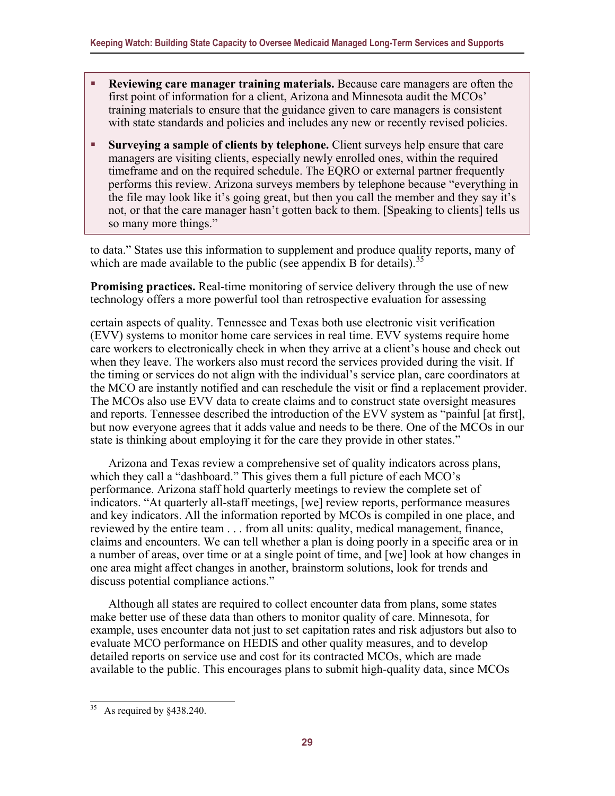- **Reviewing care manager training materials.** Because care managers are often the first point of information for a client, Arizona and Minnesota audit the MCOs' training materials to ensure that the guidance given to care managers is consistent with state standards and policies and includes any new or recently revised policies.
- **Surveying a sample of clients by telephone.** Client surveys help ensure that care managers are visiting clients, especially newly enrolled ones, within the required timeframe and on the required schedule. The EQRO or external partner frequently performs this review. Arizona surveys members by telephone because "everything in the file may look like it's going great, but then you call the member and they say it's not, or that the care manager hasn't gotten back to them. [Speaking to clients] tells us so many more things."

to data." States use this information to supplement and produce quality reports, many of which are made available to the public (see appendix B for details).<sup>[35](#page-33-0)</sup>

**Promising practices.** Real-time monitoring of service delivery through the use of new technology offers a more powerful tool than retrospective evaluation for assessing

certain aspects of quality. Tennessee and Texas both use electronic visit verification (EVV) systems to monitor home care services in real time. EVV systems require home care workers to electronically check in when they arrive at a client's house and check out when they leave. The workers also must record the services provided during the visit. If the timing or services do not align with the individual's service plan, care coordinators at the MCO are instantly notified and can reschedule the visit or find a replacement provider. The MCOs also use EVV data to create claims and to construct state oversight measures and reports. Tennessee described the introduction of the EVV system as "painful [at first], but now everyone agrees that it adds value and needs to be there. One of the MCOs in our state is thinking about employing it for the care they provide in other states."

Arizona and Texas review a comprehensive set of quality indicators across plans, which they call a "dashboard." This gives them a full picture of each MCO's performance. Arizona staff hold quarterly meetings to review the complete set of indicators. "At quarterly all-staff meetings, [we] review reports, performance measures and key indicators. All the information reported by MCOs is compiled in one place, and reviewed by the entire team . . . from all units: quality, medical management, finance, claims and encounters. We can tell whether a plan is doing poorly in a specific area or in a number of areas, over time or at a single point of time, and [we] look at how changes in one area might affect changes in another, brainstorm solutions, look for trends and discuss potential compliance actions."

Although all states are required to collect encounter data from plans, some states make better use of these data than others to monitor quality of care. Minnesota, for example, uses encounter data not just to set capitation rates and risk adjustors but also to evaluate MCO performance on HEDIS and other quality measures, and to develop detailed reports on service use and cost for its contracted MCOs, which are made available to the public. This encourages plans to submit high-quality data, since MCOs

<span id="page-33-0"></span> $35$  As required by  $\&438.240$ .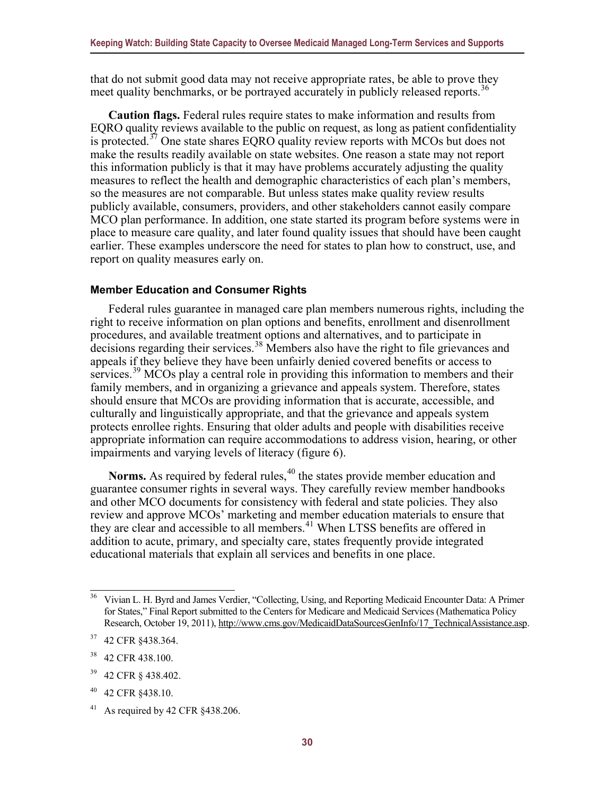that do not submit good data may not receive appropriate rates, be able to prove they meet quality benchmarks, or be portrayed accurately in publicly released reports.<sup>[36](#page-34-1)</sup>

**Caution flags.** Federal rules require states to make information and results from EQRO quality reviews available to the public on request, as long as patient confidentiality is protected.[37](#page-34-2) One state shares EQRO quality review reports with MCOs but does not make the results readily available on state websites. One reason a state may not report this information publicly is that it may have problems accurately adjusting the quality measures to reflect the health and demographic characteristics of each plan's members, so the measures are not comparable. But unless states make quality review results publicly available, consumers, providers, and other stakeholders cannot easily compare MCO plan performance. In addition, one state started its program before systems were in place to measure care quality, and later found quality issues that should have been caught earlier. These examples underscore the need for states to plan how to construct, use, and report on quality measures early on.

#### <span id="page-34-0"></span>**Member Education and Consumer Rights**

Federal rules guarantee in managed care plan members numerous rights, including the right to receive information on plan options and benefits, enrollment and disenrollment procedures, and available treatment options and alternatives, and to participate in decisions regarding their services.<sup>38</sup> Members also have the right to file grievances and appeals if they believe they have been unfairly denied covered benefits or access to services.<sup>[39](#page-34-4)</sup> MCOs play a central role in providing this information to members and their family members, and in organizing a grievance and appeals system. Therefore, states should ensure that MCOs are providing information that is accurate, accessible, and culturally and linguistically appropriate, and that the grievance and appeals system protects enrollee rights. Ensuring that older adults and people with disabilities receive appropriate information can require accommodations to address vision, hearing, or other impairments and varying levels of literacy (figure 6).

**Norms.** As required by federal rules, $40$  the states provide member education and guarantee consumer rights in several ways. They carefully review member handbooks and other MCO documents for consistency with federal and state policies. They also review and approve MCOs' marketing and member education materials to ensure that they are clear and accessible to all members.<sup>[41](#page-34-6)</sup> When LTSS benefits are offered in addition to acute, primary, and specialty care, states frequently provide integrated educational materials that explain all services and benefits in one place.

<span id="page-34-1"></span><sup>&</sup>lt;sup>36</sup> Vivian L. H. Byrd and James Verdier, "Collecting, Using, and Reporting Medicaid Encounter Data: A Primer for States," Final Report submitted to the Centers for Medicare and Medicaid Services (Mathematica Policy Research, October 19, 2011)[, http://www.cms.gov/MedicaidDataSourcesGenInfo/17\\_TechnicalAssistance.asp.](http://www.cms.gov/MedicaidDataSourcesGenInfo/17_TechnicalAssistance.asp)

<span id="page-34-2"></span><sup>37</sup> 42 CFR §438.364.

<span id="page-34-3"></span><sup>&</sup>lt;sup>38</sup> 42 CFR 438.100.

<span id="page-34-4"></span><sup>39</sup> 42 CFR § 438.402.

<span id="page-34-5"></span><sup>40</sup> 42 CFR §438.10.

<span id="page-34-6"></span><sup>&</sup>lt;sup>41</sup> As required by 42 CFR  $§$ 438.206.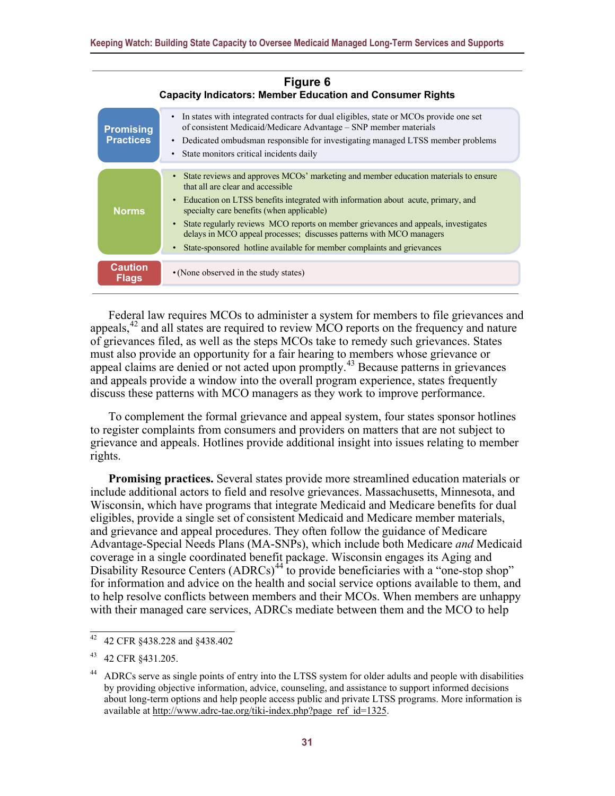| Figure 6<br><b>Capacity Indicators: Member Education and Consumer Rights</b> |                                                                                                                                                                                                                                                                                                                                                                                                                                                                                                     |  |  |  |  |  |
|------------------------------------------------------------------------------|-----------------------------------------------------------------------------------------------------------------------------------------------------------------------------------------------------------------------------------------------------------------------------------------------------------------------------------------------------------------------------------------------------------------------------------------------------------------------------------------------------|--|--|--|--|--|
| <b>Promising</b><br><b>Practices</b>                                         | In states with integrated contracts for dual eligibles, state or MCOs provide one set<br>$\bullet$<br>of consistent Medicaid/Medicare Advantage – SNP member materials<br>• Dedicated ombudsman responsible for investigating managed LTSS member problems<br>State monitors critical incidents daily<br>$\bullet$                                                                                                                                                                                  |  |  |  |  |  |
| <b>Norms</b>                                                                 | State reviews and approves MCOs' marketing and member education materials to ensure<br>that all are clear and accessible<br>• Education on LTSS benefits integrated with information about acute, primary, and<br>specialty care benefits (when applicable)<br>State regularly reviews MCO reports on member grievances and appeals, investigates<br>delays in MCO appeal processes; discusses patterns with MCO managers<br>State-sponsored hotline available for member complaints and grievances |  |  |  |  |  |
| <b>Caution</b><br><b>Flags</b>                                               | • (None observed in the study states)                                                                                                                                                                                                                                                                                                                                                                                                                                                               |  |  |  |  |  |

Federal law requires MCOs to administer a system for members to file grievances and appeals,  $42$  and all states are required to review MCO reports on the frequency and nature of grievances filed, as well as the steps MCOs take to remedy such grievances. States must also provide an opportunity for a fair hearing to members whose grievance or appeal claims are denied or not acted upon promptly.[43](#page-35-1) Because patterns in grievances and appeals provide a window into the overall program experience, states frequently discuss these patterns with MCO managers as they work to improve performance.

To complement the formal grievance and appeal system, four states sponsor hotlines to register complaints from consumers and providers on matters that are not subject to grievance and appeals. Hotlines provide additional insight into issues relating to member rights.

**Promising practices.** Several states provide more streamlined education materials or include additional actors to field and resolve grievances. Massachusetts, Minnesota, and Wisconsin, which have programs that integrate Medicaid and Medicare benefits for dual eligibles, provide a single set of consistent Medicaid and Medicare member materials, and grievance and appeal procedures. They often follow the guidance of Medicare Advantage-Special Needs Plans (MA-SNPs), which include both Medicare *and* Medicaid coverage in a single coordinated benefit package. Wisconsin engages its Aging and Disability Resource Centers  $(ADRCs)^{44}$  $(ADRCs)^{44}$  $(ADRCs)^{44}$  to provide beneficiaries with a "one-stop shop" for information and advice on the health and social service options available to them, and to help resolve conflicts between members and their MCOs. When members are unhappy with their managed care services, ADRCs mediate between them and the MCO to help

<span id="page-35-0"></span><sup>42</sup> 42 CFR §438.228 and §438.402

<span id="page-35-1"></span><sup>43</sup> 42 CFR §431.205.

<span id="page-35-2"></span>ADRCs serve as single points of entry into the LTSS system for older adults and people with disabilities by providing objective information, advice, counseling, and assistance to support informed decisions about long-term options and help people access public and private LTSS programs. More information is available at [http://www.adrc-tae.org/tiki-index.php?page\\_ref\\_id=1325.](http://www.adrc-tae.org/tiki-index.php?page_ref_id=1325)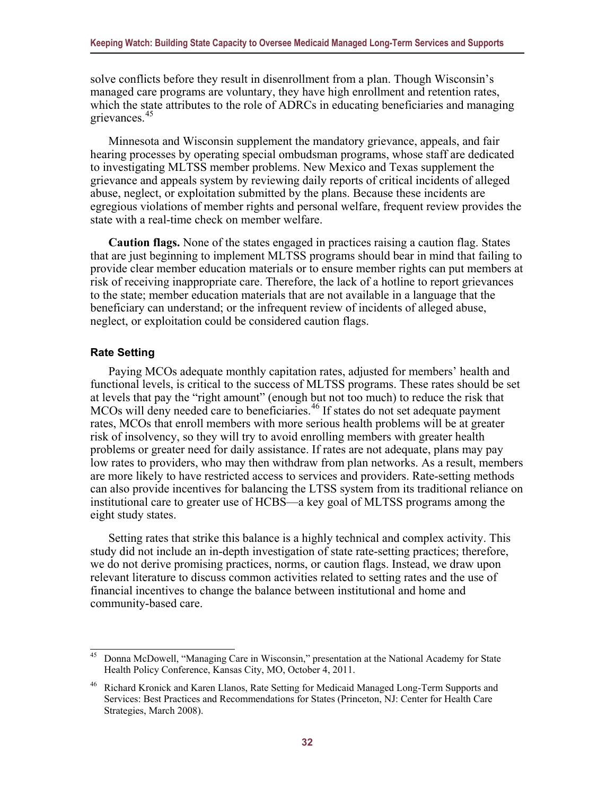solve conflicts before they result in disenrollment from a plan. Though Wisconsin's managed care programs are voluntary, they have high enrollment and retention rates, which the state attributes to the role of ADRCs in educating beneficiaries and managing grievances.[45](#page-36-1)

Minnesota and Wisconsin supplement the mandatory grievance, appeals, and fair hearing processes by operating special ombudsman programs, whose staff are dedicated to investigating MLTSS member problems. New Mexico and Texas supplement the grievance and appeals system by reviewing daily reports of critical incidents of alleged abuse, neglect, or exploitation submitted by the plans. Because these incidents are egregious violations of member rights and personal welfare, frequent review provides the state with a real-time check on member welfare.

**Caution flags.** None of the states engaged in practices raising a caution flag. States that are just beginning to implement MLTSS programs should bear in mind that failing to provide clear member education materials or to ensure member rights can put members at risk of receiving inappropriate care. Therefore, the lack of a hotline to report grievances to the state; member education materials that are not available in a language that the beneficiary can understand; or the infrequent review of incidents of alleged abuse, neglect, or exploitation could be considered caution flags.

#### <span id="page-36-0"></span>**Rate Setting**

Paying MCOs adequate monthly capitation rates, adjusted for members' health and functional levels, is critical to the success of MLTSS programs. These rates should be set at levels that pay the "right amount" (enough but not too much) to reduce the risk that MCOs will deny needed care to beneficiaries.<sup>[46](#page-36-2)</sup> If states do not set adequate payment rates, MCOs that enroll members with more serious health problems will be at greater risk of insolvency, so they will try to avoid enrolling members with greater health problems or greater need for daily assistance. If rates are not adequate, plans may pay low rates to providers, who may then withdraw from plan networks. As a result, members are more likely to have restricted access to services and providers. Rate-setting methods can also provide incentives for balancing the LTSS system from its traditional reliance on institutional care to greater use of HCBS—a key goal of MLTSS programs among the eight study states.

Setting rates that strike this balance is a highly technical and complex activity. This study did not include an in-depth investigation of state rate-setting practices; therefore, we do not derive promising practices, norms, or caution flags. Instead, we draw upon relevant literature to discuss common activities related to setting rates and the use of financial incentives to change the balance between institutional and home and community-based care.

<span id="page-36-1"></span><sup>45</sup> Donna McDowell, "Managing Care in Wisconsin," presentation at the National Academy for State Health Policy Conference, Kansas City, MO, October 4, 2011.

<span id="page-36-2"></span><sup>46</sup> Richard Kronick and Karen Llanos, Rate Setting for Medicaid Managed Long-Term Supports and Services: Best Practices and Recommendations for States (Princeton, NJ: Center for Health Care Strategies, March 2008).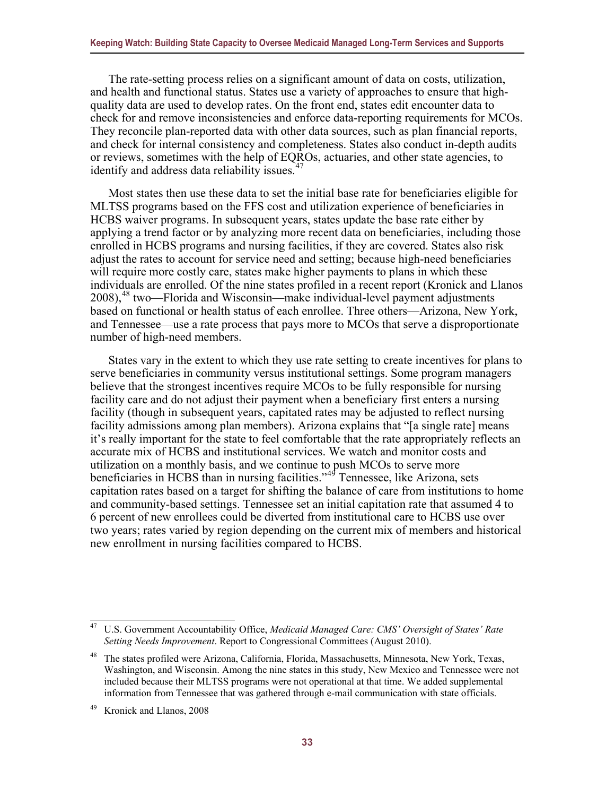The rate-setting process relies on a significant amount of data on costs, utilization, and health and functional status. States use a variety of approaches to ensure that highquality data are used to develop rates. On the front end, states edit encounter data to check for and remove inconsistencies and enforce data-reporting requirements for MCOs. They reconcile plan-reported data with other data sources, such as plan financial reports, and check for internal consistency and completeness. States also conduct in-depth audits or reviews, sometimes with the help of EQROs, actuaries, and other state agencies, to identify and address data reliability issues.<sup>[47](#page-37-0)</sup>

Most states then use these data to set the initial base rate for beneficiaries eligible for MLTSS programs based on the FFS cost and utilization experience of beneficiaries in HCBS waiver programs. In subsequent years, states update the base rate either by applying a trend factor or by analyzing more recent data on beneficiaries, including those enrolled in HCBS programs and nursing facilities, if they are covered. States also risk adjust the rates to account for service need and setting; because high-need beneficiaries will require more costly care, states make higher payments to plans in which these individuals are enrolled. Of the nine states profiled in a recent report (Kronick and Llanos 2008),<sup>[48](#page-37-1)</sup> two—Florida and Wisconsin—make individual-level payment adjustments based on functional or health status of each enrollee. Three others—Arizona, New York, and Tennessee—use a rate process that pays more to MCOs that serve a disproportionate number of high-need members.

States vary in the extent to which they use rate setting to create incentives for plans to serve beneficiaries in community versus institutional settings. Some program managers believe that the strongest incentives require MCOs to be fully responsible for nursing facility care and do not adjust their payment when a beneficiary first enters a nursing facility (though in subsequent years, capitated rates may be adjusted to reflect nursing facility admissions among plan members). Arizona explains that "[a single rate] means it's really important for the state to feel comfortable that the rate appropriately reflects an accurate mix of HCBS and institutional services. We watch and monitor costs and utilization on a monthly basis, and we continue to push MCOs to serve more beneficiaries in HCBS than in nursing facilities."[49](#page-37-2) Tennessee, like Arizona, sets capitation rates based on a target for shifting the balance of care from institutions to home and community-based settings. Tennessee set an initial capitation rate that assumed 4 to 6 percent of new enrollees could be diverted from institutional care to HCBS use over two years; rates varied by region depending on the current mix of members and historical new enrollment in nursing facilities compared to HCBS.

<span id="page-37-0"></span><sup>47</sup> U.S. Government Accountability Office, *Medicaid Managed Care: CMS' Oversight of States' Rate Setting Needs Improvement*. Report to Congressional Committees (August 2010).

<span id="page-37-1"></span><sup>&</sup>lt;sup>48</sup> The states profiled were Arizona, California, Florida, Massachusetts, Minnesota, New York, Texas, Washington, and Wisconsin. Among the nine states in this study, New Mexico and Tennessee were not included because their MLTSS programs were not operational at that time. We added supplemental information from Tennessee that was gathered through e-mail communication with state officials.

<span id="page-37-2"></span>Kronick and Llanos, 2008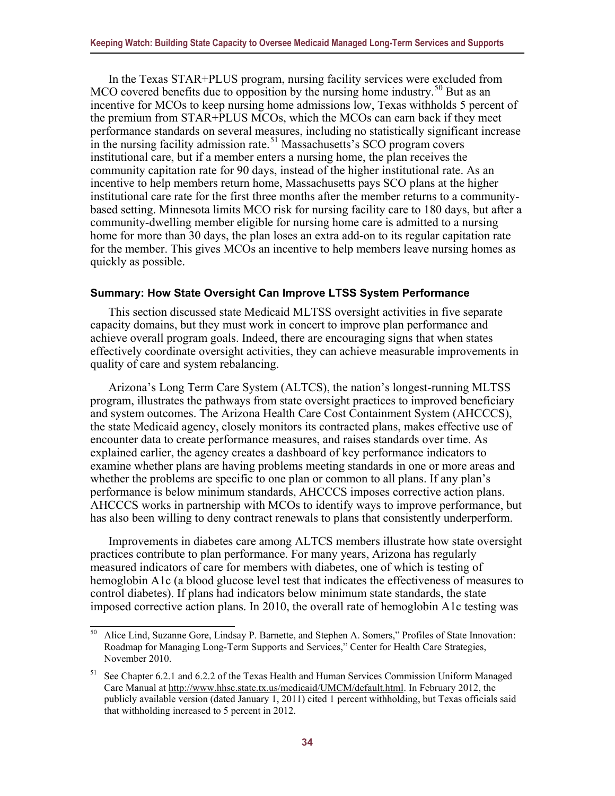In the Texas STAR+PLUS program, nursing facility services were excluded from MCO covered benefits due to opposition by the nursing home industry.<sup>[50](#page-38-1)</sup> But as an incentive for MCOs to keep nursing home admissions low, Texas withholds 5 percent of the premium from STAR+PLUS MCOs, which the MCOs can earn back if they meet performance standards on several measures, including no statistically significant increase in the nursing facility admission rate.<sup>[51](#page-38-2)</sup> Massachusetts's SCO program covers institutional care, but if a member enters a nursing home, the plan receives the community capitation rate for 90 days, instead of the higher institutional rate. As an incentive to help members return home, Massachusetts pays SCO plans at the higher institutional care rate for the first three months after the member returns to a communitybased setting. Minnesota limits MCO risk for nursing facility care to 180 days, but after a community-dwelling member eligible for nursing home care is admitted to a nursing home for more than 30 days, the plan loses an extra add-on to its regular capitation rate for the member. This gives MCOs an incentive to help members leave nursing homes as quickly as possible.

#### <span id="page-38-0"></span>**Summary: How State Oversight Can Improve LTSS System Performance**

This section discussed state Medicaid MLTSS oversight activities in five separate capacity domains, but they must work in concert to improve plan performance and achieve overall program goals. Indeed, there are encouraging signs that when states effectively coordinate oversight activities, they can achieve measurable improvements in quality of care and system rebalancing.

Arizona's Long Term Care System (ALTCS), the nation's longest-running MLTSS program, illustrates the pathways from state oversight practices to improved beneficiary and system outcomes. The Arizona Health Care Cost Containment System (AHCCCS), the state Medicaid agency, closely monitors its contracted plans, makes effective use of encounter data to create performance measures, and raises standards over time. As explained earlier, the agency creates a dashboard of key performance indicators to examine whether plans are having problems meeting standards in one or more areas and whether the problems are specific to one plan or common to all plans. If any plan's performance is below minimum standards, AHCCCS imposes corrective action plans. AHCCCS works in partnership with MCOs to identify ways to improve performance, but has also been willing to deny contract renewals to plans that consistently underperform.

Improvements in diabetes care among ALTCS members illustrate how state oversight practices contribute to plan performance. For many years, Arizona has regularly measured indicators of care for members with diabetes, one of which is testing of hemoglobin A1c (a blood glucose level test that indicates the effectiveness of measures to control diabetes). If plans had indicators below minimum state standards, the state imposed corrective action plans. In 2010, the overall rate of hemoglobin A1c testing was

<span id="page-38-1"></span><sup>50</sup> Alice Lind, Suzanne Gore, Lindsay P. Barnette, and Stephen A. Somers," Profiles of State Innovation: Roadmap for Managing Long-Term Supports and Services," Center for Health Care Strategies, November 2010.

<span id="page-38-2"></span><sup>51</sup> See Chapter 6.2.1 and 6.2.2 of the Texas Health and Human Services Commission Uniform Managed Care Manual at [http://www.hhsc.state.tx.us/medicaid/UMCM/default.html.](http://www.hhsc.state.tx.us/medicaid/UMCM/default.html) In February 2012, the publicly available version (dated January 1, 2011) cited 1 percent withholding, but Texas officials said that withholding increased to 5 percent in 2012.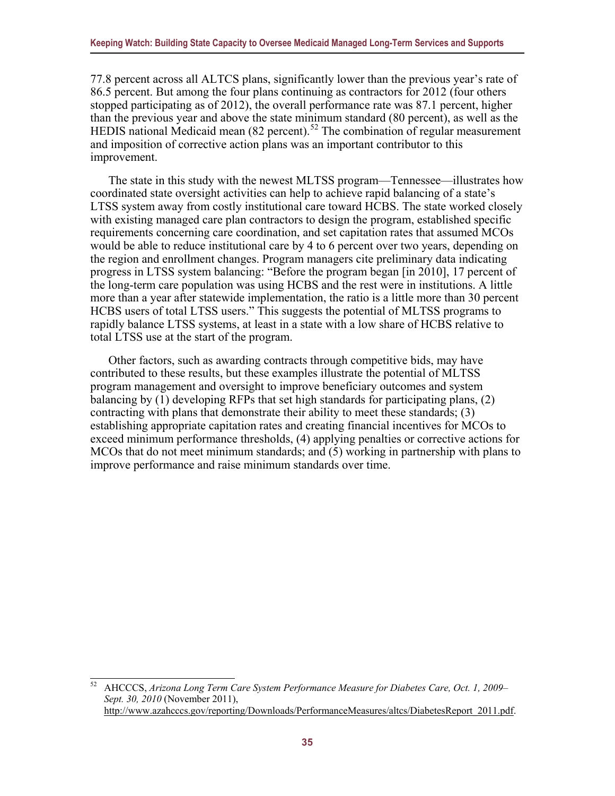77.8 percent across all ALTCS plans, significantly lower than the previous year's rate of 86.5 percent. But among the four plans continuing as contractors for 2012 (four others stopped participating as of 2012), the overall performance rate was 87.1 percent, higher than the previous year and above the state minimum standard (80 percent), as well as the HEDIS national Medicaid mean  $(82 \text{ percent})$ .<sup>[52](#page-39-0)</sup> The combination of regular measurement and imposition of corrective action plans was an important contributor to this improvement.

The state in this study with the newest MLTSS program—Tennessee—illustrates how coordinated state oversight activities can help to achieve rapid balancing of a state's LTSS system away from costly institutional care toward HCBS. The state worked closely with existing managed care plan contractors to design the program, established specific requirements concerning care coordination, and set capitation rates that assumed MCOs would be able to reduce institutional care by 4 to 6 percent over two years, depending on the region and enrollment changes. Program managers cite preliminary data indicating progress in LTSS system balancing: "Before the program began [in 2010], 17 percent of the long-term care population was using HCBS and the rest were in institutions. A little more than a year after statewide implementation, the ratio is a little more than 30 percent HCBS users of total LTSS users." This suggests the potential of MLTSS programs to rapidly balance LTSS systems, at least in a state with a low share of HCBS relative to total LTSS use at the start of the program.

Other factors, such as awarding contracts through competitive bids, may have contributed to these results, but these examples illustrate the potential of MLTSS program management and oversight to improve beneficiary outcomes and system balancing by (1) developing RFPs that set high standards for participating plans, (2) contracting with plans that demonstrate their ability to meet these standards; (3) establishing appropriate capitation rates and creating financial incentives for MCOs to exceed minimum performance thresholds, (4) applying penalties or corrective actions for MCOs that do not meet minimum standards; and (5) working in partnership with plans to improve performance and raise minimum standards over time.

<span id="page-39-0"></span><sup>52</sup> AHCCCS, *Arizona Long Term Care System Performance Measure for Diabetes Care, Oct. 1, 2009– Sept. 30, 2010* (November 2011), [http://www.azahcccs.gov/reporting/Downloads/PerformanceMeasures/altcs/DiabetesReport\\_2011.pdf.](http://www.azahcccs.gov/reporting/Downloads/PerformanceMeasures/altcs/DiabetesReport_2011.pdf)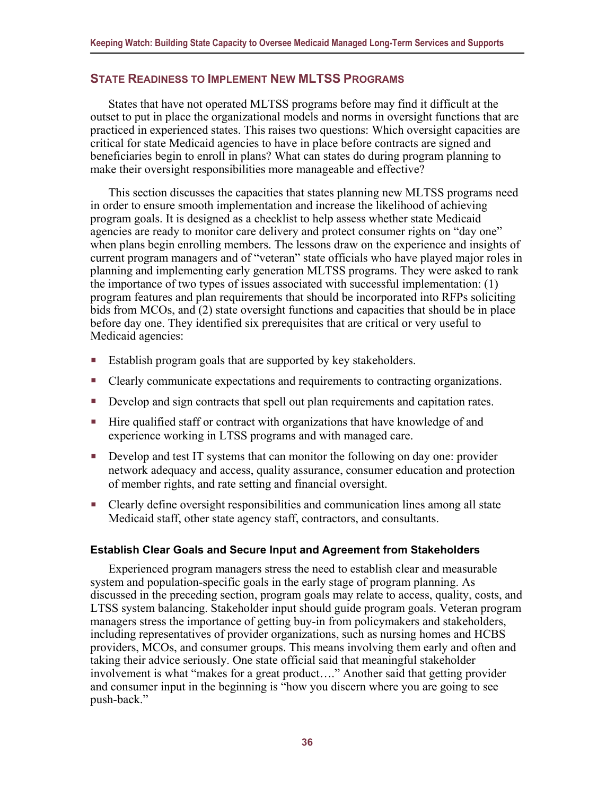#### <span id="page-40-0"></span>**STATE READINESS TO IMPLEMENT NEW MLTSS PROGRAMS**

States that have not operated MLTSS programs before may find it difficult at the outset to put in place the organizational models and norms in oversight functions that are practiced in experienced states. This raises two questions: Which oversight capacities are critical for state Medicaid agencies to have in place before contracts are signed and beneficiaries begin to enroll in plans? What can states do during program planning to make their oversight responsibilities more manageable and effective?

This section discusses the capacities that states planning new MLTSS programs need in order to ensure smooth implementation and increase the likelihood of achieving program goals. It is designed as a checklist to help assess whether state Medicaid agencies are ready to monitor care delivery and protect consumer rights on "day one" when plans begin enrolling members. The lessons draw on the experience and insights of current program managers and of "veteran" state officials who have played major roles in planning and implementing early generation MLTSS programs. They were asked to rank the importance of two types of issues associated with successful implementation: (1) program features and plan requirements that should be incorporated into RFPs soliciting bids from MCOs, and (2) state oversight functions and capacities that should be in place before day one. They identified six prerequisites that are critical or very useful to Medicaid agencies:

- Establish program goals that are supported by key stakeholders.
- Clearly communicate expectations and requirements to contracting organizations.
- Develop and sign contracts that spell out plan requirements and capitation rates.
- Hire qualified staff or contract with organizations that have knowledge of and experience working in LTSS programs and with managed care.
- Develop and test IT systems that can monitor the following on day one: provider network adequacy and access, quality assurance, consumer education and protection of member rights, and rate setting and financial oversight.
- Clearly define oversight responsibilities and communication lines among all state Medicaid staff, other state agency staff, contractors, and consultants.

#### <span id="page-40-1"></span>**Establish Clear Goals and Secure Input and Agreement from Stakeholders**

Experienced program managers stress the need to establish clear and measurable system and population-specific goals in the early stage of program planning. As discussed in the preceding section, program goals may relate to access, quality, costs, and LTSS system balancing. Stakeholder input should guide program goals. Veteran program managers stress the importance of getting buy-in from policymakers and stakeholders, including representatives of provider organizations, such as nursing homes and HCBS providers, MCOs, and consumer groups. This means involving them early and often and taking their advice seriously. One state official said that meaningful stakeholder involvement is what "makes for a great product…." Another said that getting provider and consumer input in the beginning is "how you discern where you are going to see push-back."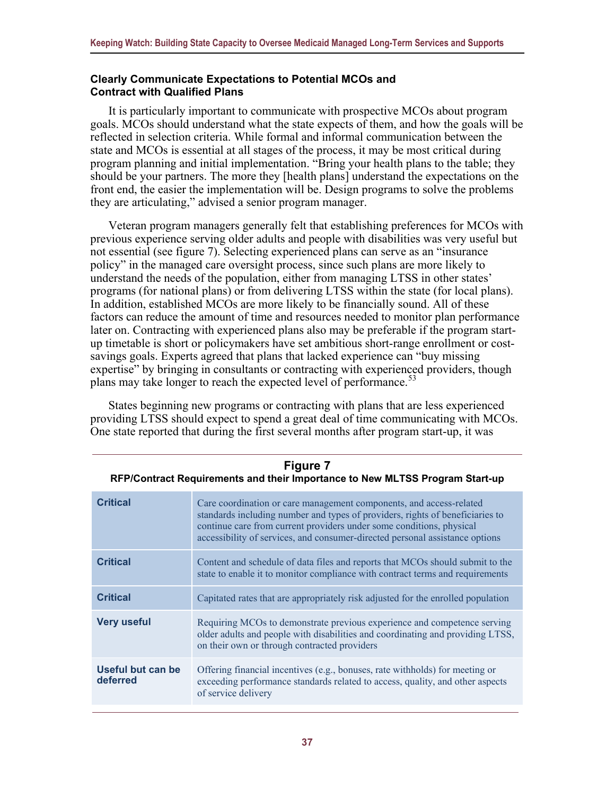#### <span id="page-41-0"></span>**Clearly Communicate Expectations to Potential MCOs and Contract with Qualified Plans**

It is particularly important to communicate with prospective MCOs about program goals. MCOs should understand what the state expects of them, and how the goals will be reflected in selection criteria. While formal and informal communication between the state and MCOs is essential at all stages of the process, it may be most critical during program planning and initial implementation. "Bring your health plans to the table; they should be your partners. The more they [health plans] understand the expectations on the front end, the easier the implementation will be. Design programs to solve the problems they are articulating," advised a senior program manager.

Veteran program managers generally felt that establishing preferences for MCOs with previous experience serving older adults and people with disabilities was very useful but not essential (see figure 7). Selecting experienced plans can serve as an "insurance policy" in the managed care oversight process, since such plans are more likely to understand the needs of the population, either from managing LTSS in other states' programs (for national plans) or from delivering LTSS within the state (for local plans). In addition, established MCOs are more likely to be financially sound. All of these factors can reduce the amount of time and resources needed to monitor plan performance later on. Contracting with experienced plans also may be preferable if the program startup timetable is short or policymakers have set ambitious short-range enrollment or costsavings goals. Experts agreed that plans that lacked experience can "buy missing expertise" by bringing in consultants or contracting with experienced providers, though plans may take longer to reach the expected level of performance.<sup>[53](#page-41-1)</sup>

States beginning new programs or contracting with plans that are less experienced providing LTSS should expect to spend a great deal of time communicating with MCOs. One state reported that during the first several months after program start-up, it was

| <b>Critical</b>               | Care coordination or care management components, and access-related<br>standards including number and types of providers, rights of beneficiaries to<br>continue care from current providers under some conditions, physical<br>accessibility of services, and consumer-directed personal assistance options |
|-------------------------------|--------------------------------------------------------------------------------------------------------------------------------------------------------------------------------------------------------------------------------------------------------------------------------------------------------------|
| <b>Critical</b>               | Content and schedule of data files and reports that MCOs should submit to the<br>state to enable it to monitor compliance with contract terms and requirements                                                                                                                                               |
| <b>Critical</b>               | Capitated rates that are appropriately risk adjusted for the enrolled population                                                                                                                                                                                                                             |
| <b>Very useful</b>            | Requiring MCOs to demonstrate previous experience and competence serving<br>older adults and people with disabilities and coordinating and providing LTSS,<br>on their own or through contracted providers                                                                                                   |
| Useful but can be<br>deferred | Offering financial incentives (e.g., bonuses, rate withholds) for meeting or<br>exceeding performance standards related to access, quality, and other aspects<br>of service delivery                                                                                                                         |

**Figure 7 RFP/Contract Requirements and their Importance to New MLTSS Program Start-up** 

<span id="page-41-1"></span><u>Needs Plans.</u>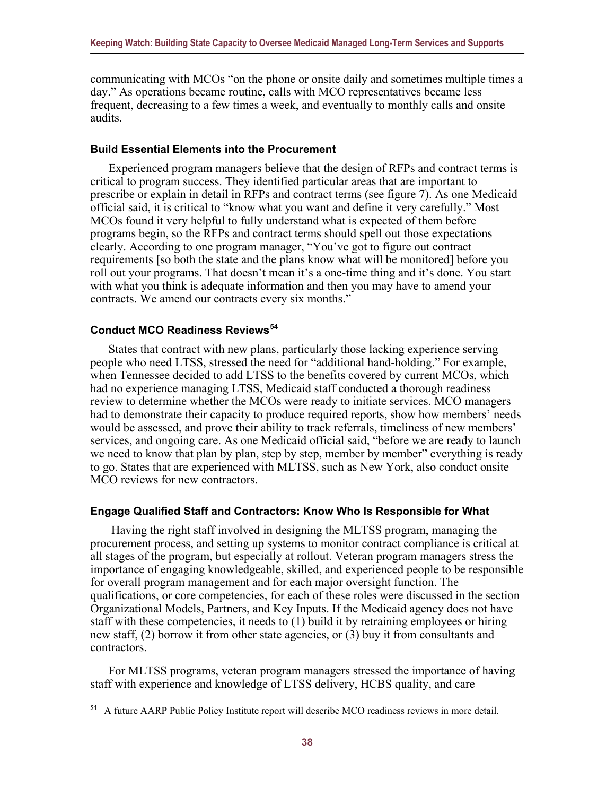communicating with MCOs "on the phone or onsite daily and sometimes multiple times a day." As operations became routine, calls with MCO representatives became less frequent, decreasing to a few times a week, and eventually to monthly calls and onsite audits.

#### <span id="page-42-0"></span>**Build Essential Elements into the Procurement**

Experienced program managers believe that the design of RFPs and contract terms is critical to program success. They identified particular areas that are important to prescribe or explain in detail in RFPs and contract terms (see figure 7). As one Medicaid official said, it is critical to "know what you want and define it very carefully." Most MCOs found it very helpful to fully understand what is expected of them before programs begin, so the RFPs and contract terms should spell out those expectations clearly. According to one program manager, "You've got to figure out contract requirements [so both the state and the plans know what will be monitored] before you roll out your programs. That doesn't mean it's a one-time thing and it's done. You start with what you think is adequate information and then you may have to amend your contracts. We amend our contracts every six months."

#### <span id="page-42-1"></span>**Conduct MCO Readiness Reviews[54](#page-42-3)**

States that contract with new plans, particularly those lacking experience serving people who need LTSS, stressed the need for "additional hand-holding." For example, when Tennessee decided to add LTSS to the benefits covered by current MCOs, which had no experience managing LTSS, Medicaid staff conducted a thorough readiness review to determine whether the MCOs were ready to initiate services. MCO managers had to demonstrate their capacity to produce required reports, show how members' needs would be assessed, and prove their ability to track referrals, timeliness of new members' services, and ongoing care. As one Medicaid official said, "before we are ready to launch we need to know that plan by plan, step by step, member by member" everything is ready to go. States that are experienced with MLTSS, such as New York, also conduct onsite MCO reviews for new contractors.

#### <span id="page-42-2"></span>**Engage Qualified Staff and Contractors: Know Who Is Responsible for What**

 Having the right staff involved in designing the MLTSS program, managing the procurement process, and setting up systems to monitor contract compliance is critical at all stages of the program, but especially at rollout. Veteran program managers stress the importance of engaging knowledgeable, skilled, and experienced people to be responsible for overall program management and for each major oversight function. The qualifications, or core competencies, for each of these roles were discussed in the section Organizational Models, Partners, and Key Inputs. If the Medicaid agency does not have staff with these competencies, it needs to (1) build it by retraining employees or hiring new staff, (2) borrow it from other state agencies, or (3) buy it from consultants and contractors.

For MLTSS programs, veteran program managers stressed the importance of having staff with experience and knowledge of LTSS delivery, HCBS quality, and care

<span id="page-42-3"></span><sup>&</sup>lt;sup>54</sup> A future AARP Public Policy Institute report will describe MCO readiness reviews in more detail.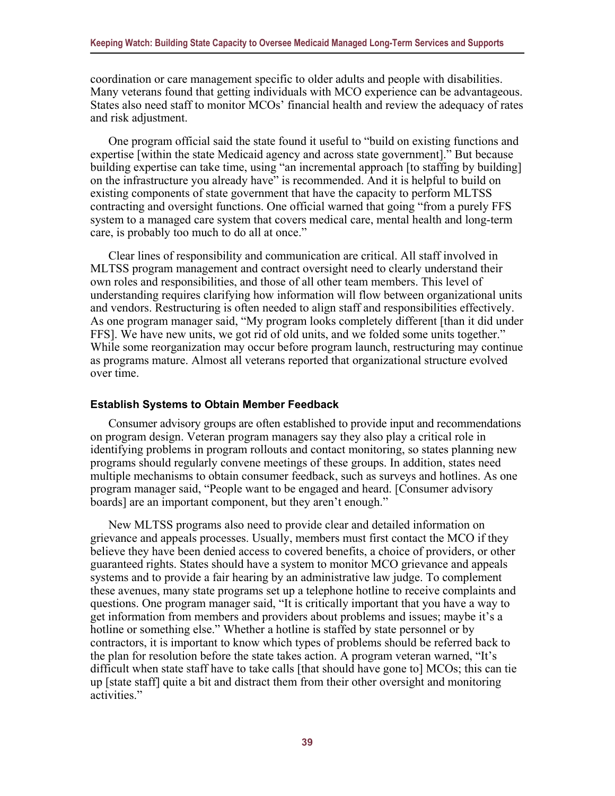coordination or care management specific to older adults and people with disabilities. Many veterans found that getting individuals with MCO experience can be advantageous. States also need staff to monitor MCOs' financial health and review the adequacy of rates and risk adjustment.

One program official said the state found it useful to "build on existing functions and expertise [within the state Medicaid agency and across state government]." But because building expertise can take time, using "an incremental approach [to staffing by building] on the infrastructure you already have" is recommended. And it is helpful to build on existing components of state government that have the capacity to perform MLTSS contracting and oversight functions. One official warned that going "from a purely FFS system to a managed care system that covers medical care, mental health and long-term care, is probably too much to do all at once."

Clear lines of responsibility and communication are critical. All staff involved in MLTSS program management and contract oversight need to clearly understand their own roles and responsibilities, and those of all other team members. This level of understanding requires clarifying how information will flow between organizational units and vendors. Restructuring is often needed to align staff and responsibilities effectively. As one program manager said, "My program looks completely different [than it did under FFS]. We have new units, we got rid of old units, and we folded some units together." While some reorganization may occur before program launch, restructuring may continue as programs mature. Almost all veterans reported that organizational structure evolved over time.

#### <span id="page-43-0"></span>**Establish Systems to Obtain Member Feedback**

Consumer advisory groups are often established to provide input and recommendations on program design. Veteran program managers say they also play a critical role in identifying problems in program rollouts and contact monitoring, so states planning new programs should regularly convene meetings of these groups. In addition, states need multiple mechanisms to obtain consumer feedback, such as surveys and hotlines. As one program manager said, "People want to be engaged and heard. [Consumer advisory boards] are an important component, but they aren't enough."

New MLTSS programs also need to provide clear and detailed information on grievance and appeals processes. Usually, members must first contact the MCO if they believe they have been denied access to covered benefits, a choice of providers, or other guaranteed rights. States should have a system to monitor MCO grievance and appeals systems and to provide a fair hearing by an administrative law judge. To complement these avenues, many state programs set up a telephone hotline to receive complaints and questions. One program manager said, "It is critically important that you have a way to get information from members and providers about problems and issues; maybe it's a hotline or something else." Whether a hotline is staffed by state personnel or by contractors, it is important to know which types of problems should be referred back to the plan for resolution before the state takes action. A program veteran warned, "It's difficult when state staff have to take calls [that should have gone to] MCOs; this can tie up [state staff] quite a bit and distract them from their other oversight and monitoring activities."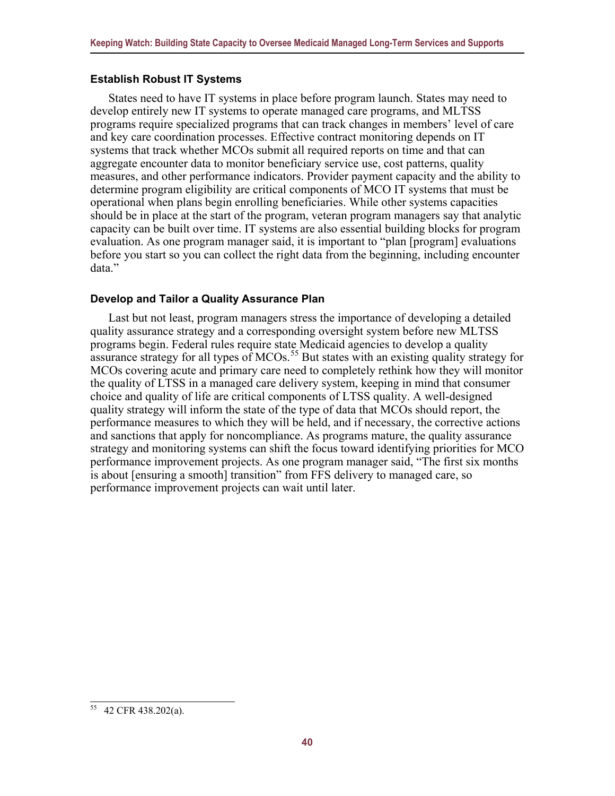#### <span id="page-44-0"></span>**Establish Robust IT Systems**

States need to have IT systems in place before program launch. States may need to develop entirely new IT systems to operate managed care programs, and MLTSS programs require specialized programs that can track changes in members' level of care and key care coordination processes. Effective contract monitoring depends on IT systems that track whether MCOs submit all required reports on time and that can aggregate encounter data to monitor beneficiary service use, cost patterns, quality measures, and other performance indicators. Provider payment capacity and the ability to determine program eligibility are critical components of MCO IT systems that must be operational when plans begin enrolling beneficiaries. While other systems capacities should be in place at the start of the program, veteran program managers say that analytic capacity can be built over time. IT systems are also essential building blocks for program evaluation. As one program manager said, it is important to "plan [program] evaluations before you start so you can collect the right data from the beginning, including encounter data."

#### <span id="page-44-1"></span>**Develop and Tailor a Quality Assurance Plan**

Last but not least, program managers stress the importance of developing a detailed quality assurance strategy and a corresponding oversight system before new MLTSS programs begin. Federal rules require state Medicaid agencies to develop a quality assurance strategy for all types of MCOs.<sup>[55](#page-44-2)</sup> But states with an existing quality strategy for MCOs covering acute and primary care need to completely rethink how they will monitor the quality of LTSS in a managed care delivery system, keeping in mind that consumer choice and quality of life are critical components of LTSS quality. A well-designed quality strategy will inform the state of the type of data that MCOs should report, the performance measures to which they will be held, and if necessary, the corrective actions and sanctions that apply for noncompliance. As programs mature, the quality assurance strategy and monitoring systems can shift the focus toward identifying priorities for MCO performance improvement projects. As one program manager said, "The first six months is about [ensuring a smooth] transition" from FFS delivery to managed care, so performance improvement projects can wait until later.

<span id="page-44-2"></span><sup>55</sup> 42 CFR 438.202(a).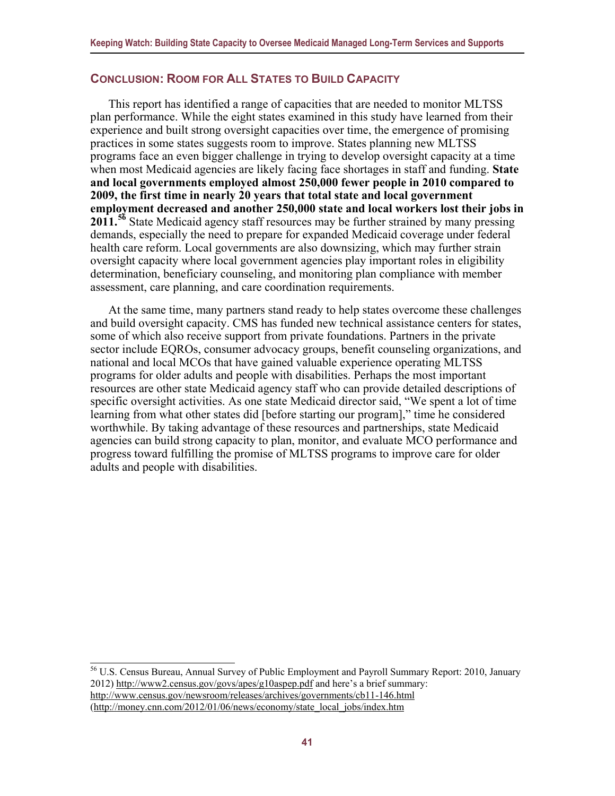#### <span id="page-45-0"></span>**CONCLUSION: ROOM FOR ALL STATES TO BUILD CAPACITY**

This report has identified a range of capacities that are needed to monitor MLTSS plan performance. While the eight states examined in this study have learned from their experience and built strong oversight capacities over time, the emergence of promising practices in some states suggests room to improve. States planning new MLTSS programs face an even bigger challenge in trying to develop oversight capacity at a time when most Medicaid agencies are likely facing face shortages in staff and funding. **State and local governments employed almost 250,000 fewer people in 2010 compared to 2009, the first time in nearly 20 years that total state and local government employment decreased and another 250,000 state and local workers lost their jobs in 2011.[56](#page-45-1)** State Medicaid agency staff resources may be further strained by many pressing demands, especially the need to prepare for expanded Medicaid coverage under federal health care reform. Local governments are also downsizing, which may further strain oversight capacity where local government agencies play important roles in eligibility determination, beneficiary counseling, and monitoring plan compliance with member assessment, care planning, and care coordination requirements.

At the same time, many partners stand ready to help states overcome these challenges and build oversight capacity. CMS has funded new technical assistance centers for states, some of which also receive support from private foundations. Partners in the private sector include EQROs, consumer advocacy groups, benefit counseling organizations, and national and local MCOs that have gained valuable experience operating MLTSS programs for older adults and people with disabilities. Perhaps the most important resources are other state Medicaid agency staff who can provide detailed descriptions of specific oversight activities. As one state Medicaid director said, "We spent a lot of time learning from what other states did [before starting our program]," time he considered worthwhile. By taking advantage of these resources and partnerships, state Medicaid agencies can build strong capacity to plan, monitor, and evaluate MCO performance and progress toward fulfilling the promise of MLTSS programs to improve care for older adults and people with disabilities.

<span id="page-45-1"></span><sup>56</sup> U.S. Census Bureau, Annual Survey of Public Employment and Payroll Summary Report: 2010, January 2012) <http://www2.census.gov/govs/apes/g10aspep.pdf> and here's a brief summary: <http://www.census.gov/newsroom/releases/archives/governments/cb11-146.html>

[<sup>\(</sup>http://money.cnn.com/2012/01/06/news/economy/state\\_local\\_jobs/index.htm](http://money.cnn.com/2012/01/06/news/economy/state_local_jobs/index.htm)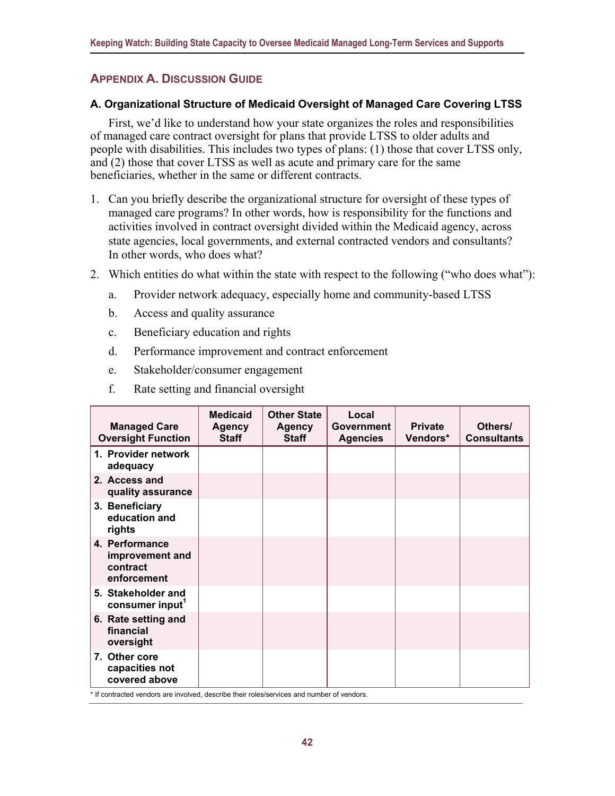### <span id="page-46-0"></span>**APPENDIX A. DISCUSSION GUIDE**

#### **A. Organizational Structure of Medicaid Oversight of Managed Care Covering LTSS**

First, we'd like to understand how your state organizes the roles and responsibilities of managed care contract oversight for plans that provide LTSS to older adults and people with disabilities. This includes two types of plans: (1) those that cover LTSS only, and (2) those that cover LTSS as well as acute and primary care for the same beneficiaries, whether in the same or different contracts.

- 1. Can you briefly describe the organizational structure for oversight of these types of managed care programs? In other words, how is responsibility for the functions and activities involved in contract oversight divided within the Medicaid agency, across state agencies, local governments, and external contracted vendors and consultants? In other words, who does what?
- 2. Which entities do what within the state with respect to the following ("who does what"):
	- a. Provider network adequacy, especially home and community-based LTSS
	- b. Access and quality assurance
	- c. Beneficiary education and rights
	- d. Performance improvement and contract enforcement
	- e. Stakeholder/consumer engagement
	- f. Rate setting and financial oversight

| <b>Managed Care</b><br><b>Oversight Function</b>             | <b>Medicaid</b><br>Agency<br><b>Staff</b> | <b>Other State</b><br><b>Agency</b><br><b>Staff</b> | Local<br><b>Government</b><br><b>Agencies</b> | <b>Private</b><br>Vendors* | Others/<br><b>Consultants</b> |
|--------------------------------------------------------------|-------------------------------------------|-----------------------------------------------------|-----------------------------------------------|----------------------------|-------------------------------|
| 1. Provider network<br>adequacy                              |                                           |                                                     |                                               |                            |                               |
| 2. Access and<br>quality assurance                           |                                           |                                                     |                                               |                            |                               |
| 3. Beneficiary<br>education and<br>rights                    |                                           |                                                     |                                               |                            |                               |
| 4. Performance<br>improvement and<br>contract<br>enforcement |                                           |                                                     |                                               |                            |                               |
| 5. Stakeholder and<br>consumer input <sup>1</sup>            |                                           |                                                     |                                               |                            |                               |
| 6. Rate setting and<br>financial<br>oversight                |                                           |                                                     |                                               |                            |                               |
| 7. Other core<br>capacities not<br>covered above             |                                           |                                                     |                                               |                            |                               |

\* If contracted vendors are involved, describe their roles/services and number of vendors.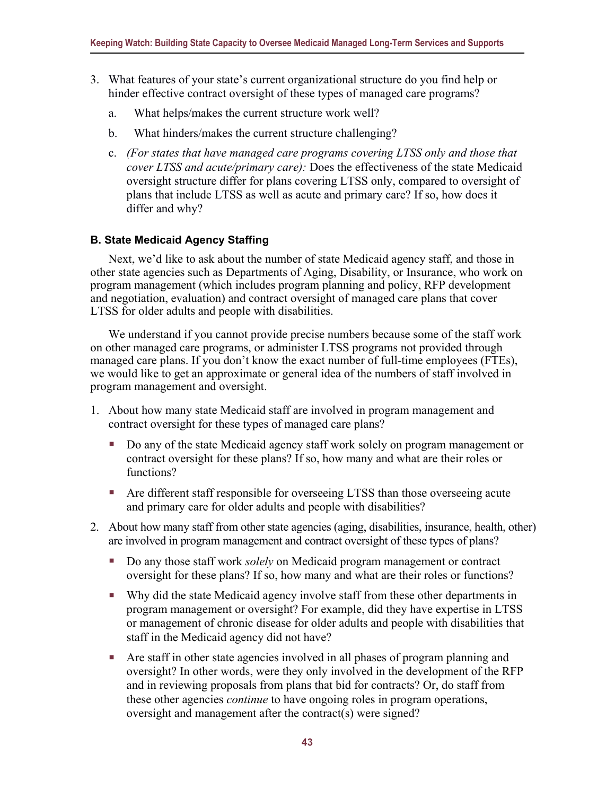- 3. What features of your state's current organizational structure do you find help or hinder effective contract oversight of these types of managed care programs?
	- a. What helps/makes the current structure work well?
	- b. What hinders/makes the current structure challenging?
	- c. *(For states that have managed care programs covering LTSS only and those that cover LTSS and acute/primary care):* Does the effectiveness of the state Medicaid oversight structure differ for plans covering LTSS only, compared to oversight of plans that include LTSS as well as acute and primary care? If so, how does it differ and why?

#### **B. State Medicaid Agency Staffing**

Next, we'd like to ask about the number of state Medicaid agency staff, and those in other state agencies such as Departments of Aging, Disability, or Insurance, who work on program management (which includes program planning and policy, RFP development and negotiation, evaluation) and contract oversight of managed care plans that cover LTSS for older adults and people with disabilities.

We understand if you cannot provide precise numbers because some of the staff work on other managed care programs, or administer LTSS programs not provided through managed care plans. If you don't know the exact number of full-time employees (FTEs), we would like to get an approximate or general idea of the numbers of staff involved in program management and oversight.

- 1. About how many state Medicaid staff are involved in program management and contract oversight for these types of managed care plans?
	- Do any of the state Medicaid agency staff work solely on program management or contract oversight for these plans? If so, how many and what are their roles or functions?
	- Are different staff responsible for overseeing LTSS than those overseeing acute and primary care for older adults and people with disabilities?
- 2. About how many staff from other state agencies (aging, disabilities, insurance, health, other) are involved in program management and contract oversight of these types of plans?
	- Do any those staff work *solely* on Medicaid program management or contract oversight for these plans? If so, how many and what are their roles or functions?
	- Why did the state Medicaid agency involve staff from these other departments in program management or oversight? For example, did they have expertise in LTSS or management of chronic disease for older adults and people with disabilities that staff in the Medicaid agency did not have?
	- Are staff in other state agencies involved in all phases of program planning and oversight? In other words, were they only involved in the development of the RFP and in reviewing proposals from plans that bid for contracts? Or, do staff from these other agencies *continue* to have ongoing roles in program operations, oversight and management after the contract(s) were signed?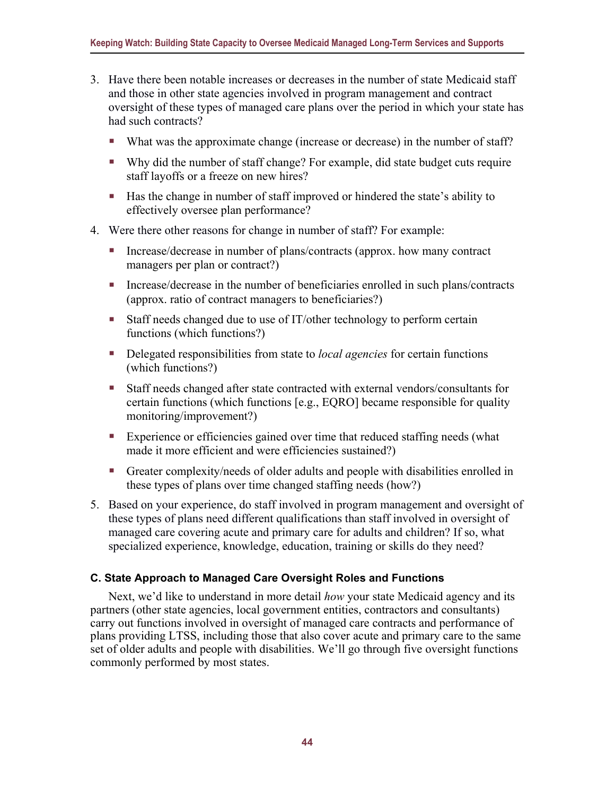- 3. Have there been notable increases or decreases in the number of state Medicaid staff and those in other state agencies involved in program management and contract oversight of these types of managed care plans over the period in which your state has had such contracts?
	- What was the approximate change (increase or decrease) in the number of staff?
	- Why did the number of staff change? For example, did state budget cuts require staff layoffs or a freeze on new hires?
	- Has the change in number of staff improved or hindered the state's ability to effectively oversee plan performance?
- 4. Were there other reasons for change in number of staff? For example:
	- Increase/decrease in number of plans/contracts (approx. how many contract managers per plan or contract?)
	- Increase/decrease in the number of beneficiaries enrolled in such plans/contracts (approx. ratio of contract managers to beneficiaries?)
	- Staff needs changed due to use of IT/other technology to perform certain functions (which functions?)
	- Delegated responsibilities from state to *local agencies* for certain functions (which functions?)
	- Staff needs changed after state contracted with external vendors/consultants for certain functions (which functions [e.g., EQRO] became responsible for quality monitoring/improvement?)
	- Experience or efficiencies gained over time that reduced staffing needs (what made it more efficient and were efficiencies sustained?)
	- Greater complexity/needs of older adults and people with disabilities enrolled in these types of plans over time changed staffing needs (how?)
- 5. Based on your experience, do staff involved in program management and oversight of these types of plans need different qualifications than staff involved in oversight of managed care covering acute and primary care for adults and children? If so, what specialized experience, knowledge, education, training or skills do they need?

#### **C. State Approach to Managed Care Oversight Roles and Functions**

Next, we'd like to understand in more detail *how* your state Medicaid agency and its partners (other state agencies, local government entities, contractors and consultants) carry out functions involved in oversight of managed care contracts and performance of plans providing LTSS, including those that also cover acute and primary care to the same set of older adults and people with disabilities. We'll go through five oversight functions commonly performed by most states.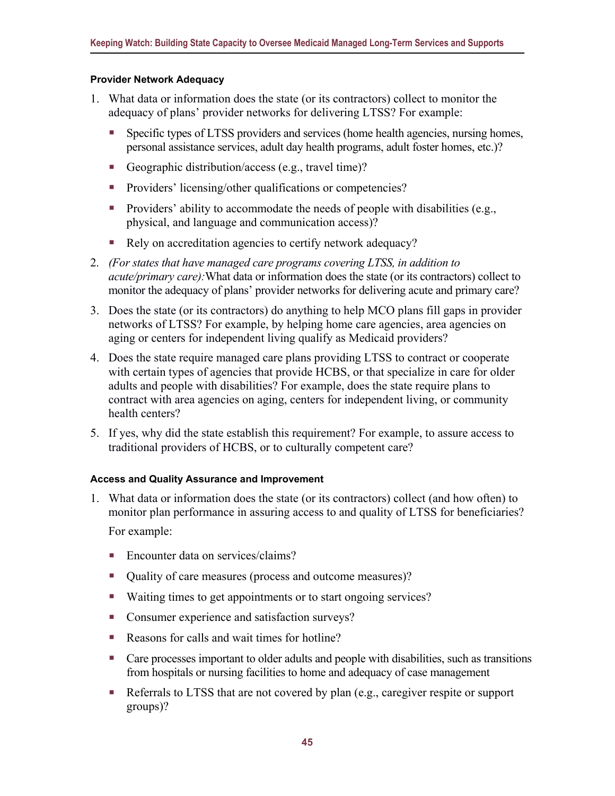#### **Provider Network Adequacy**

- 1. What data or information does the state (or its contractors) collect to monitor the adequacy of plans' provider networks for delivering LTSS? For example:
	- Specific types of LTSS providers and services (home health agencies, nursing homes, personal assistance services, adult day health programs, adult foster homes, etc.)?
	- Geographic distribution/access (e.g., travel time)?
	- **Providers' licensing/other qualifications or competencies?**
	- Providers' ability to accommodate the needs of people with disabilities (e.g., physical, and language and communication access)?
	- Rely on accreditation agencies to certify network adequacy?
- 2. *(For states that have managed care programs covering LTSS, in addition to acute/primary care):*What data or information does the state (or its contractors) collect to monitor the adequacy of plans' provider networks for delivering acute and primary care?
- 3. Does the state (or its contractors) do anything to help MCO plans fill gaps in provider networks of LTSS? For example, by helping home care agencies, area agencies on aging or centers for independent living qualify as Medicaid providers?
- 4. Does the state require managed care plans providing LTSS to contract or cooperate with certain types of agencies that provide HCBS, or that specialize in care for older adults and people with disabilities? For example, does the state require plans to contract with area agencies on aging, centers for independent living, or community health centers?
- 5. If yes, why did the state establish this requirement? For example, to assure access to traditional providers of HCBS, or to culturally competent care?

#### **Access and Quality Assurance and Improvement**

- 1. What data or information does the state (or its contractors) collect (and how often) to monitor plan performance in assuring access to and quality of LTSS for beneficiaries? For example:
	- Encounter data on services/claims?
	- Quality of care measures (process and outcome measures)?
	- Waiting times to get appointments or to start ongoing services?
	- **Consumer experience and satisfaction surveys?**
	- Reasons for calls and wait times for hotline?
	- **Care processes important to older adults and people with disabilities, such as transitions** from hospitals or nursing facilities to home and adequacy of case management
	- Referrals to LTSS that are not covered by plan  $(e.g.,$  caregiver respite or support groups)?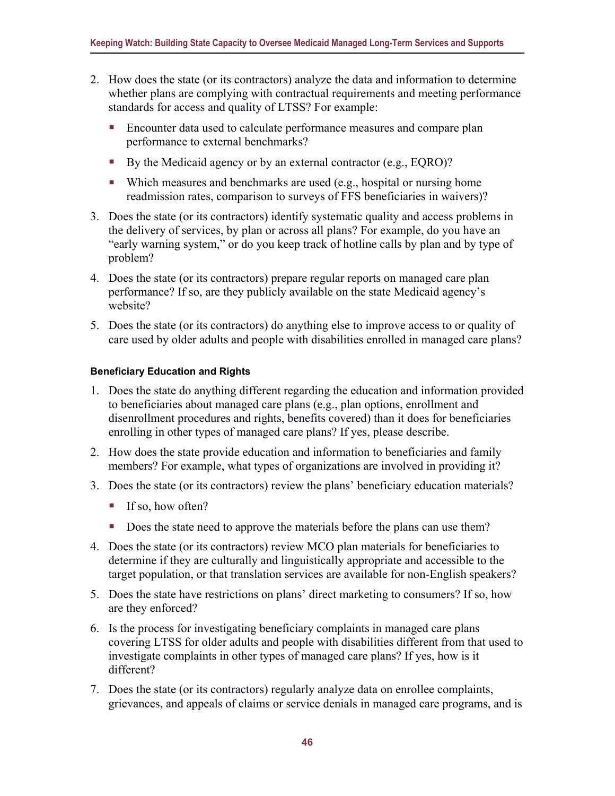- 2. How does the state (or its contractors) analyze the data and information to determine whether plans are complying with contractual requirements and meeting performance standards for access and quality of LTSS? For example:
	- Encounter data used to calculate performance measures and compare plan performance to external benchmarks?
	- By the Medicaid agency or by an external contractor (e.g., EQRO)?
	- Which measures and benchmarks are used (e.g., hospital or nursing home readmission rates, comparison to surveys of FFS beneficiaries in waivers)?
- 3. Does the state (or its contractors) identify systematic quality and access problems in the delivery of services, by plan or across all plans? For example, do you have an "early warning system," or do you keep track of hotline calls by plan and by type of problem?
- 4. Does the state (or its contractors) prepare regular reports on managed care plan performance? If so, are they publicly available on the state Medicaid agency's website?
- 5. Does the state (or its contractors) do anything else to improve access to or quality of care used by older adults and people with disabilities enrolled in managed care plans?

#### **Beneficiary Education and Rights**

- 1. Does the state do anything different regarding the education and information provided to beneficiaries about managed care plans (e.g., plan options, enrollment and disenrollment procedures and rights, benefits covered) than it does for beneficiaries enrolling in other types of managed care plans? If yes, please describe.
- 2. How does the state provide education and information to beneficiaries and family members? For example, what types of organizations are involved in providing it?
- 3. Does the state (or its contractors) review the plans' beneficiary education materials?
	- $\blacksquare$  If so, how often?
	- Does the state need to approve the materials before the plans can use them?
- 4. Does the state (or its contractors) review MCO plan materials for beneficiaries to determine if they are culturally and linguistically appropriate and accessible to the target population, or that translation services are available for non-English speakers?
- 5. Does the state have restrictions on plans' direct marketing to consumers? If so, how are they enforced?
- 6. Is the process for investigating beneficiary complaints in managed care plans covering LTSS for older adults and people with disabilities different from that used to investigate complaints in other types of managed care plans? If yes, how is it different?
- 7. Does the state (or its contractors) regularly analyze data on enrollee complaints, grievances, and appeals of claims or service denials in managed care programs, and is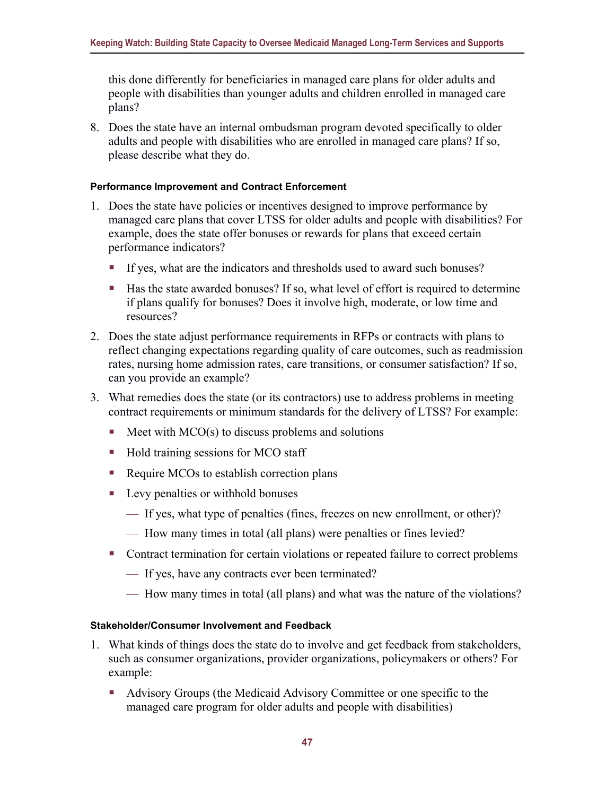this done differently for beneficiaries in managed care plans for older adults and people with disabilities than younger adults and children enrolled in managed care plans?

8. Does the state have an internal ombudsman program devoted specifically to older adults and people with disabilities who are enrolled in managed care plans? If so, please describe what they do.

#### **Performance Improvement and Contract Enforcement**

- 1. Does the state have policies or incentives designed to improve performance by managed care plans that cover LTSS for older adults and people with disabilities? For example, does the state offer bonuses or rewards for plans that exceed certain performance indicators?
	- If yes, what are the indicators and thresholds used to award such bonuses?
	- Has the state awarded bonuses? If so, what level of effort is required to determine if plans qualify for bonuses? Does it involve high, moderate, or low time and resources?
- 2. Does the state adjust performance requirements in RFPs or contracts with plans to reflect changing expectations regarding quality of care outcomes, such as readmission rates, nursing home admission rates, care transitions, or consumer satisfaction? If so, can you provide an example?
- 3. What remedies does the state (or its contractors) use to address problems in meeting contract requirements or minimum standards for the delivery of LTSS? For example:
	- $\blacksquare$  Meet with MCO(s) to discuss problems and solutions
	- Hold training sessions for MCO staff
	- Require MCOs to establish correction plans
	- Levy penalties or withhold bonuses
		- If yes, what type of penalties (fines, freezes on new enrollment, or other)?
		- How many times in total (all plans) were penalties or fines levied?
	- Contract termination for certain violations or repeated failure to correct problems
		- If yes, have any contracts ever been terminated?
		- How many times in total (all plans) and what was the nature of the violations?

#### **Stakeholder/Consumer Involvement and Feedback**

- 1. What kinds of things does the state do to involve and get feedback from stakeholders, such as consumer organizations, provider organizations, policymakers or others? For example:
	- Advisory Groups (the Medicaid Advisory Committee or one specific to the managed care program for older adults and people with disabilities)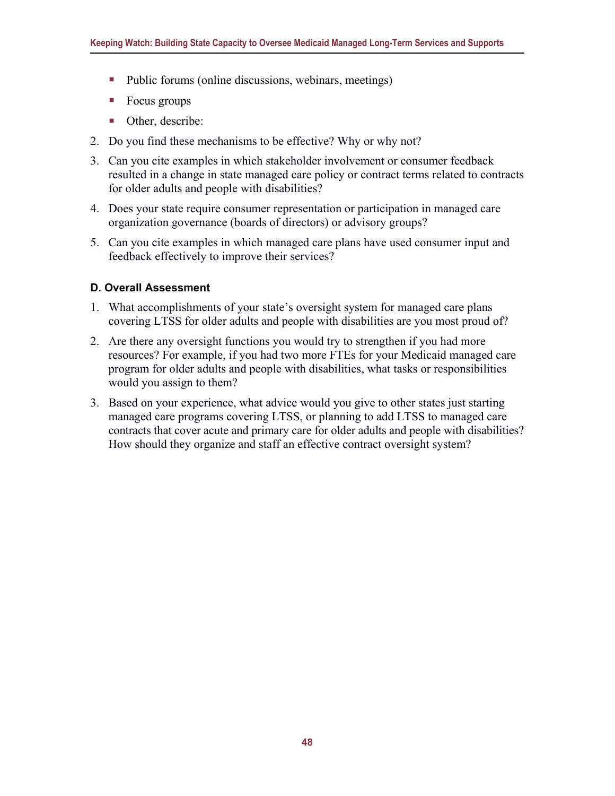- Public forums (online discussions, webinars, meetings)
- Focus groups
- Other, describe:
- 2. Do you find these mechanisms to be effective? Why or why not?
- 3. Can you cite examples in which stakeholder involvement or consumer feedback resulted in a change in state managed care policy or contract terms related to contracts for older adults and people with disabilities?
- 4. Does your state require consumer representation or participation in managed care organization governance (boards of directors) or advisory groups?
- 5. Can you cite examples in which managed care plans have used consumer input and feedback effectively to improve their services?

#### **D. Overall Assessment**

- 1. What accomplishments of your state's oversight system for managed care plans covering LTSS for older adults and people with disabilities are you most proud of?
- 2. Are there any oversight functions you would try to strengthen if you had more resources? For example, if you had two more FTEs for your Medicaid managed care program for older adults and people with disabilities, what tasks or responsibilities would you assign to them?
- 3. Based on your experience, what advice would you give to other states just starting managed care programs covering LTSS, or planning to add LTSS to managed care contracts that cover acute and primary care for older adults and people with disabilities? How should they organize and staff an effective contract oversight system?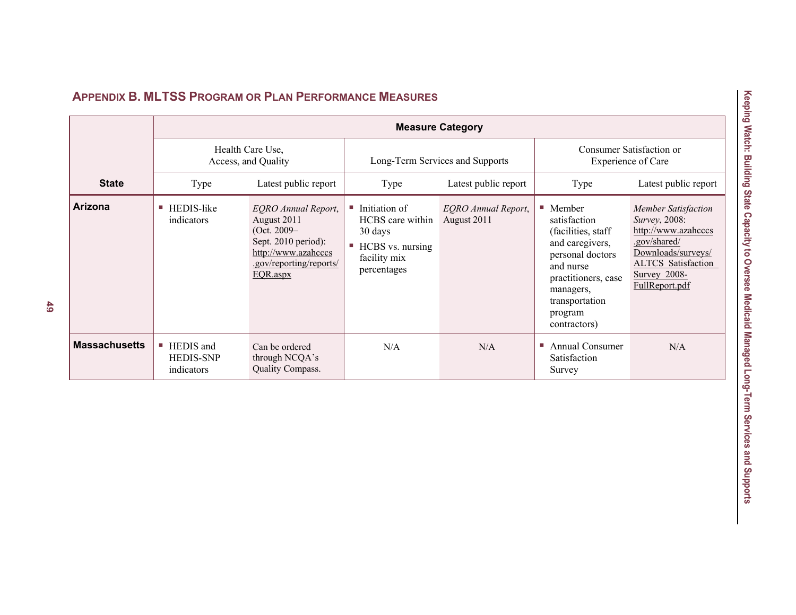<span id="page-53-0"></span>

|                      | <b>Measure Category</b>                     |                                                                                                                                                 |                                                                                                               |                                           |                                                                                                                                                                                                   |                                                                                                                                                                                 |  |
|----------------------|---------------------------------------------|-------------------------------------------------------------------------------------------------------------------------------------------------|---------------------------------------------------------------------------------------------------------------|-------------------------------------------|---------------------------------------------------------------------------------------------------------------------------------------------------------------------------------------------------|---------------------------------------------------------------------------------------------------------------------------------------------------------------------------------|--|
|                      | Health Care Use,<br>Access, and Quality     |                                                                                                                                                 | Long-Term Services and Supports                                                                               |                                           | Consumer Satisfaction or<br><b>Experience of Care</b>                                                                                                                                             |                                                                                                                                                                                 |  |
| <b>State</b>         | Type                                        | Latest public report                                                                                                                            | Type                                                                                                          | Latest public report                      | Type                                                                                                                                                                                              | Latest public report                                                                                                                                                            |  |
| Arizona              | HEDIS-like<br>indicators                    | <b>EQRO</b> Annual Report,<br>August 2011<br>(Oct. $2009-$<br>Sept. 2010 period):<br>http://www.azahcccs<br>.gov/reporting/reports/<br>EQR.aspx | Initiation of<br><b>COL</b><br>HCBS care within<br>30 days<br>HCBS vs. nursing<br>facility mix<br>percentages | <b>EQRO</b> Annual Report,<br>August 2011 | $\blacksquare$ Member<br>satisfaction<br>(facilities, staff)<br>and caregivers,<br>personal doctors<br>and nurse<br>practitioners, case<br>managers,<br>transportation<br>program<br>contractors) | <b>Member Satisfaction</b><br><i>Survey</i> , 2008:<br>http://www.azahcccs<br>.gov/shared/<br>Downloads/surveys/<br><b>ALTCS</b> Satisfaction<br>Survey 2008-<br>FullReport.pdf |  |
| <b>Massachusetts</b> | HEDIS and<br><b>HEDIS-SNP</b><br>indicators | Can be ordered<br>through NCQA's<br>Quality Compass.                                                                                            | N/A                                                                                                           | N/A                                       | <b>Annual Consumer</b><br><b>I</b><br>Satisfaction<br>Survey                                                                                                                                      | N/A                                                                                                                                                                             |  |

### **APPENDIX B. MLTSS PROGRAM OR PLAN PERFORMANCE MEASURES**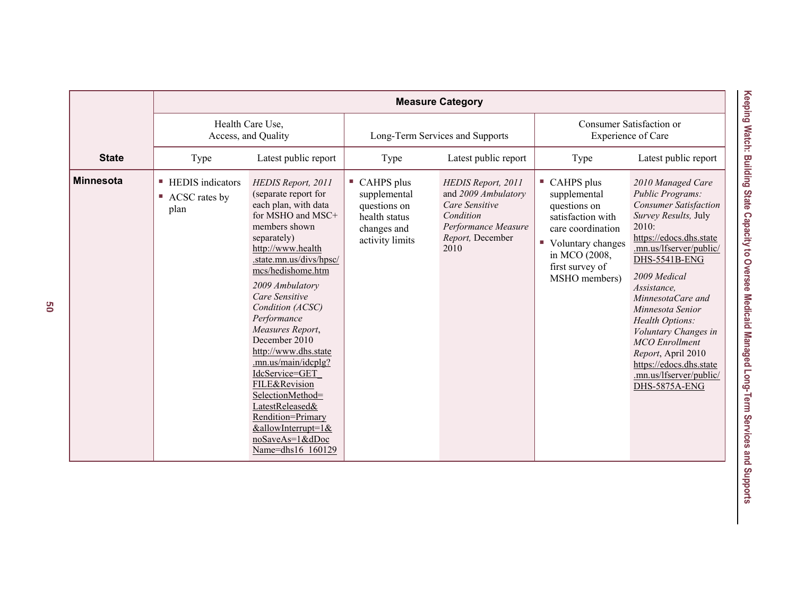|                  | <b>Measure Category</b>                                     |                                                                                                                                                                                                                                                                                                                                                                                                                                                                                                                             |                                                                                                              |                                                                                                                             |                                                                                                                                                                      |                                                                                                                                                                                                                                                                                                                                                                                                                               |
|------------------|-------------------------------------------------------------|-----------------------------------------------------------------------------------------------------------------------------------------------------------------------------------------------------------------------------------------------------------------------------------------------------------------------------------------------------------------------------------------------------------------------------------------------------------------------------------------------------------------------------|--------------------------------------------------------------------------------------------------------------|-----------------------------------------------------------------------------------------------------------------------------|----------------------------------------------------------------------------------------------------------------------------------------------------------------------|-------------------------------------------------------------------------------------------------------------------------------------------------------------------------------------------------------------------------------------------------------------------------------------------------------------------------------------------------------------------------------------------------------------------------------|
|                  | Health Care Use,<br>Access, and Quality                     |                                                                                                                                                                                                                                                                                                                                                                                                                                                                                                                             | Long-Term Services and Supports                                                                              |                                                                                                                             | Consumer Satisfaction or<br>Experience of Care                                                                                                                       |                                                                                                                                                                                                                                                                                                                                                                                                                               |
| <b>State</b>     | Type                                                        | Latest public report                                                                                                                                                                                                                                                                                                                                                                                                                                                                                                        | Type                                                                                                         | Latest public report                                                                                                        | Type                                                                                                                                                                 | Latest public report                                                                                                                                                                                                                                                                                                                                                                                                          |
| <b>Minnesota</b> | <b>HEDIS</b> indicators<br>u,<br>ACSC rates by<br>ш<br>plan | HEDIS Report, 2011<br>(separate report for<br>each plan, with data<br>for MSHO and MSC+<br>members shown<br>separately)<br>http://www.health<br>.state.mn.us/divs/hpsc/<br>mcs/hedishome.htm<br>2009 Ambulatory<br>Care Sensitive<br>Condition (ACSC)<br>Performance<br>Measures Report,<br>December 2010<br>http://www.dhs.state<br>.mn.us/main/idcplg?<br>IdcService=GET<br>FILE&Revision<br>SelectionMethod=<br>LatestReleased&<br>Rendition=Primary<br>$&$ allowInterrupt=1 $&$<br>noSaveAs=1&dDoc<br>Name=dhs16 160129 | $\blacksquare$ CAHPS plus<br>supplemental<br>questions on<br>health status<br>changes and<br>activity limits | HEDIS Report, 2011<br>and 2009 Ambulatory<br>Care Sensitive<br>Condition<br>Performance Measure<br>Report, December<br>2010 | CAHPS plus<br>supplemental<br>questions on<br>satisfaction with<br>care coordination<br>Voluntary changes<br>U.<br>in MCO (2008,<br>first survey of<br>MSHO members) | 2010 Managed Care<br><b>Public Programs:</b><br><b>Consumer Satisfaction</b><br>Survey Results, July<br>2010:<br>https://edocs.dhs.state<br>.mn.us/lfserver/public/<br>DHS-5541B-ENG<br>2009 Medical<br>Assistance,<br>MinnesotaCare and<br>Minnesota Senior<br>Health Options:<br>Voluntary Changes in<br><b>MCO</b> Enrollment<br>Report, April 2010<br>https://edocs.dhs.state<br>.mn.us/lfserver/public/<br>DHS-5875A-ENG |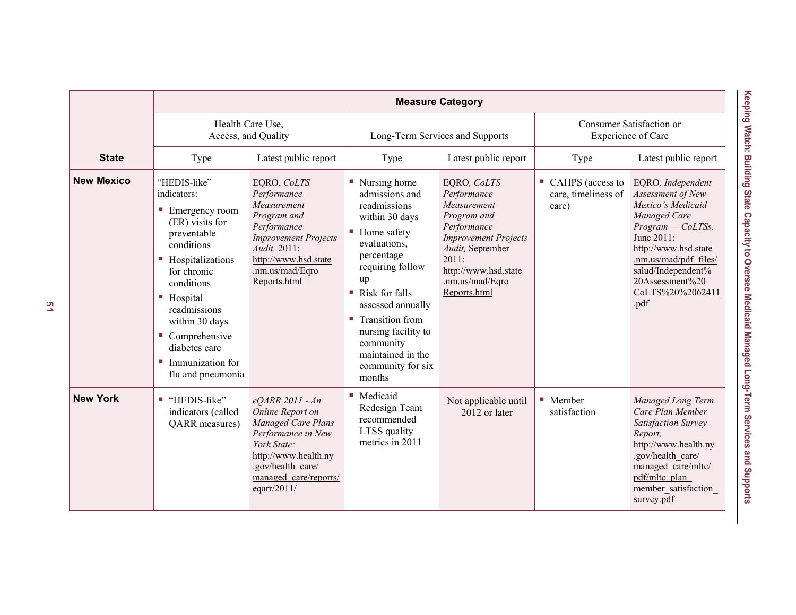|                   | <b>Measure Category</b>                                                                                                                                                                                                                                                                              |                                                                                                                                                                                     |                                                                                                                                                                                                                                                                                                                |                                                                                                                                                                                                |                                                       |                                                                                                                                                                                                                                        |
|-------------------|------------------------------------------------------------------------------------------------------------------------------------------------------------------------------------------------------------------------------------------------------------------------------------------------------|-------------------------------------------------------------------------------------------------------------------------------------------------------------------------------------|----------------------------------------------------------------------------------------------------------------------------------------------------------------------------------------------------------------------------------------------------------------------------------------------------------------|------------------------------------------------------------------------------------------------------------------------------------------------------------------------------------------------|-------------------------------------------------------|----------------------------------------------------------------------------------------------------------------------------------------------------------------------------------------------------------------------------------------|
|                   | Health Care Use,<br>Access, and Quality                                                                                                                                                                                                                                                              |                                                                                                                                                                                     | Long-Term Services and Supports                                                                                                                                                                                                                                                                                |                                                                                                                                                                                                | Consumer Satisfaction or<br><b>Experience of Care</b> |                                                                                                                                                                                                                                        |
| <b>State</b>      | Type                                                                                                                                                                                                                                                                                                 | Latest public report                                                                                                                                                                | Type                                                                                                                                                                                                                                                                                                           | Latest public report                                                                                                                                                                           | Type                                                  | Latest public report                                                                                                                                                                                                                   |
| <b>New Mexico</b> | "HEDIS-like"<br>indicators:<br>$\blacksquare$ Emergency room<br>(ER) visits for<br>preventable<br>conditions<br>■ Hospitalizations<br>for chronic<br>conditions<br>■ Hospital<br>readmissions<br>within 30 days<br>Comprehensive<br>diabetes care<br>Immunization for<br>$\sim$<br>flu and pneumonia | EQRO, CoLTS<br>Performance<br>Measurement<br>Program and<br>Performance<br><b>Improvement Projects</b><br>Audit, 2011:<br>http://www.hsd.state<br>.nm.us/mad/Eqro<br>Reports.html   | ■ Nursing home<br>admissions and<br>readmissions<br>within 30 days<br>■ Home safety<br>evaluations.<br>percentage<br>requiring follow<br>up<br>$\blacksquare$ Risk for falls<br>assessed annually<br>■ Transition from<br>nursing facility to<br>community<br>maintained in the<br>community for six<br>months | EQRO, CoLTS<br>Performance<br>Measurement<br>Program and<br>Performance<br><b>Improvement Projects</b><br>Audit, September<br>2011:<br>http://www.hsd.state<br>.nm.us/mad/Egro<br>Reports.html | CAHPS (access to<br>care, timeliness of<br>care)      | EQRO, Independent<br>Assessment of New<br>Mexico's Medicaid<br>Managed Care<br>$Program - ColTSS,$<br>June 2011:<br>http://www.hsd.state<br>.nm.us/mad/pdf files/<br>salud/Independent%<br>20Assessment%20<br>CoLTS%20%2062411<br>.pdf |
| <b>New York</b>   | ■ "HEDIS-like"<br>indicators (called<br><b>QARR</b> measures)                                                                                                                                                                                                                                        | eQARR 2011 - An<br>Online Report on<br>Managed Care Plans<br>Performance in New<br>York State:<br>http://www.health.ny<br>.gov/health care/<br>managed care/reports/<br>eqarr/2011/ | ■ Medicaid<br>Redesign Team<br>recommended<br>LTSS quality<br>metrics in 2011                                                                                                                                                                                                                                  | Not applicable until<br>2012 or later                                                                                                                                                          | $\blacksquare$ Member<br>satisfaction                 | Managed Long Term<br>Care Plan Member<br>Satisfaction Survey<br>Report.<br>http://www.health.ny<br>.gov/health care/<br>managed care/mltc/<br>pdf/mltc plan<br>member satisfaction<br>survey.pdf                                       |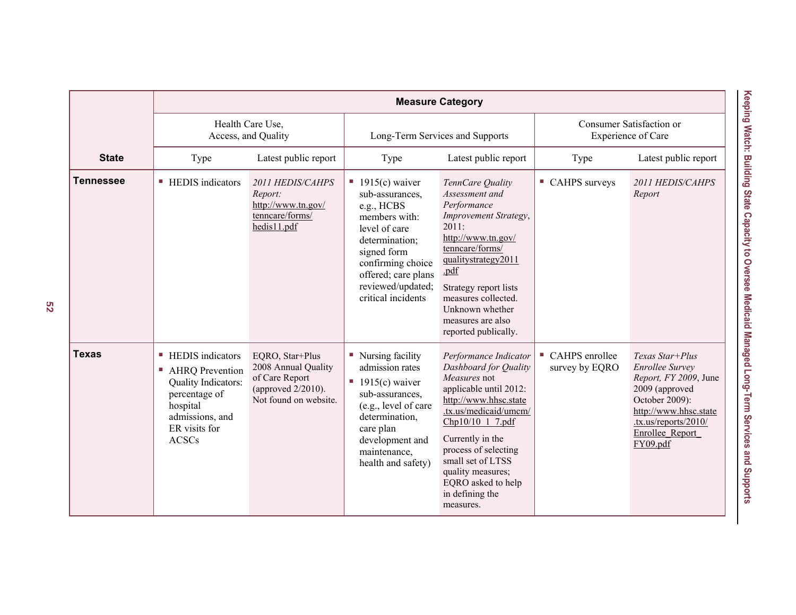|                  | <b>Measure Category</b>                                                                                                                              |                                                                                                         |                                                                                                                                                                                                                          |                                                                                                                                                                                                                                                                                                            |                                                |                                                                                                                                                                                        |
|------------------|------------------------------------------------------------------------------------------------------------------------------------------------------|---------------------------------------------------------------------------------------------------------|--------------------------------------------------------------------------------------------------------------------------------------------------------------------------------------------------------------------------|------------------------------------------------------------------------------------------------------------------------------------------------------------------------------------------------------------------------------------------------------------------------------------------------------------|------------------------------------------------|----------------------------------------------------------------------------------------------------------------------------------------------------------------------------------------|
|                  | Health Care Use,<br>Access, and Quality                                                                                                              |                                                                                                         | Long-Term Services and Supports                                                                                                                                                                                          |                                                                                                                                                                                                                                                                                                            | Consumer Satisfaction or<br>Experience of Care |                                                                                                                                                                                        |
| <b>State</b>     | Type                                                                                                                                                 | Latest public report                                                                                    | Type                                                                                                                                                                                                                     | Latest public report                                                                                                                                                                                                                                                                                       | Type                                           | Latest public report                                                                                                                                                                   |
| <b>Tennessee</b> | ■ HEDIS indicators                                                                                                                                   | 2011 HEDIS/CAHPS<br>Report:<br>http://www.tn.gov/<br>tenncare/forms/<br>hedis11.pdf                     | $\blacksquare$ 1915(c) waiver<br>sub-assurances,<br>e.g., HCBS<br>members with:<br>level of care<br>determination:<br>signed form<br>confirming choice<br>offered; care plans<br>reviewed/updated;<br>critical incidents | TennCare Quality<br>Assessment and<br>Performance<br>Improvement Strategy,<br>2011:<br>http://www.tn.gov/<br>tenncare/forms/<br>qualitystrategy2011<br>.pdf<br>Strategy report lists<br>measures collected.<br>Unknown whether<br>measures are also<br>reported publically.                                | ■ CAHPS surveys                                | 2011 HEDIS/CAHPS<br>Report                                                                                                                                                             |
| <b>Texas</b>     | ■ HEDIS indicators<br><b>AHRQ</b> Prevention<br>Quality Indicators:<br>percentage of<br>hospital<br>admissions, and<br>ER visits for<br><b>ACSCs</b> | EQRO, Star+Plus<br>2008 Annual Quality<br>of Care Report<br>(approved 2/2010).<br>Not found on website. | ■ Nursing facility<br>admission rates<br>$\blacksquare$ 1915(c) waiver<br>sub-assurances,<br>(e.g., level of care<br>determination,<br>care plan<br>development and<br>maintenance,<br>health and safety)                | Performance Indicator<br>Dashboard for Quality<br>Measures not<br>applicable until 2012:<br>http://www.hhsc.state<br>.tx.us/medicaid/umcm/<br>Chp10/10 1 7.pdf<br>Currently in the<br>process of selecting<br>small set of LTSS<br>quality measures;<br>EQRO asked to help<br>in defining the<br>measures. | CAHPS enrollee<br>survey by EQRO               | Texas Star+Plus<br><b>Enrollee Survey</b><br>Report, FY 2009, June<br>2009 (approved<br>October 2009):<br>http://www.hhsc.state<br>.tx.us/reports/2010/<br>Enrollee Report<br>FY09.pdf |